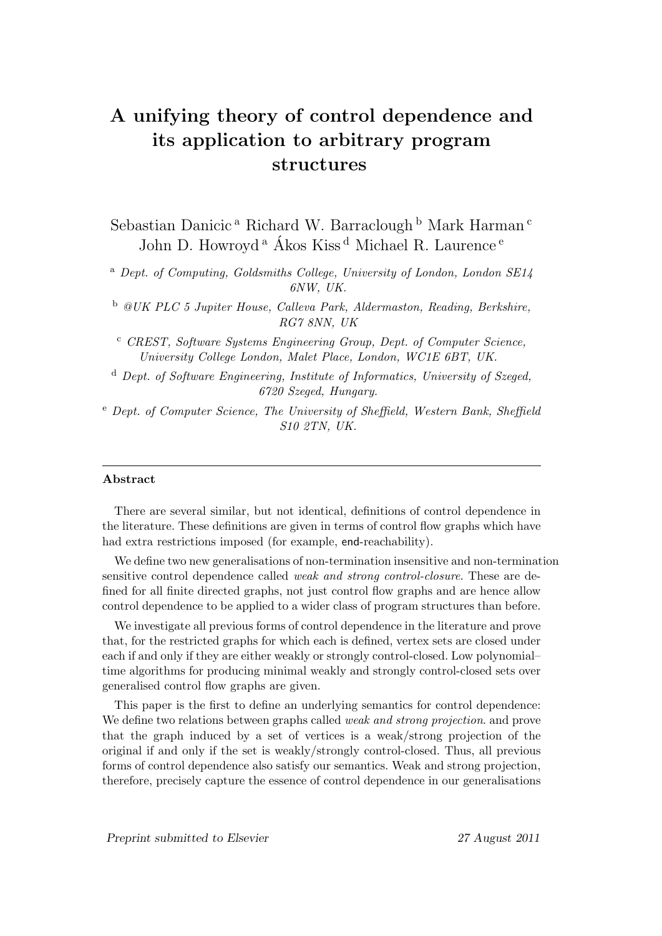# A unifying theory of control dependence and its application to arbitrary program structures

Sebastian Danicic<sup>a</sup> Richard W. Barraclough <sup>b</sup> Mark Harman<sup>c</sup> John D. Howroyd<sup>a</sup> Ákos Kiss<sup>d</sup> Michael R. Laurence<sup>e</sup>

<sup>a</sup> Dept. of Computing, Goldsmiths College, University of London, London SE14 6NW, UK.

<sup>b</sup> @UK PLC 5 Jupiter House, Calleva Park, Aldermaston, Reading, Berkshire, RG7 8NN, UK

- <sup>c</sup> CREST, Software Systems Engineering Group, Dept. of Computer Science, University College London, Malet Place, London, WC1E 6BT, UK.
- <sup>d</sup> Dept. of Software Engineering, Institute of Informatics, University of Szeged, 6720 Szeged, Hungary.
- <sup>e</sup> Dept. of Computer Science, The University of Sheffield, Western Bank, Sheffield S10 2TN, UK.

#### Abstract

There are several similar, but not identical, definitions of control dependence in the literature. These definitions are given in terms of control flow graphs which have had extra restrictions imposed (for example, end-reachability).

We define two new generalisations of non-termination insensitive and non-termination sensitive control dependence called weak and strong control-closure. These are defined for all finite directed graphs, not just control flow graphs and are hence allow control dependence to be applied to a wider class of program structures than before.

We investigate all previous forms of control dependence in the literature and prove that, for the restricted graphs for which each is defined, vertex sets are closed under each if and only if they are either weakly or strongly control-closed. Low polynomial– time algorithms for producing minimal weakly and strongly control-closed sets over generalised control flow graphs are given.

This paper is the first to define an underlying semantics for control dependence: We define two relations between graphs called *weak and strong projection*. and prove that the graph induced by a set of vertices is a weak/strong projection of the original if and only if the set is weakly/strongly control-closed. Thus, all previous forms of control dependence also satisfy our semantics. Weak and strong projection, therefore, precisely capture the essence of control dependence in our generalisations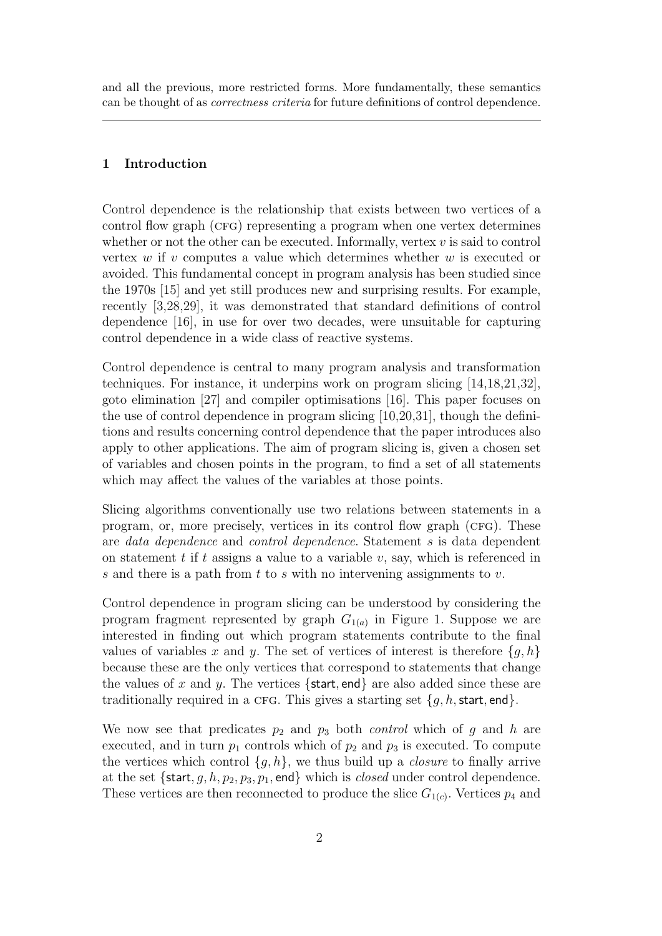and all the previous, more restricted forms. More fundamentally, these semantics can be thought of as correctness criteria for future definitions of control dependence.

# 1 Introduction

Control dependence is the relationship that exists between two vertices of a control flow graph (cfg) representing a program when one vertex determines whether or not the other can be executed. Informally, vertex  $v$  is said to control vertex  $w$  if  $v$  computes a value which determines whether  $w$  is executed or avoided. This fundamental concept in program analysis has been studied since the 1970s [15] and yet still produces new and surprising results. For example, recently [3,28,29], it was demonstrated that standard definitions of control dependence [16], in use for over two decades, were unsuitable for capturing control dependence in a wide class of reactive systems.

Control dependence is central to many program analysis and transformation techniques. For instance, it underpins work on program slicing [14,18,21,32], goto elimination [27] and compiler optimisations [16]. This paper focuses on the use of control dependence in program slicing [10,20,31], though the definitions and results concerning control dependence that the paper introduces also apply to other applications. The aim of program slicing is, given a chosen set of variables and chosen points in the program, to find a set of all statements which may affect the values of the variables at those points.

Slicing algorithms conventionally use two relations between statements in a program, or, more precisely, vertices in its control flow graph (cfg). These are data dependence and control dependence. Statement s is data dependent on statement t if t assigns a value to a variable v, say, which is referenced in s and there is a path from  $t$  to s with no intervening assignments to  $v$ .

Control dependence in program slicing can be understood by considering the program fragment represented by graph  $G_{1(a)}$  in Figure 1. Suppose we are interested in finding out which program statements contribute to the final values of variables x and y. The set of vertices of interest is therefore  $\{q, h\}$ because these are the only vertices that correspond to statements that change the values of x and y. The vertices  $\{$  start, end  $\}$  are also added since these are traditionally required in a CFG. This gives a starting set  $\{g, h, \text{start}, \text{end}\}.$ 

We now see that predicates  $p_2$  and  $p_3$  both *control* which of g and h are executed, and in turn  $p_1$  controls which of  $p_2$  and  $p_3$  is executed. To compute the vertices which control  $\{g, h\}$ , we thus build up a *closure* to finally arrive at the set {start,  $g, h, p_2, p_3, p_1, \text{end}$ } which is *closed* under control dependence. These vertices are then reconnected to produce the slice  $G_{1(c)}$ . Vertices  $p_4$  and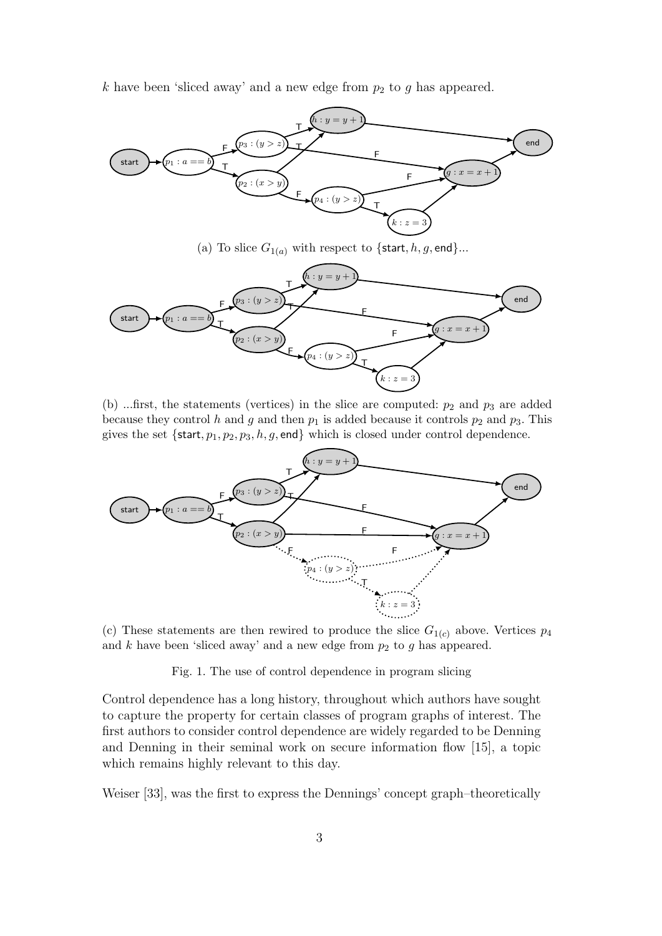k have been 'sliced away' and a new edge from  $p_2$  to g has appeared.



(a) To slice  $G_{1(a)}$  with respect to {start, h, g, end}...



(b) ...first, the statements (vertices) in the slice are computed:  $p_2$  and  $p_3$  are added because they control h and g and then  $p_1$  is added because it controls  $p_2$  and  $p_3$ . This gives the set  $\{start, p_1, p_2, p_3, h, g, \text{end}\}$  which is closed under control dependence.



(c) These statements are then rewired to produce the slice  $G_{1(c)}$  above. Vertices  $p_4$ and k have been 'sliced away' and a new edge from  $p_2$  to g has appeared.

## Fig. 1. The use of control dependence in program slicing

Control dependence has a long history, throughout which authors have sought to capture the property for certain classes of program graphs of interest. The first authors to consider control dependence are widely regarded to be Denning and Denning in their seminal work on secure information flow [15], a topic which remains highly relevant to this day.

Weiser [33], was the first to express the Dennings' concept graph–theoretically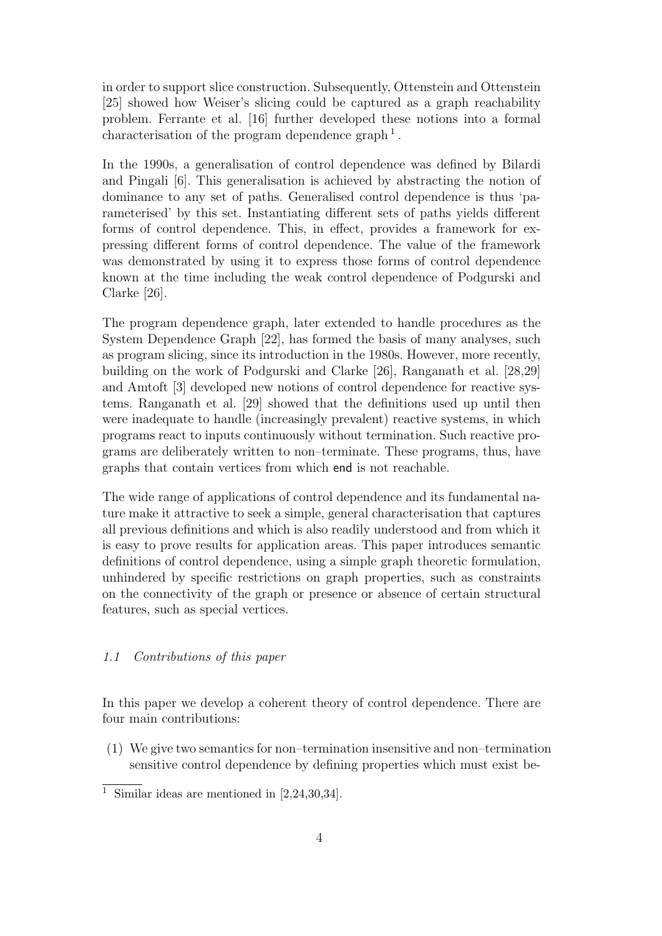in order to support slice construction. Subsequently, Ottenstein and Ottenstein [25] showed how Weiser's slicing could be captured as a graph reachability problem. Ferrante et al. [16] further developed these notions into a formal characterisation of the program dependence graph<sup>1</sup>.

In the 1990s, a generalisation of control dependence was defined by Bilardi and Pingali [6]. This generalisation is achieved by abstracting the notion of dominance to any set of paths. Generalised control dependence is thus 'parameterised' by this set. Instantiating different sets of paths yields different forms of control dependence. This, in effect, provides a framework for expressing different forms of control dependence. The value of the framework was demonstrated by using it to express those forms of control dependence known at the time including the weak control dependence of Podgurski and Clarke [26].

The program dependence graph, later extended to handle procedures as the System Dependence Graph [22], has formed the basis of many analyses, such as program slicing, since its introduction in the 1980s. However, more recently, building on the work of Podgurski and Clarke [26], Ranganath et al. [28,29] and Amtoft [3] developed new notions of control dependence for reactive systems. Ranganath et al. [29] showed that the definitions used up until then were inadequate to handle (increasingly prevalent) reactive systems, in which programs react to inputs continuously without termination. Such reactive programs are deliberately written to non–terminate. These programs, thus, have graphs that contain vertices from which end is not reachable.

The wide range of applications of control dependence and its fundamental nature make it attractive to seek a simple, general characterisation that captures all previous definitions and which is also readily understood and from which it is easy to prove results for application areas. This paper introduces semantic definitions of control dependence, using a simple graph theoretic formulation, unhindered by specific restrictions on graph properties, such as constraints on the connectivity of the graph or presence or absence of certain structural features, such as special vertices.

### 1.1 Contributions of this paper

In this paper we develop a coherent theory of control dependence. There are four main contributions:

(1) We give two semantics for non–termination insensitive and non–termination sensitive control dependence by defining properties which must exist be-

<sup>&</sup>lt;sup>1</sup> Similar ideas are mentioned in  $[2,24,30,34]$ .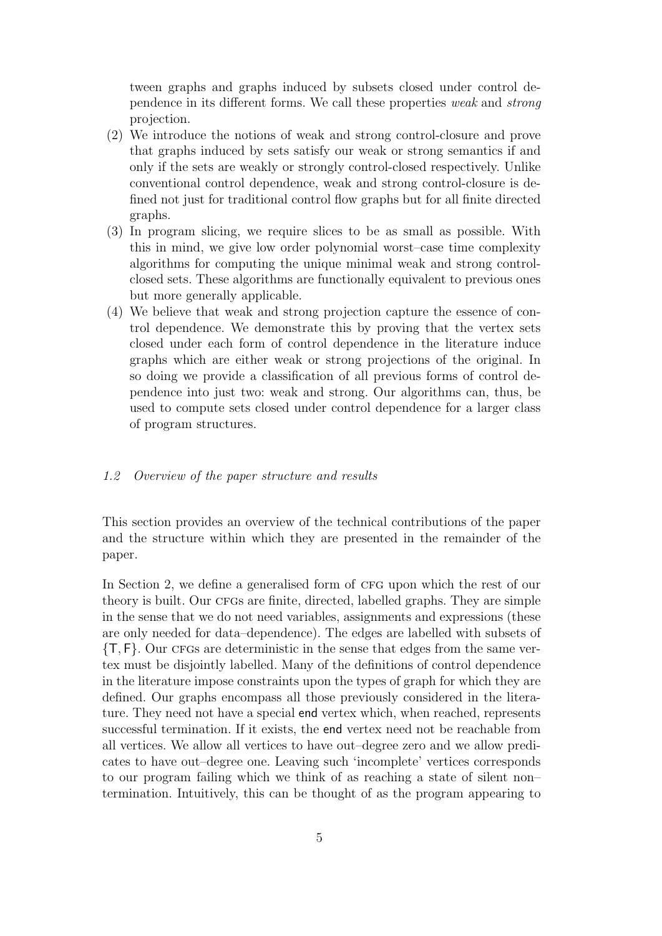tween graphs and graphs induced by subsets closed under control dependence in its different forms. We call these properties weak and strong projection.

- (2) We introduce the notions of weak and strong control-closure and prove that graphs induced by sets satisfy our weak or strong semantics if and only if the sets are weakly or strongly control-closed respectively. Unlike conventional control dependence, weak and strong control-closure is defined not just for traditional control flow graphs but for all finite directed graphs.
- (3) In program slicing, we require slices to be as small as possible. With this in mind, we give low order polynomial worst–case time complexity algorithms for computing the unique minimal weak and strong controlclosed sets. These algorithms are functionally equivalent to previous ones but more generally applicable.
- (4) We believe that weak and strong projection capture the essence of control dependence. We demonstrate this by proving that the vertex sets closed under each form of control dependence in the literature induce graphs which are either weak or strong projections of the original. In so doing we provide a classification of all previous forms of control dependence into just two: weak and strong. Our algorithms can, thus, be used to compute sets closed under control dependence for a larger class of program structures.

# 1.2 Overview of the paper structure and results

This section provides an overview of the technical contributions of the paper and the structure within which they are presented in the remainder of the paper.

In Section 2, we define a generalised form of CFG upon which the rest of our theory is built. Our CFGs are finite, directed, labelled graphs. They are simple in the sense that we do not need variables, assignments and expressions (these are only needed for data–dependence). The edges are labelled with subsets of  ${T, F}$ . Our crgs are deterministic in the sense that edges from the same vertex must be disjointly labelled. Many of the definitions of control dependence in the literature impose constraints upon the types of graph for which they are defined. Our graphs encompass all those previously considered in the literature. They need not have a special end vertex which, when reached, represents successful termination. If it exists, the end vertex need not be reachable from all vertices. We allow all vertices to have out–degree zero and we allow predicates to have out–degree one. Leaving such 'incomplete' vertices corresponds to our program failing which we think of as reaching a state of silent non– termination. Intuitively, this can be thought of as the program appearing to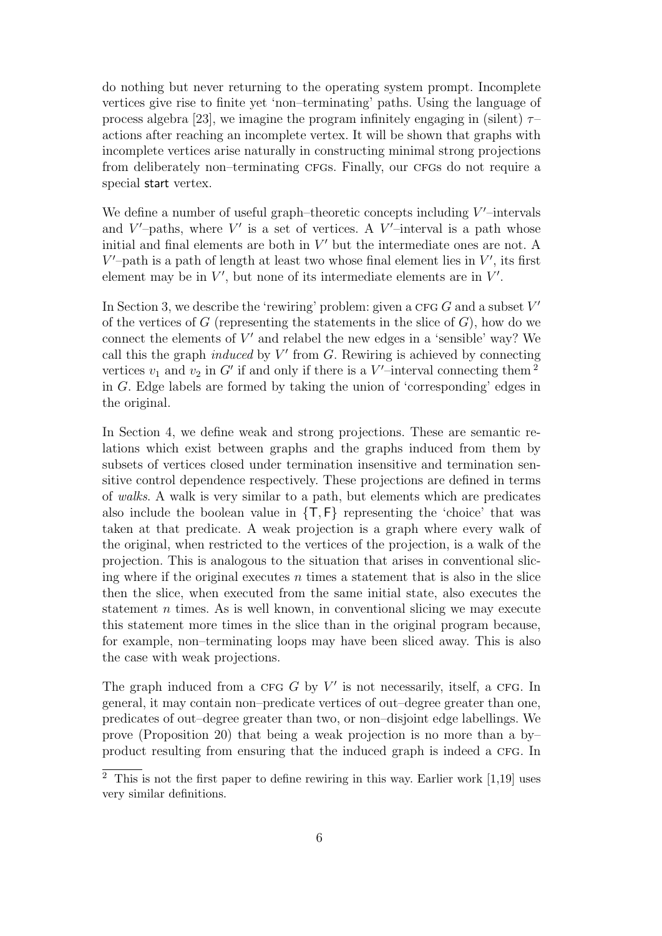do nothing but never returning to the operating system prompt. Incomplete vertices give rise to finite yet 'non–terminating' paths. Using the language of process algebra [23], we imagine the program infinitely engaging in (silent)  $\tau$ actions after reaching an incomplete vertex. It will be shown that graphs with incomplete vertices arise naturally in constructing minimal strong projections from deliberately non–terminating CFGs. Finally, our CFGs do not require a special start vertex.

We define a number of useful graph–theoretic concepts including  $V'$ –intervals and  $V'$ -paths, where  $V'$  is a set of vertices. A  $V'$ -interval is a path whose initial and final elements are both in  $V'$  but the intermediate ones are not. A  $V'$ -path is a path of length at least two whose final element lies in  $V'$ , its first element may be in  $V'$ , but none of its intermediate elements are in  $V'$ .

In Section 3, we describe the 'rewiring' problem: given a CFG  $G$  and a subset  $V'$ of the vertices of G (representing the statements in the slice of  $G$ ), how do we connect the elements of  $V'$  and relabel the new edges in a 'sensible' way? We call this the graph *induced* by  $V'$  from  $G$ . Rewiring is achieved by connecting vertices  $v_1$  and  $v_2$  in G' if and only if there is a V'-interval connecting them<sup>2</sup> in G. Edge labels are formed by taking the union of 'corresponding' edges in the original.

In Section 4, we define weak and strong projections. These are semantic relations which exist between graphs and the graphs induced from them by subsets of vertices closed under termination insensitive and termination sensitive control dependence respectively. These projections are defined in terms of walks. A walk is very similar to a path, but elements which are predicates also include the boolean value in  $\{T, F\}$  representing the 'choice' that was taken at that predicate. A weak projection is a graph where every walk of the original, when restricted to the vertices of the projection, is a walk of the projection. This is analogous to the situation that arises in conventional slicing where if the original executes  $n$  times a statement that is also in the slice then the slice, when executed from the same initial state, also executes the statement  $n$  times. As is well known, in conventional slicing we may execute this statement more times in the slice than in the original program because, for example, non–terminating loops may have been sliced away. This is also the case with weak projections.

The graph induced from a CFG  $G$  by  $V'$  is not necessarily, itself, a CFG. In general, it may contain non–predicate vertices of out–degree greater than one, predicates of out–degree greater than two, or non–disjoint edge labellings. We prove (Proposition 20) that being a weak projection is no more than a by– product resulting from ensuring that the induced graph is indeed a cfg. In

 $2$  This is not the first paper to define rewiring in this way. Earlier work [1,19] uses very similar definitions.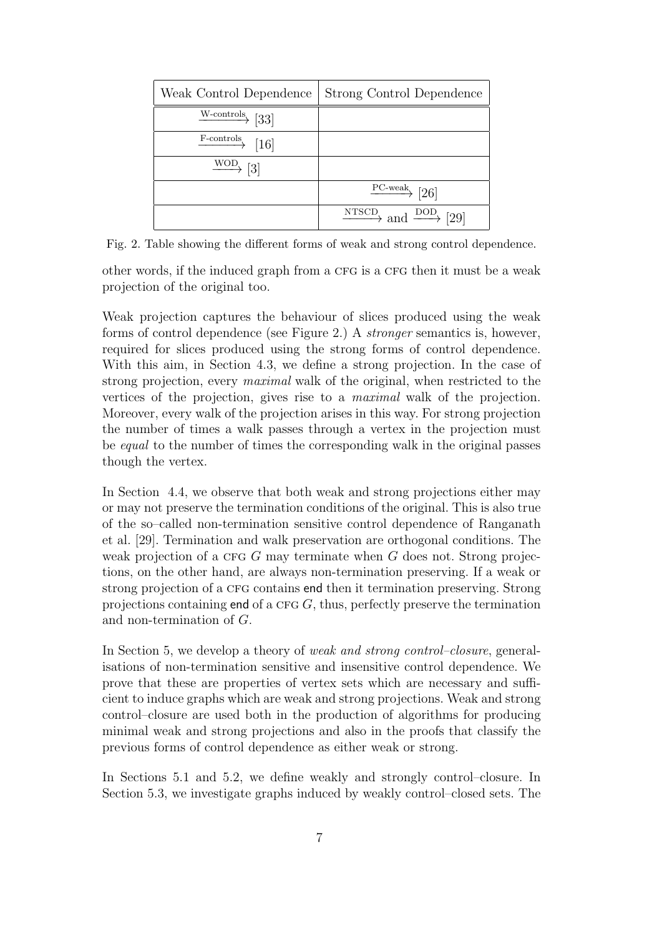| Weak Control Dependence                   | Strong Control Dependence                                         |
|-------------------------------------------|-------------------------------------------------------------------|
| $\xrightarrow{\text{W-controls}}$ [33]    |                                                                   |
| $\overrightarrow{F\text{-controls}}$ [16] |                                                                   |
| $\xrightarrow{\text{WOD}}$ [3]            |                                                                   |
|                                           | $\xrightarrow{\text{PC-weak}}$ [26]                               |
|                                           | $\xrightarrow{\text{NTSCD}}$ and $\xrightarrow{\text{DOD}}$<br>29 |

Fig. 2. Table showing the different forms of weak and strong control dependence.

other words, if the induced graph from a CFG is a CFG then it must be a weak projection of the original too.

Weak projection captures the behaviour of slices produced using the weak forms of control dependence (see Figure 2.) A stronger semantics is, however, required for slices produced using the strong forms of control dependence. With this aim, in Section 4.3, we define a strong projection. In the case of strong projection, every maximal walk of the original, when restricted to the vertices of the projection, gives rise to a maximal walk of the projection. Moreover, every walk of the projection arises in this way. For strong projection the number of times a walk passes through a vertex in the projection must be equal to the number of times the corresponding walk in the original passes though the vertex.

In Section 4.4, we observe that both weak and strong projections either may or may not preserve the termination conditions of the original. This is also true of the so–called non-termination sensitive control dependence of Ranganath et al. [29]. Termination and walk preservation are orthogonal conditions. The weak projection of a CFG  $G$  may terminate when  $G$  does not. Strong projections, on the other hand, are always non-termination preserving. If a weak or strong projection of a CFG contains end then it termination preserving. Strong projections containing end of a CFG  $G$ , thus, perfectly preserve the termination and non-termination of G.

In Section 5, we develop a theory of weak and strong control–closure, generalisations of non-termination sensitive and insensitive control dependence. We prove that these are properties of vertex sets which are necessary and sufficient to induce graphs which are weak and strong projections. Weak and strong control–closure are used both in the production of algorithms for producing minimal weak and strong projections and also in the proofs that classify the previous forms of control dependence as either weak or strong.

In Sections 5.1 and 5.2, we define weakly and strongly control–closure. In Section 5.3, we investigate graphs induced by weakly control–closed sets. The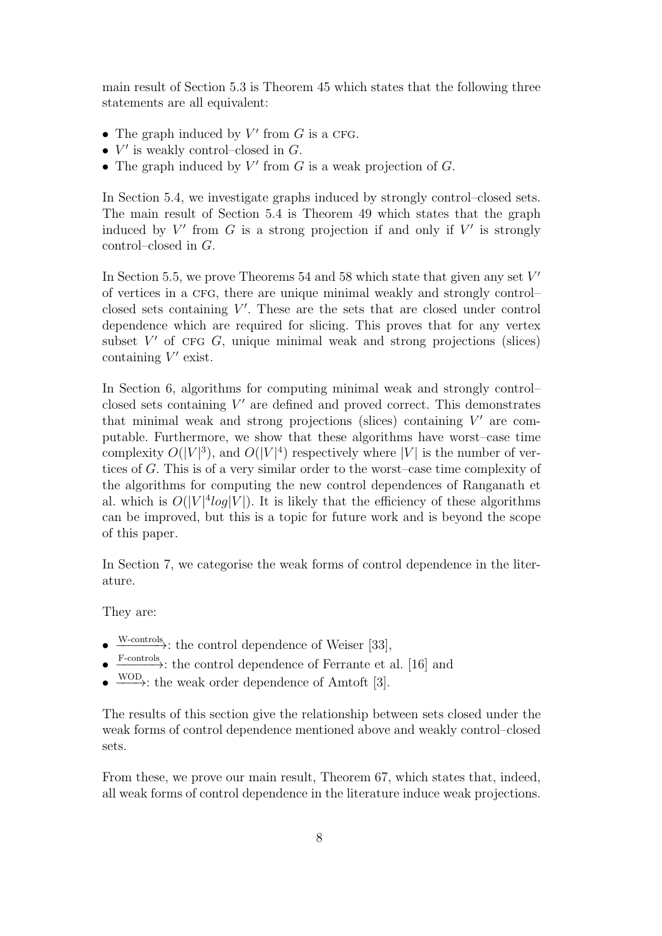main result of Section 5.3 is Theorem 45 which states that the following three statements are all equivalent:

- The graph induced by  $V'$  from  $G$  is a CFG.
- $V'$  is weakly control-closed in  $G$ .
- The graph induced by  $V'$  from  $G$  is a weak projection of  $G$ .

In Section 5.4, we investigate graphs induced by strongly control–closed sets. The main result of Section 5.4 is Theorem 49 which states that the graph induced by  $V'$  from  $G$  is a strong projection if and only if  $V'$  is strongly control–closed in G.

In Section 5.5, we prove Theorems 54 and 58 which state that given any set  $V'$ of vertices in a cfg, there are unique minimal weakly and strongly control– closed sets containing  $V'$ . These are the sets that are closed under control dependence which are required for slicing. This proves that for any vertex subset  $V'$  of CFG  $G$ , unique minimal weak and strong projections (slices) containing  $V'$  exist.

In Section 6, algorithms for computing minimal weak and strongly control– closed sets containing  $V'$  are defined and proved correct. This demonstrates that minimal weak and strong projections (slices) containing  $V'$  are computable. Furthermore, we show that these algorithms have worst–case time complexity  $O(|V|^3)$ , and  $O(|V|^4)$  respectively where |V| is the number of vertices of G. This is of a very similar order to the worst–case time complexity of the algorithms for computing the new control dependences of Ranganath et al. which is  $O(|V|^4 log |V|)$ . It is likely that the efficiency of these algorithms can be improved, but this is a topic for future work and is beyond the scope of this paper.

In Section 7, we categorise the weak forms of control dependence in the literature.

They are:

- $\frac{\text{W-controls}}{2}$ : the control dependence of Weiser [33],
- $\frac{\text{F-controls}}{\text{F-control}}$ : the control dependence of Ferrante et al. [16] and
- $\xrightarrow{\text{WOD}}$ : the weak order dependence of Amtoft [3].

The results of this section give the relationship between sets closed under the weak forms of control dependence mentioned above and weakly control–closed sets.

From these, we prove our main result, Theorem 67, which states that, indeed, all weak forms of control dependence in the literature induce weak projections.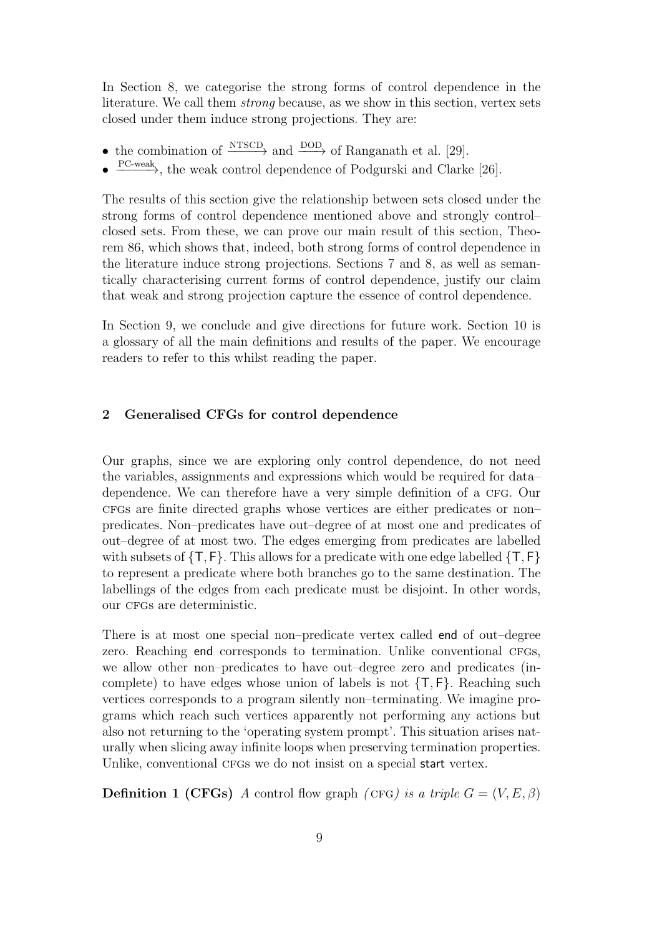In Section 8, we categorise the strong forms of control dependence in the literature. We call them strong because, as we show in this section, vertex sets closed under them induce strong projections. They are:

- the combination of  $\frac{\text{NTSCD}}{\text{max}}$  and  $\frac{\text{DOD}}{\text{max}}$  of Ranganath et al. [29].
- $\frac{\text{PC-weak}}{\text{C-weak}}$ , the weak control dependence of Podgurski and Clarke [26].

The results of this section give the relationship between sets closed under the strong forms of control dependence mentioned above and strongly control– closed sets. From these, we can prove our main result of this section, Theorem 86, which shows that, indeed, both strong forms of control dependence in the literature induce strong projections. Sections 7 and 8, as well as semantically characterising current forms of control dependence, justify our claim that weak and strong projection capture the essence of control dependence.

In Section 9, we conclude and give directions for future work. Section 10 is a glossary of all the main definitions and results of the paper. We encourage readers to refer to this whilst reading the paper.

#### 2 Generalised CFGs for control dependence

Our graphs, since we are exploring only control dependence, do not need the variables, assignments and expressions which would be required for data– dependence. We can therefore have a very simple definition of a cfg. Our cfgs are finite directed graphs whose vertices are either predicates or non– predicates. Non–predicates have out–degree of at most one and predicates of out–degree of at most two. The edges emerging from predicates are labelled with subsets of  $\{T, F\}$ . This allows for a predicate with one edge labelled  $\{T, F\}$ to represent a predicate where both branches go to the same destination. The labellings of the edges from each predicate must be disjoint. In other words, our CFGs are deterministic.

There is at most one special non–predicate vertex called end of out–degree zero. Reaching end corresponds to termination. Unlike conventional CFGs, we allow other non–predicates to have out–degree zero and predicates (incomplete) to have edges whose union of labels is not  $\{T, F\}$ . Reaching such vertices corresponds to a program silently non–terminating. We imagine programs which reach such vertices apparently not performing any actions but also not returning to the 'operating system prompt'. This situation arises naturally when slicing away infinite loops when preserving termination properties. Unlike, conventional CFGs we do not insist on a special start vertex.

**Definition 1 (CFGs)** A control flow graph (CFG) is a triple  $G = (V, E, \beta)$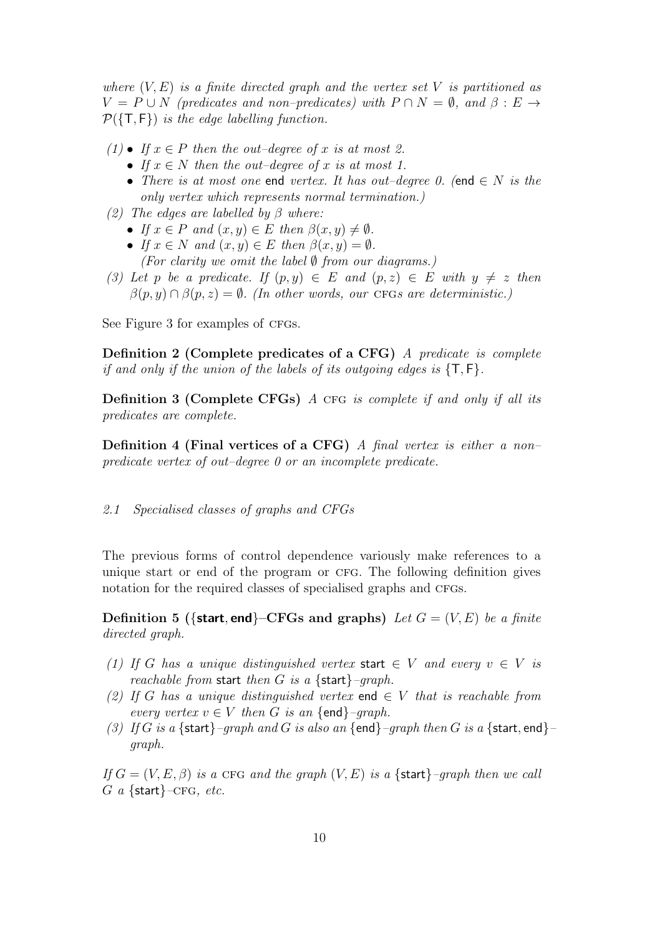where  $(V, E)$  is a finite directed graph and the vertex set V is partitioned as  $V = P \cup N$  (predicates and non–predicates) with  $P \cap N = \emptyset$ , and  $\beta : E \rightarrow$  $P({\mathsf{T},\mathsf{F}})$  is the edge labelling function.

- $(1) \bullet$  If  $x \in P$  then the out-degree of x is at most 2.
	- If  $x \in N$  then the out-degree of x is at most 1.
	- There is at most one end vertex. It has out–degree 0. (end  $\in N$  is the only vertex which represents normal termination.)
- (2) The edges are labelled by  $\beta$  where:
	- If  $x \in P$  and  $(x, y) \in E$  then  $\beta(x, y) \neq \emptyset$ .
	- If  $x \in N$  and  $(x, y) \in E$  then  $\beta(x, y) = \emptyset$ . (For clarity we omit the label  $\emptyset$  from our diagrams.)
- (3) Let p be a predicate. If  $(p, y) \in E$  and  $(p, z) \in E$  with  $y \neq z$  then  $\beta(p, y) \cap \beta(p, z) = \emptyset$ . (In other words, our CFGs are deterministic.)

See Figure 3 for examples of CFGs.

Definition 2 (Complete predicates of a CFG) A predicate is complete if and only if the union of the labels of its outgoing edges is  $\{\mathsf{T},\mathsf{F}\}.$ 

**Definition 3 (Complete CFGs)**  $\overline{A}$  cfg is complete if and only if all its predicates are complete.

**Definition 4 (Final vertices of a CFG)** A final vertex is either a non– predicate vertex of out–degree 0 or an incomplete predicate.

### 2.1 Specialised classes of graphs and CFGs

The previous forms of control dependence variously make references to a unique start or end of the program or cfg. The following definition gives notation for the required classes of specialised graphs and CFGs.

**Definition 5** ({**start, end**}–CFGs and graphs) Let  $G = (V, E)$  be a finite directed graph.

- (1) If G has a unique distinguished vertex start  $\in V$  and every  $v \in V$  is reachable from start then G is a  $\{start\}$ -graph.
- (2) If G has a unique distinguished vertex end  $\in V$  that is reachable from every vertex  $v \in V$  then G is an {end}-graph.
- (3) If G is a {start}-graph and G is also an {end}-graph then G is a {start, end}graph.

If  $G = (V, E, \beta)$  is a CFG and the graph  $(V, E)$  is a {start}-graph then we call  $G$  a {start}-CFG, etc.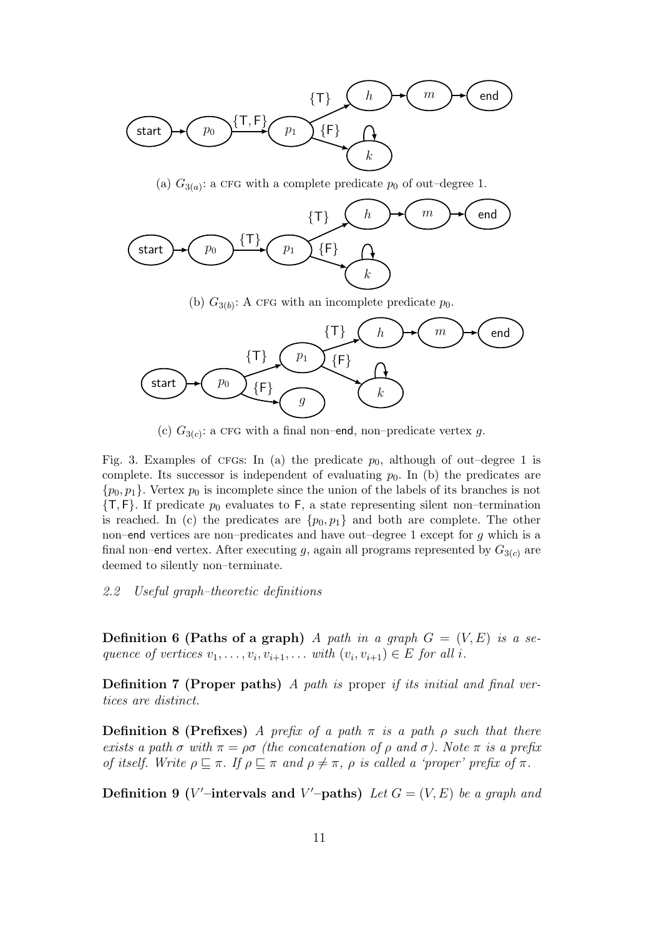

(a)  $G_{3(a)}$ : a CFG with a complete predicate  $p_0$  of out-degree 1.



(b)  $G_{3(b)}$ : A CFG with an incomplete predicate  $p_0$ .



(c)  $G_{3(c)}$ : a CFG with a final non–end, non–predicate vertex g.

Fig. 3. Examples of CFGs: In (a) the predicate  $p_0$ , although of out–degree 1 is complete. Its successor is independent of evaluating  $p_0$ . In (b) the predicates are  ${p_0, p_1}$ . Vertex  $p_0$  is incomplete since the union of the labels of its branches is not  ${T, F}$ . If predicate  $p_0$  evaluates to F, a state representing silent non-termination is reached. In (c) the predicates are  $\{p_0, p_1\}$  and both are complete. The other non–end vertices are non–predicates and have out–degree 1 except for  $g$  which is a final non–end vertex. After executing g, again all programs represented by  $G_{3(c)}$  are deemed to silently non–terminate.

# 2.2 Useful graph–theoretic definitions

**Definition 6 (Paths of a graph)** A path in a graph  $G = (V, E)$  is a sequence of vertices  $v_1, \ldots, v_i, v_{i+1}, \ldots$  with  $(v_i, v_{i+1}) \in E$  for all i.

Definition 7 (Proper paths) A path is proper if its initial and final vertices are distinct.

Definition 8 (Prefixes) A prefix of a path  $\pi$  is a path  $\rho$  such that there exists a path  $\sigma$  with  $\pi = \rho \sigma$  (the concatenation of  $\rho$  and  $\sigma$ ). Note  $\pi$  is a prefix of itself. Write  $\rho \sqsubseteq \pi$ . If  $\rho \sqsubseteq \pi$  and  $\rho \neq \pi$ ,  $\rho$  is called a 'proper' prefix of  $\pi$ .

**Definition 9** (V'-intervals and V'-paths) Let  $G = (V, E)$  be a graph and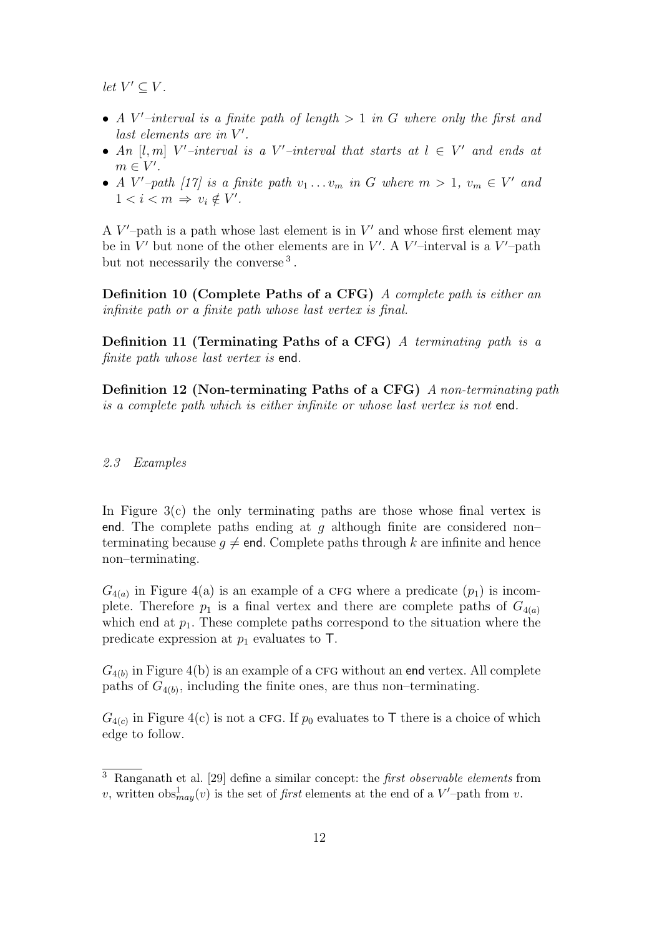let  $V' \subseteq V$ .

- A V'-interval is a finite path of length  $> 1$  in G where only the first and  $last$  elements are in  $V'$ .
- An [l, m] V'-interval is a V'-interval that starts at  $l \in V'$  and ends at  $m \in V'.$
- A V'-path [17] is a finite path  $v_1 \ldots v_m$  in G where  $m > 1$ ,  $v_m \in V'$  and  $1 < i < m \Rightarrow v_i \notin V'.$

A  $V'$ -path is a path whose last element is in  $V'$  and whose first element may be in  $V'$  but none of the other elements are in  $V'$ . A  $V'$ -interval is a  $V'$ -path but not necessarily the converse<sup>3</sup>.

Definition 10 (Complete Paths of a CFG) A complete path is either an infinite path or a finite path whose last vertex is final.

**Definition 11 (Terminating Paths of a CFG)** A terminating path is a finite path whose last vertex is end.

Definition 12 (Non-terminating Paths of a CFG) A non-terminating path is a complete path which is either infinite or whose last vertex is not end.

### 2.3 Examples

In Figure  $3(c)$  the only terminating paths are those whose final vertex is end. The complete paths ending at q although finite are considered non– terminating because  $q \neq \text{end}$ . Complete paths through k are infinite and hence non–terminating.

 $G_{4(a)}$  in Figure 4(a) is an example of a CFG where a predicate  $(p_1)$  is incomplete. Therefore  $p_1$  is a final vertex and there are complete paths of  $G_{4(a)}$ which end at  $p_1$ . These complete paths correspond to the situation where the predicate expression at  $p_1$  evaluates to T.

 $G_{4(b)}$  in Figure 4(b) is an example of a CFG without an end vertex. All complete paths of  $G_{4(b)}$ , including the finite ones, are thus non-terminating.

 $G_{4(c)}$  in Figure 4(c) is not a CFG. If  $p_0$  evaluates to T there is a choice of which edge to follow.

<sup>3</sup> Ranganath et al. [29] define a similar concept: the first observable elements from v, written  $obs_{may}^1(v)$  is the set of *first* elements at the end of a  $V'$ -path from v.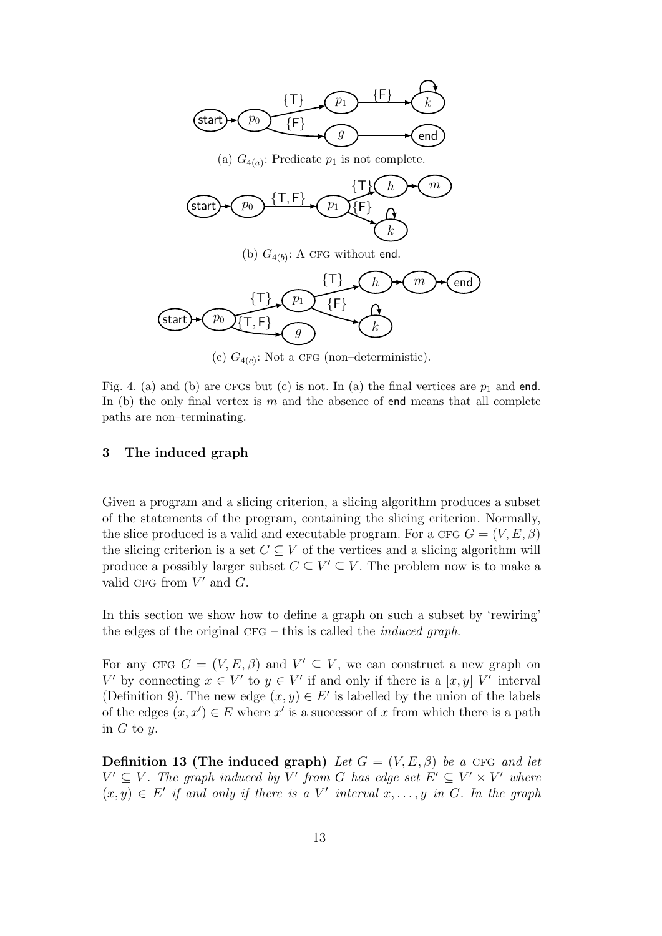

Fig. 4. (a) and (b) are CFGs but (c) is not. In (a) the final vertices are  $p_1$  and end. In (b) the only final vertex is  $m$  and the absence of end means that all complete paths are non–terminating.

#### 3 The induced graph

Given a program and a slicing criterion, a slicing algorithm produces a subset of the statements of the program, containing the slicing criterion. Normally, the slice produced is a valid and executable program. For a CFG  $G = (V, E, \beta)$ the slicing criterion is a set  $C \subseteq V$  of the vertices and a slicing algorithm will produce a possibly larger subset  $C \subseteq V' \subseteq V$ . The problem now is to make a valid CFG from  $V'$  and  $G$ .

In this section we show how to define a graph on such a subset by 'rewiring' the edges of the original  $CFG$  – this is called the *induced graph*.

For any CFG  $G = (V, E, \beta)$  and  $V' \subseteq V$ , we can construct a new graph on V' by connecting  $x \in V'$  to  $y \in V'$  if and only if there is a [x, y] V'-interval (Definition 9). The new edge  $(x, y) \in E'$  is labelled by the union of the labels of the edges  $(x, x') \in E$  where x' is a successor of x from which there is a path in  $G$  to  $y$ .

Definition 13 (The induced graph) Let  $G = (V, E, \beta)$  be a CFG and let  $V' \subseteq V$ . The graph induced by V' from G has edge set  $E' \subseteq V' \times V'$  where  $(x, y) \in E'$  if and only if there is a V'-interval  $x, \ldots, y$  in G. In the graph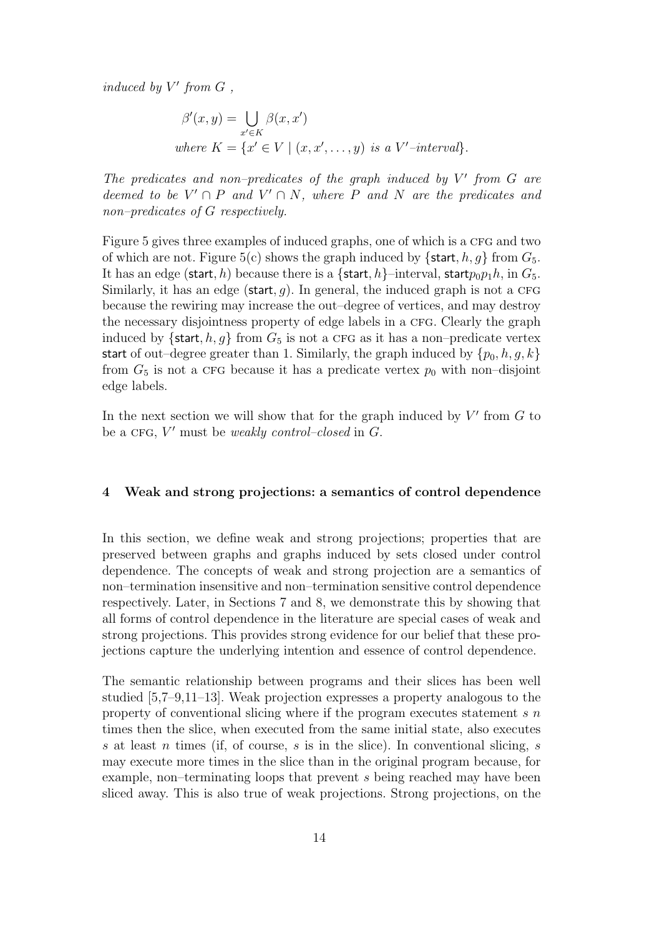induced by  $V'$  from  $G$ ,

$$
\beta'(x, y) = \bigcup_{x' \in K} \beta(x, x')
$$
  
where  $K = \{x' \in V \mid (x, x', \dots, y) \text{ is a } V' - interval\}.$ 

The predicates and non-predicates of the graph induced by  $V'$  from  $G$  are deemed to be  $V' \cap P$  and  $V' \cap N$ , where P and N are the predicates and non–predicates of G respectively.

Figure 5 gives three examples of induced graphs, one of which is a CFG and two of which are not. Figure 5(c) shows the graph induced by  $\{\text{start}, h, g\}$  from  $G_5$ . It has an edge (start, h) because there is a {start, h}-interval, start $p_0p_1h$ , in  $G_5$ . Similarly, it has an edge (start,  $g$ ). In general, the induced graph is not a CFG because the rewiring may increase the out–degree of vertices, and may destroy the necessary disjointness property of edge labels in a CFG. Clearly the graph induced by  $\{$ start,  $h, g\}$  from  $G_5$  is not a CFG as it has a non–predicate vertex start of out–degree greater than 1. Similarly, the graph induced by  $\{p_0, h, g, k\}$ from  $G_5$  is not a CFG because it has a predicate vertex  $p_0$  with non-disjoint edge labels.

In the next section we will show that for the graph induced by  $V'$  from  $G$  to be a CFG,  $V'$  must be *weakly control-closed* in  $\tilde{G}$ .

# 4 Weak and strong projections: a semantics of control dependence

In this section, we define weak and strong projections; properties that are preserved between graphs and graphs induced by sets closed under control dependence. The concepts of weak and strong projection are a semantics of non–termination insensitive and non–termination sensitive control dependence respectively. Later, in Sections 7 and 8, we demonstrate this by showing that all forms of control dependence in the literature are special cases of weak and strong projections. This provides strong evidence for our belief that these projections capture the underlying intention and essence of control dependence.

The semantic relationship between programs and their slices has been well studied [5,7–9,11–13]. Weak projection expresses a property analogous to the property of conventional slicing where if the program executes statement  $s$  n times then the slice, when executed from the same initial state, also executes s at least n times (if, of course, s is in the slice). In conventional slicing, s may execute more times in the slice than in the original program because, for example, non–terminating loops that prevent s being reached may have been sliced away. This is also true of weak projections. Strong projections, on the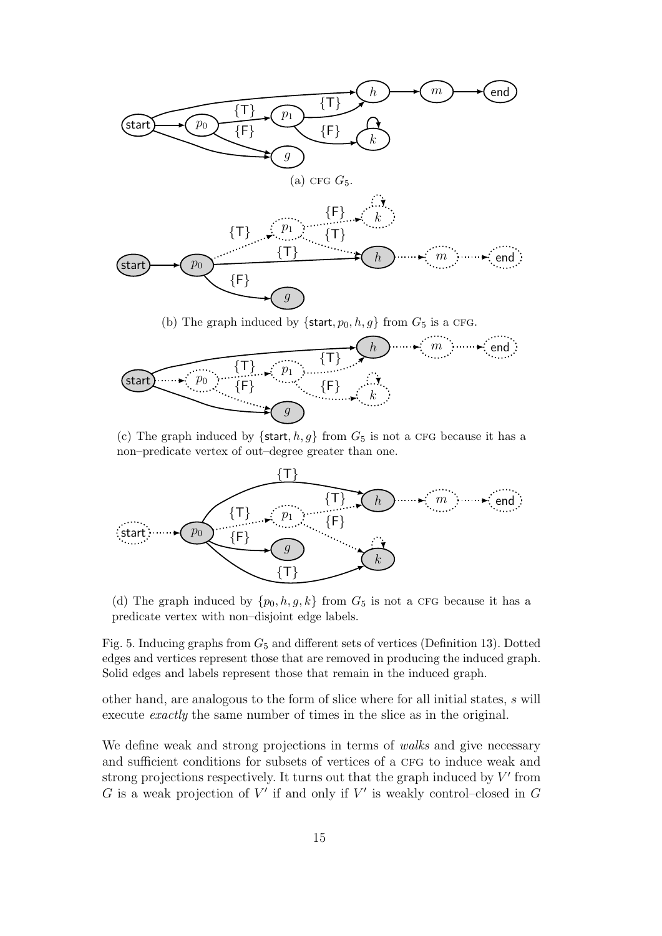



(c) The graph induced by  $\{\text{start}, h, g\}$  from  $G_5$  is not a CFG because it has a non–predicate vertex of out–degree greater than one.



(d) The graph induced by  $\{p_0, h, g, k\}$  from  $G_5$  is not a CFG because it has a predicate vertex with non–disjoint edge labels.

Fig. 5. Inducing graphs from  $G_5$  and different sets of vertices (Definition 13). Dotted edges and vertices represent those that are removed in producing the induced graph. Solid edges and labels represent those that remain in the induced graph.

other hand, are analogous to the form of slice where for all initial states, s will execute *exactly* the same number of times in the slice as in the original.

We define weak and strong projections in terms of *walks* and give necessary and sufficient conditions for subsets of vertices of a CFG to induce weak and strong projections respectively. It turns out that the graph induced by  $V'$  from  $G$  is a weak projection of  $V'$  if and only if  $V'$  is weakly control-closed in  $G$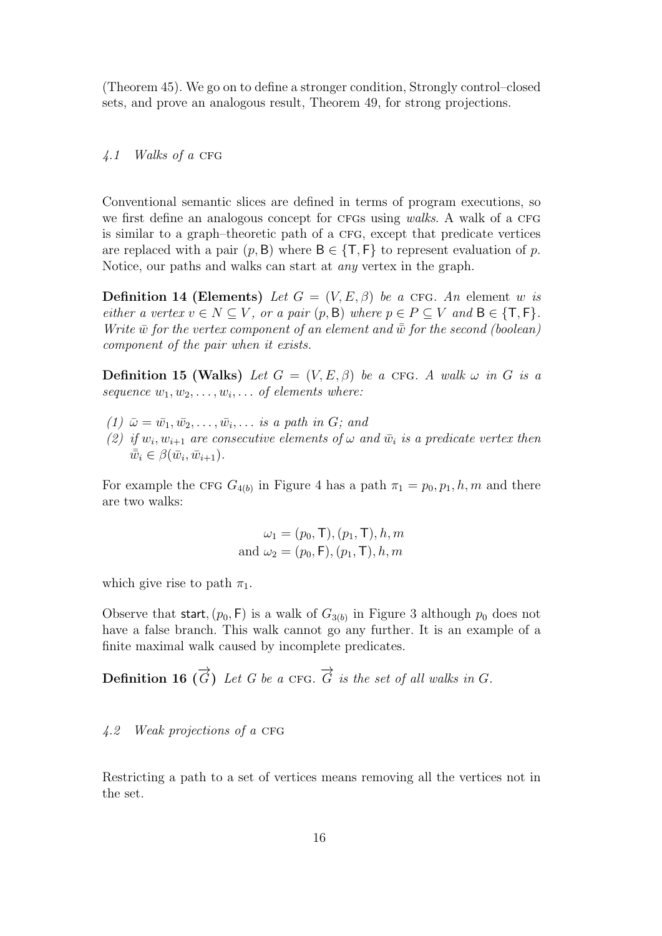(Theorem 45). We go on to define a stronger condition, Strongly control–closed sets, and prove an analogous result, Theorem 49, for strong projections.

# $4.1$  Walks of a CFG

Conventional semantic slices are defined in terms of program executions, so we first define an analogous concept for CFGs using walks. A walk of a CFG is similar to a graph–theoretic path of a CFG, except that predicate vertices are replaced with a pair  $(p, B)$  where  $B \in \{T, F\}$  to represent evaluation of p. Notice, our paths and walks can start at any vertex in the graph.

**Definition 14 (Elements)** Let  $G = (V, E, \beta)$  be a CFG. An element w is either a vertex  $v \in N \subseteq V$ , or a pair  $(p, \mathsf{B})$  where  $p \in P \subseteq V$  and  $\mathsf{B} \in \{\mathsf{T}, \mathsf{F}\}.$ Write  $\bar{w}$  for the vertex component of an element and  $\bar{\bar{w}}$  for the second (boolean) component of the pair when it exists.

**Definition 15 (Walks)** Let  $G = (V, E, \beta)$  be a CFG. A walk  $\omega$  in G is a sequence  $w_1, w_2, \ldots, w_i, \ldots$  of elements where:

- $(1)$   $\bar{\omega} = \bar{w_1}, \bar{w_2}, \ldots, \bar{w_i}, \ldots$  is a path in G; and
- (2) if  $w_i, w_{i+1}$  are consecutive elements of  $\omega$  and  $\bar{w}_i$  is a predicate vertex then  $\bar{\bar{w}}_i \in \beta(\bar{w}_i, \bar{w}_{i+1}).$

For example the CFG  $G_{4(b)}$  in Figure 4 has a path  $\pi_1 = p_0, p_1, h, m$  and there are two walks:

$$
\omega_1 = (p_0, \mathsf{T}), (p_1, \mathsf{T}), h, m
$$
  
and  $\omega_2 = (p_0, \mathsf{F}), (p_1, \mathsf{T}), h, m$ 

which give rise to path  $\pi_1$ .

Observe that start,  $(p_0, \mathsf{F})$  is a walk of  $G_{3(b)}$  in Figure 3 although  $p_0$  does not have a false branch. This walk cannot go any further. It is an example of a finite maximal walk caused by incomplete predicates.

**Definition 16**  $(\overrightarrow{G})$  Let G be a CFG.  $\overrightarrow{G}$  is the set of all walks in G.

# $4.2$  Weak projections of a CFG

Restricting a path to a set of vertices means removing all the vertices not in the set.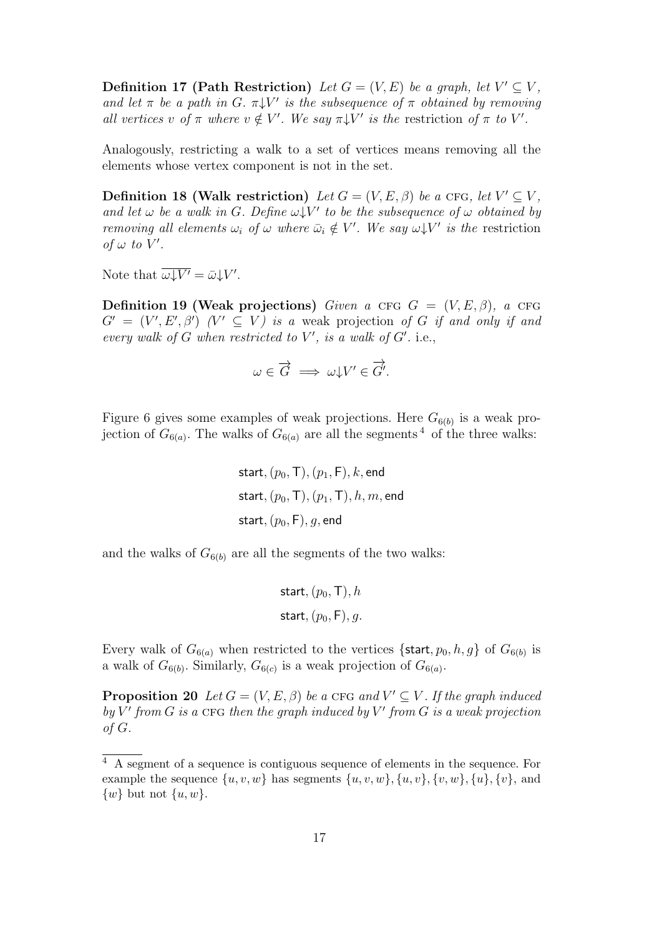**Definition 17 (Path Restriction)** Let  $G = (V, E)$  be a graph, let  $V' \subseteq V$ , and let  $\pi$  be a path in G.  $\pi \downarrow V'$  is the subsequence of  $\pi$  obtained by removing all vertices v of  $\pi$  where  $v \notin V'$ . We say  $\pi \downarrow V'$  is the restriction of  $\pi$  to V'.

Analogously, restricting a walk to a set of vertices means removing all the elements whose vertex component is not in the set.

Definition 18 (Walk restriction) Let  $G = (V, E, \beta)$  be a CFG, let  $V' \subseteq V$ , and let  $\omega$  be a walk in G. Define  $\omega V'$  to be the subsequence of  $\omega$  obtained by removing all elements  $\omega_i$  of  $\omega$  where  $\bar{\omega}_i \notin V'$ . We say  $\omega \downarrow V'$  is the restriction of  $\omega$  to  $V'$ .

Note that  $\overline{\omega V'} = \overline{\omega} V'.$ 

Definition 19 (Weak projections) Given a CFG  $G = (V, E, \beta)$ , a CFG  $G' = (V', E', \beta')$   $(V' \subseteq V)$  is a weak projection of G if and only if and every walk of G when restricted to  $V'$ , is a walk of  $G'$ . i.e.,

$$
\omega \in \overrightarrow{G} \implies \omega \downarrow V' \in \overrightarrow{G'}
$$

Figure 6 gives some examples of weak projections. Here  $G_{6(b)}$  is a weak projection of  $G_{6(a)}$ . The walks of  $G_{6(a)}$  are all the segments<sup>4</sup> of the three walks:

> start,  $(p_0, T)$ ,  $(p_1, F)$ , k, end start,  $(p_0, T), (p_1, T), h, m$ , end start,  $(p_0, F)$ ,  $q$ , end

and the walks of  $G_{6(b)}$  are all the segments of the two walks:

start, 
$$
(p_0, \mathsf{T})
$$
,  $h$   
start,  $(p_0, \mathsf{F})$ ,  $g$ .

Every walk of  $G_{6(a)}$  when restricted to the vertices  $\{\text{start}, p_0, h, g\}$  of  $G_{6(b)}$  is a walk of  $G_{6(b)}$ . Similarly,  $G_{6(c)}$  is a weak projection of  $G_{6(a)}$ .

**Proposition 20** Let  $G = (V, E, \beta)$  be a CFG and  $V' \subseteq V$ . If the graph induced by  $V'$  from  $G$  is a CFG then the graph induced by  $V'$  from  $G$  is a weak projection of G.

<sup>4</sup> A segment of a sequence is contiguous sequence of elements in the sequence. For example the sequence  $\{u, v, w\}$  has segments  $\{u, v, w\}$ ,  $\{u, v\}$ ,  $\{v, w\}$ ,  $\{v, w\}$ ,  $\{v\}$ , and  $\{w\}$  but not  $\{u, w\}.$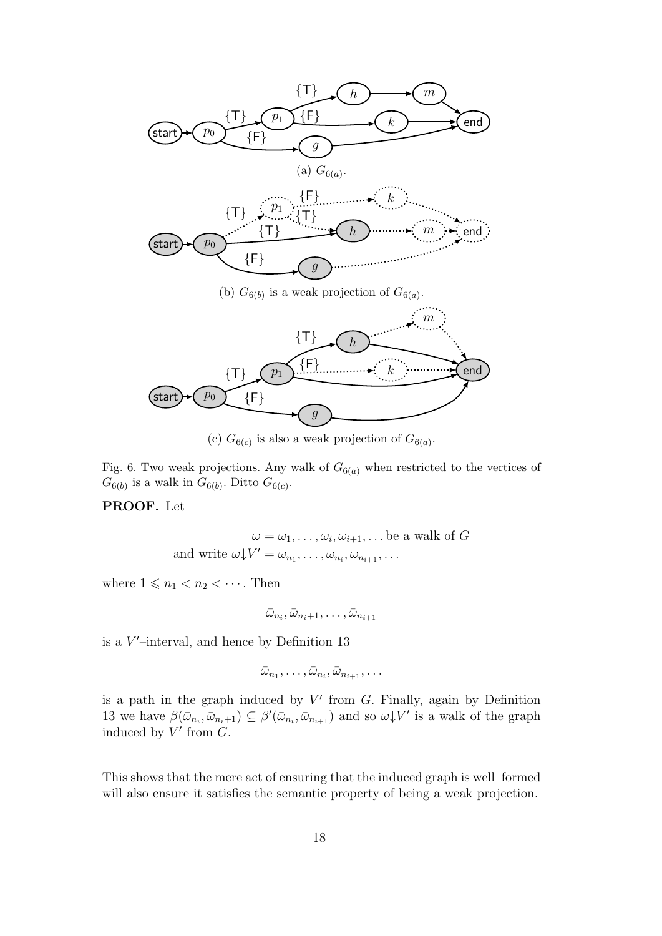

(c)  $G_{6(c)}$  is also a weak projection of  $G_{6(a)}$ .

Fig. 6. Two weak projections. Any walk of  $G_{6(a)}$  when restricted to the vertices of  $G_{6(b)}$  is a walk in  $G_{6(b)}$ . Ditto  $G_{6(c)}$ .

# PROOF. Let

$$
\omega = \omega_1, \dots, \omega_i, \omega_{i+1}, \dots
$$
 be a walk of  $G$   
and write  $\omega \downarrow V' = \omega_{n_1}, \dots, \omega_{n_i}, \omega_{n_{i+1}}, \dots$ 

where  $1 \leq n_1 < n_2 < \cdots$ . Then

$$
\bar{\omega}_{n_i}, \bar{\omega}_{n_i+1}, \ldots, \bar{\omega}_{n_{i+1}}
$$

is a  $V'$ -interval, and hence by Definition 13

$$
\bar{\omega}_{n_1},\ldots,\bar{\omega}_{n_i},\bar{\omega}_{n_{i+1}},\ldots
$$

is a path in the graph induced by  $V'$  from  $G$ . Finally, again by Definition 13 we have  $\beta(\bar{\omega}_{n_i}, \bar{\omega}_{n_i+1}) \subseteq \beta'(\bar{\omega}_{n_i}, \bar{\omega}_{n_{i+1}})$  and so  $\omega V'$  is a walk of the graph induced by  $V'$  from  $G$ .

This shows that the mere act of ensuring that the induced graph is well–formed will also ensure it satisfies the semantic property of being a weak projection.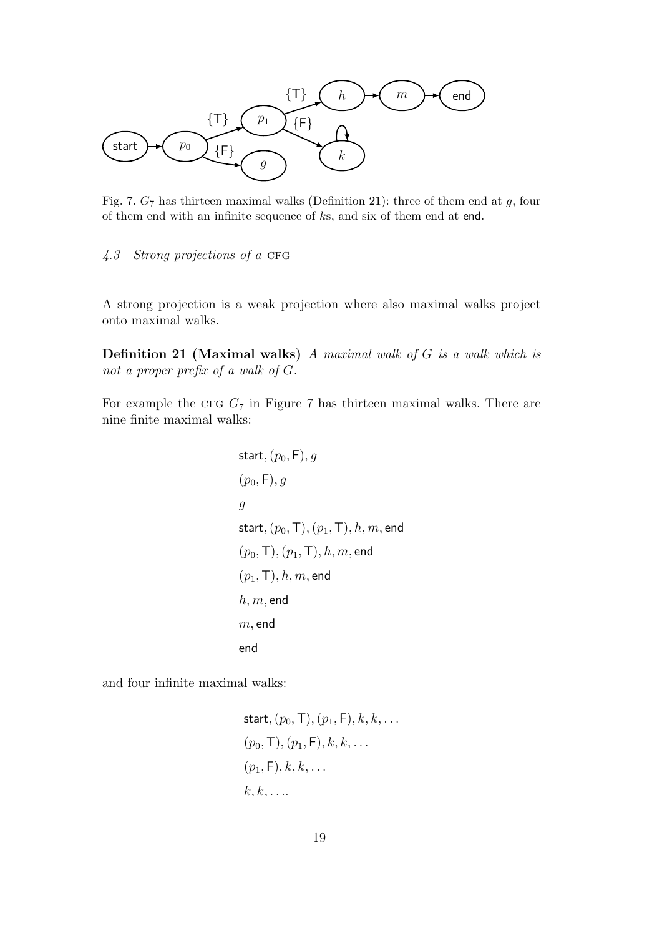

Fig. 7.  $G_7$  has thirteen maximal walks (Definition 21): three of them end at g, four of them end with an infinite sequence of ks, and six of them end at end.

 $4.3$  Strong projections of a CFG

A strong projection is a weak projection where also maximal walks project onto maximal walks.

Definition 21 (Maximal walks)  $A$  maximal walk of  $G$  is a walk which is not a proper prefix of a walk of G.

For example the CFG  $G_7$  in Figure 7 has thirteen maximal walks. There are nine finite maximal walks:

start, 
$$
(p_0, \text{F}), g
$$
  
\n $(p_0, \text{F}), g$   
\ng  
\nstart,  $(p_0, \text{T}), (p_1, \text{T}), h, m$ , end  
\n $(p_0, \text{T}), (p_1, \text{T}), h, m$ , end  
\n $(p_1, \text{T}), h, m$ , end  
\n $h, m$ , end  
\n $m$ , end  
\nend

and four infinite maximal walks:

start,  $(p_0, T)$ ,  $(p_1, F)$ ,  $k, k, ...$  $(p_0, T), (p_1, F), k, k, \ldots$  $(p_1, \mathsf{F}), k, k, \ldots$  $k, k, \ldots$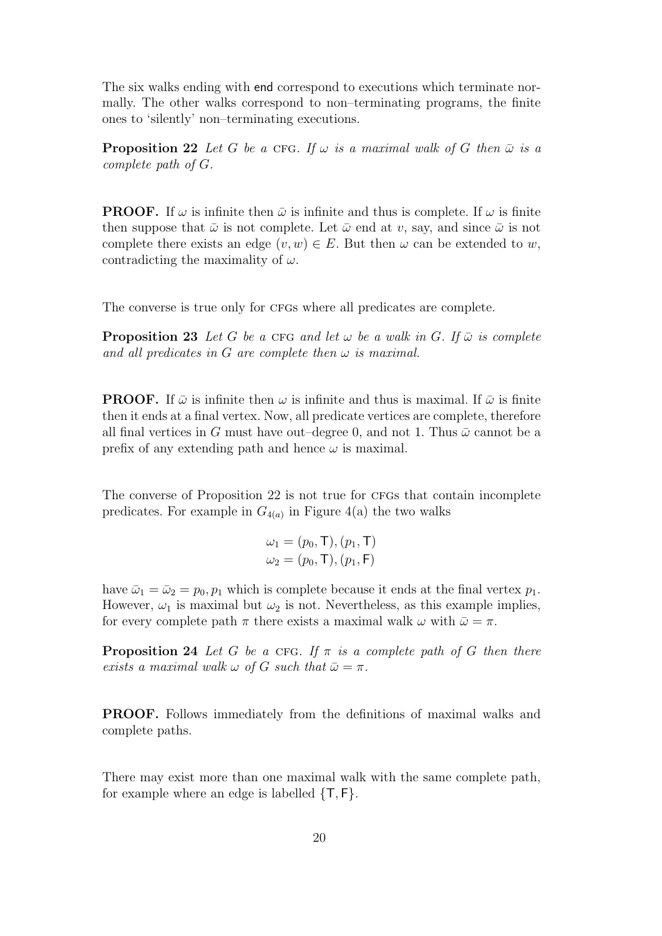The six walks ending with end correspond to executions which terminate normally. The other walks correspond to non–terminating programs, the finite ones to 'silently' non–terminating executions.

**Proposition 22** Let G be a CFG. If  $\omega$  is a maximal walk of G then  $\bar{\omega}$  is a complete path of G.

**PROOF.** If  $\omega$  is infinite then  $\bar{\omega}$  is infinite and thus is complete. If  $\omega$  is finite then suppose that  $\bar{\omega}$  is not complete. Let  $\bar{\omega}$  end at v, say, and since  $\bar{\omega}$  is not complete there exists an edge  $(v, w) \in E$ . But then  $\omega$  can be extended to w, contradicting the maximality of  $\omega$ .

The converse is true only for CFGs where all predicates are complete.

**Proposition 23** Let G be a CFG and let  $\omega$  be a walk in G. If  $\bar{\omega}$  is complete and all predicates in G are complete then  $\omega$  is maximal.

**PROOF.** If  $\bar{\omega}$  is infinite then  $\omega$  is infinite and thus is maximal. If  $\bar{\omega}$  is finite then it ends at a final vertex. Now, all predicate vertices are complete, therefore all final vertices in G must have out–degree 0, and not 1. Thus  $\bar{\omega}$  cannot be a prefix of any extending path and hence  $\omega$  is maximal.

The converse of Proposition 22 is not true for CFGs that contain incomplete predicates. For example in  $G_{4(a)}$  in Figure 4(a) the two walks

$$
\omega_1 = (p_0, \mathsf{T}), (p_1, \mathsf{T})
$$

$$
\omega_2 = (p_0, \mathsf{T}), (p_1, \mathsf{F})
$$

have  $\bar{\omega}_1 = \bar{\omega}_2 = p_0, p_1$  which is complete because it ends at the final vertex  $p_1$ . However,  $\omega_1$  is maximal but  $\omega_2$  is not. Nevertheless, as this example implies, for every complete path  $\pi$  there exists a maximal walk  $\omega$  with  $\bar{\omega} = \pi$ .

**Proposition 24** Let G be a CFG. If  $\pi$  is a complete path of G then there exists a maximal walk  $\omega$  of G such that  $\bar{\omega} = \pi$ .

PROOF. Follows immediately from the definitions of maximal walks and complete paths.

There may exist more than one maximal walk with the same complete path, for example where an edge is labelled  $\{\mathsf{T},\mathsf{F}\}.$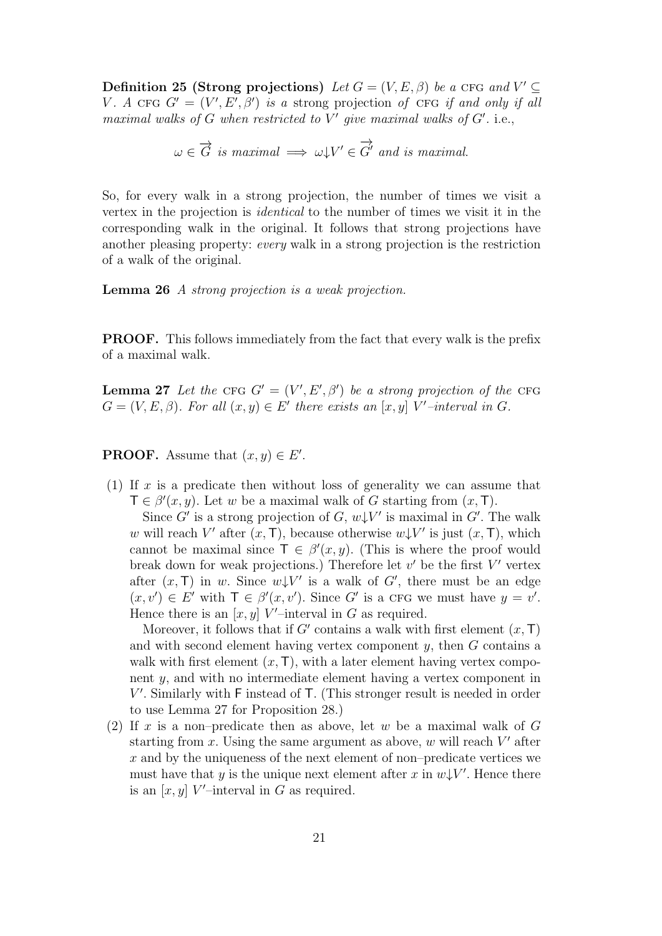Definition 25 (Strong projections) Let  $G = (V, E, \beta)$  be a CFG and  $V' \subseteq$ V. A CFG  $G' = (V', E', \beta')$  is a strong projection of CFG if and only if all maximal walks of G when restricted to  $V'$  give maximal walks of  $G'$ . i.e.,

$$
\omega \in \overrightarrow{G} \text{ is maximal} \implies \omega \downarrow V' \in \overrightarrow{G}' \text{ and is maximal.}
$$

So, for every walk in a strong projection, the number of times we visit a vertex in the projection is identical to the number of times we visit it in the corresponding walk in the original. It follows that strong projections have another pleasing property: every walk in a strong projection is the restriction of a walk of the original.

Lemma 26 A strong projection is a weak projection.

PROOF. This follows immediately from the fact that every walk is the prefix of a maximal walk.

**Lemma 27** Let the CFG  $G' = (V', E', \beta')$  be a strong projection of the CFG  $G = (V, E, \beta)$ . For all  $(x, y) \in E'$  there exists an  $[x, y]$  V'-interval in G.

**PROOF.** Assume that  $(x, y) \in E'$ .

(1) If x is a predicate then without loss of generality we can assume that  $\mathsf{T} \in \beta'(x, y)$ . Let w be a maximal walk of G starting from  $(x, \mathsf{T})$ .

Since G' is a strong projection of G,  $w\downarrow V'$  is maximal in G'. The walk w will reach V' after  $(x, T)$ , because otherwise  $w \downarrow V'$  is just  $(x, T)$ , which cannot be maximal since  $\mathsf{T} \in \beta'(x, y)$ . (This is where the proof would break down for weak projections.) Therefore let  $v'$  be the first  $V'$  vertex after  $(x, T)$  in w. Since  $w \downarrow V'$  is a walk of G', there must be an edge  $(x, v') \in E'$  with  $\mathsf{T} \in \beta'(x, v')$ . Since G' is a CFG we must have  $y = v'$ . Hence there is an  $[x, y]$  V'-interval in G as required.

Moreover, it follows that if G' contains a walk with first element  $(x, T)$ and with second element having vertex component  $y$ , then  $G$  contains a walk with first element  $(x, T)$ , with a later element having vertex component y, and with no intermediate element having a vertex component in V 0 . Similarly with F instead of T. (This stronger result is needed in order to use Lemma 27 for Proposition 28.)

(2) If x is a non-predicate then as above, let w be a maximal walk of  $G$ starting from  $x$ . Using the same argument as above,  $w$  will reach  $V'$  after  $x$  and by the uniqueness of the next element of non–predicate vertices we must have that y is the unique next element after x in  $w\downarrow V'$ . Hence there is an  $[x, y]$  V'-interval in G as required.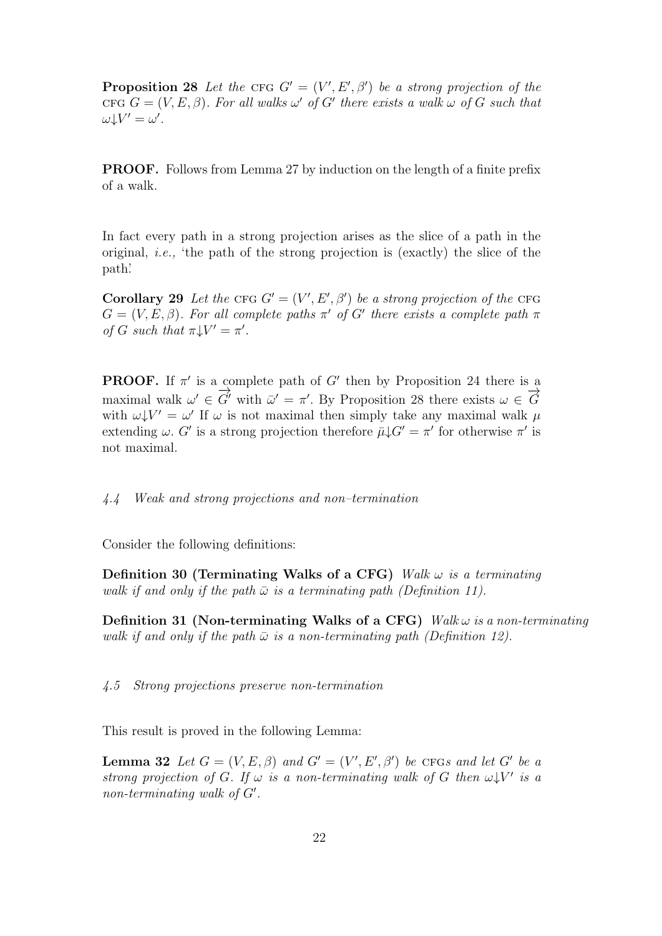**Proposition 28** Let the CFG  $G' = (V', E', \beta')$  be a strong projection of the CFG  $G = (V, E, \beta)$ . For all walks  $\omega'$  of G' there exists a walk  $\omega$  of G such that  $\omega \downarrow V' = \omega'.$ 

PROOF. Follows from Lemma 27 by induction on the length of a finite prefix of a walk.

In fact every path in a strong projection arises as the slice of a path in the original, i.e., 'the path of the strong projection is (exactly) the slice of the path'.

**Corollary 29** Let the CFG  $G' = (V', E', \beta')$  be a strong projection of the CFG  $G = (V, E, \beta)$ . For all complete paths  $\pi'$  of  $G'$  there exists a complete path  $\pi$ of G such that  $\pi$  $\downarrow$ V' =  $\pi'$ .

**PROOF.** If  $\pi'$  is a complete path of G' then by Proposition 24 there is a maximal walk  $\omega' \in \overrightarrow{G}'$  with  $\overrightarrow{\omega}' = \pi'$ . By Proposition 28 there exists  $\omega \in \overrightarrow{G}$ with  $\omega V = \omega'$  If  $\omega$  is not maximal then simply take any maximal walk  $\mu$ extending  $\omega$ . G' is a strong projection therefore  $\bar{\mu} \downarrow G' = \pi'$  for otherwise  $\pi'$  is not maximal.

4.4 Weak and strong projections and non–termination

Consider the following definitions:

Definition 30 (Terminating Walks of a CFG) Walk  $\omega$  is a terminating walk if and only if the path  $\bar{\omega}$  is a terminating path (Definition 11).

Definition 31 (Non-terminating Walks of a CFG) Walk  $\omega$  is a non-terminating walk if and only if the path  $\bar{\omega}$  is a non-terminating path (Definition 12).

4.5 Strong projections preserve non-termination

This result is proved in the following Lemma:

**Lemma 32** Let  $G = (V, E, \beta)$  and  $G' = (V', E', \beta')$  be CFGs and let G' be a strong projection of G. If  $\omega$  is a non-terminating walk of G then  $\omega V'$  is a non-terminating walk of  $G'$ .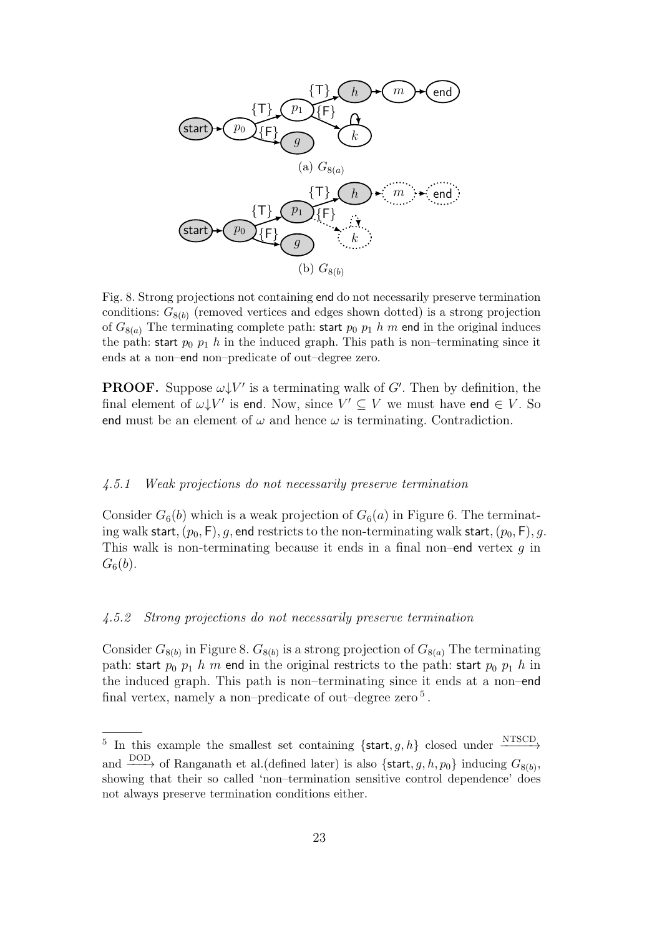

Fig. 8. Strong projections not containing end do not necessarily preserve termination conditions:  $G_{8(b)}$  (removed vertices and edges shown dotted) is a strong projection of  $G_{8(a)}$  The terminating complete path: start  $p_0$   $p_1$  h m end in the original induces the path: start  $p_0$   $p_1$  h in the induced graph. This path is non–terminating since it ends at a non–end non–predicate of out–degree zero.

**PROOF.** Suppose  $\omega V'$  is a terminating walk of G'. Then by definition, the final element of  $\omega V'$  is end. Now, since  $V' \subseteq V$  we must have end  $\in V$ . So end must be an element of  $\omega$  and hence  $\omega$  is terminating. Contradiction.

#### 4.5.1 Weak projections do not necessarily preserve termination

Consider  $G_6(b)$  which is a weak projection of  $G_6(a)$  in Figure 6. The terminating walk start,  $(p_0, \mathsf{F})$ , g, end restricts to the non-terminating walk start,  $(p_0, \mathsf{F})$ , g. This walk is non-terminating because it ends in a final non–end vertex  $q$  in  $G_6(b)$ .

#### 4.5.2 Strong projections do not necessarily preserve termination

Consider  $G_{8(b)}$  in Figure 8.  $G_{8(b)}$  is a strong projection of  $G_{8(a)}$  The terminating path: start  $p_0$   $p_1$  h m end in the original restricts to the path: start  $p_0$   $p_1$  h in the induced graph. This path is non–terminating since it ends at a non–end final vertex, namely a non-predicate of out-degree zero<sup>5</sup>.

<sup>&</sup>lt;sup>5</sup> In this example the smallest set containing  $\{\text{start}, g, h\}$  closed under  $\xrightarrow{\text{NTSCD}}$ and  $\overrightarrow{DOD}$  of Ranganath et al.(defined later) is also {start, g, h, p<sub>0</sub>} inducing  $G_{8(b)}$ , showing that their so called 'non–termination sensitive control dependence' does not always preserve termination conditions either.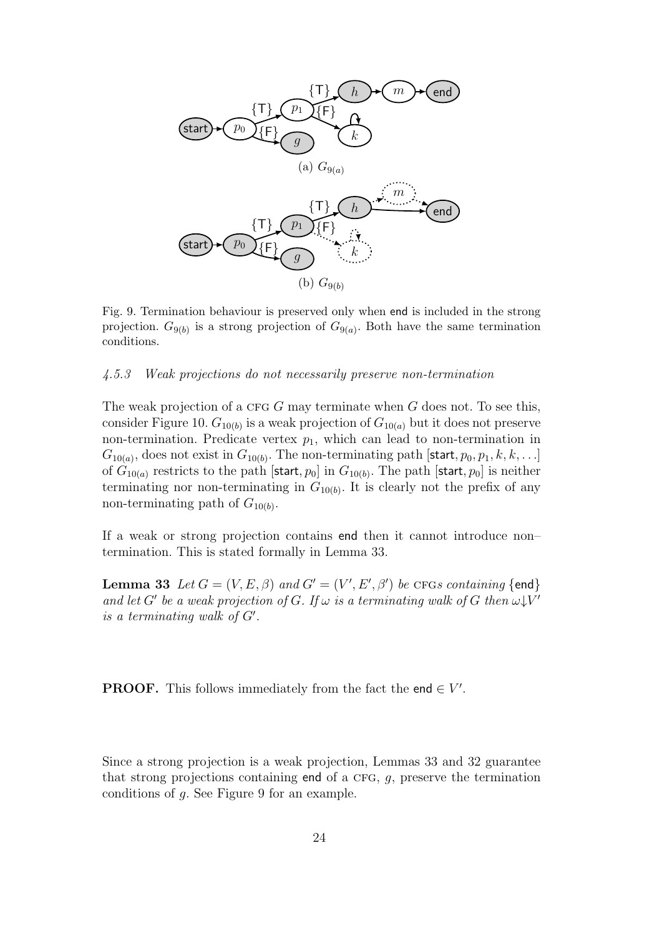

Fig. 9. Termination behaviour is preserved only when end is included in the strong projection.  $G_{9(b)}$  is a strong projection of  $G_{9(a)}$ . Both have the same termination conditions.

#### 4.5.3 Weak projections do not necessarily preserve non-termination

The weak projection of a CFG  $G$  may terminate when  $G$  does not. To see this, consider Figure 10.  $G_{10(b)}$  is a weak projection of  $G_{10(a)}$  but it does not preserve non-termination. Predicate vertex  $p_1$ , which can lead to non-termination in  $G_{10(a)}$ , does not exist in  $G_{10(b)}$ . The non-terminating path [start,  $p_0, p_1, k, k, \ldots$ ] of  $G_{10(a)}$  restricts to the path  $[\textsf{start}, p_0]$  in  $G_{10(b)}$ . The path  $[\textsf{start}, p_0]$  is neither terminating nor non-terminating in  $G_{10(b)}$ . It is clearly not the prefix of any non-terminating path of  $G_{10(b)}$ .

If a weak or strong projection contains end then it cannot introduce non– termination. This is stated formally in Lemma 33.

**Lemma 33** Let  $G = (V, E, \beta)$  and  $G' = (V', E', \beta')$  be CFGs containing {end} and let G' be a weak projection of G. If  $\omega$  is a terminating walk of G then  $\omega \downarrow V'$ is a terminating walk of  $G'$ .

**PROOF.** This follows immediately from the fact the end  $\in V'$ .

Since a strong projection is a weak projection, Lemmas 33 and 32 guarantee that strong projections containing end of a CFG,  $q$ , preserve the termination conditions of g. See Figure 9 for an example.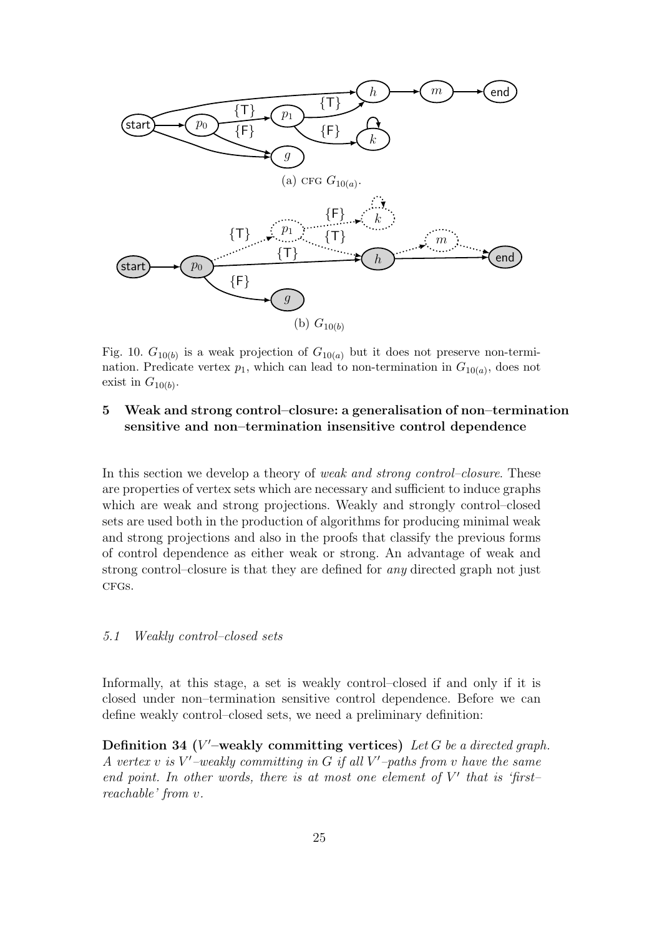

Fig. 10.  $G_{10(b)}$  is a weak projection of  $G_{10(a)}$  but it does not preserve non-termination. Predicate vertex  $p_1$ , which can lead to non-termination in  $G_{10(a)}$ , does not exist in  $G_{10(b)}$ .

# 5 Weak and strong control–closure: a generalisation of non–termination sensitive and non–termination insensitive control dependence

In this section we develop a theory of *weak and strong control–closure*. These are properties of vertex sets which are necessary and sufficient to induce graphs which are weak and strong projections. Weakly and strongly control–closed sets are used both in the production of algorithms for producing minimal weak and strong projections and also in the proofs that classify the previous forms of control dependence as either weak or strong. An advantage of weak and strong control–closure is that they are defined for any directed graph not just CFGS.

#### 5.1 Weakly control–closed sets

Informally, at this stage, a set is weakly control–closed if and only if it is closed under non–termination sensitive control dependence. Before we can define weakly control–closed sets, we need a preliminary definition:

Definition 34 ( $V'$ -weakly committing vertices) Let G be a directed graph. A vertex  $v$  is  $V'$ -weakly committing in G if all  $V'$ -paths from  $v$  have the same end point. In other words, there is at most one element of  $V'$  that is 'firstreachable' from v.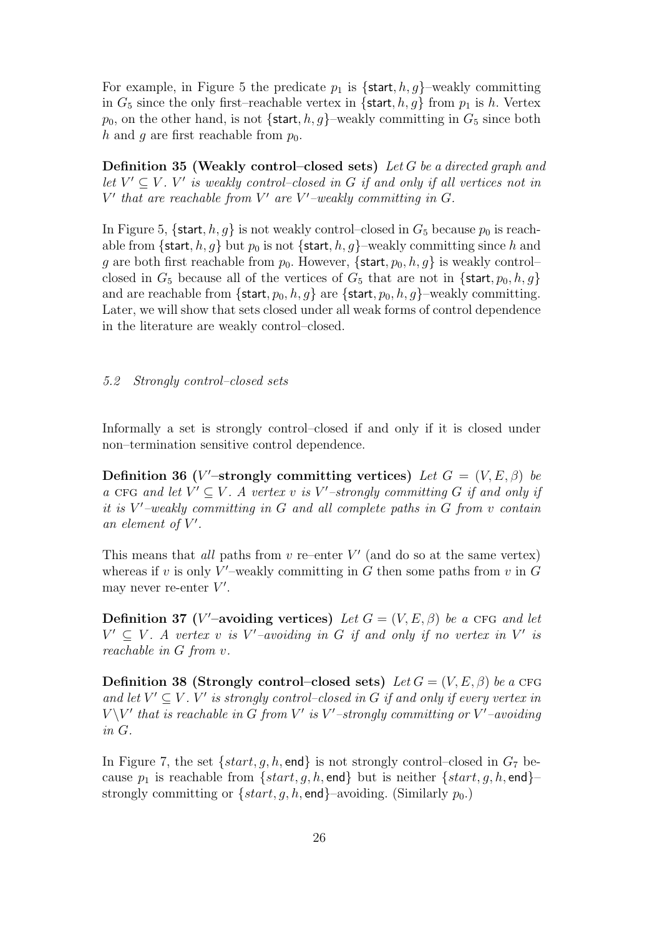For example, in Figure 5 the predicate  $p_1$  is {start, h, g}–weakly committing in  $G_5$  since the only first–reachable vertex in {start, h, g} from  $p_1$  is h. Vertex  $p_0$ , on the other hand, is not {start, h, g}–weakly committing in  $G_5$  since both h and g are first reachable from  $p_0$ .

Definition 35 (Weakly control–closed sets) Let G be a directed graph and let  $V' \subseteq V$ .  $V'$  is weakly control-closed in G if and only if all vertices not in  $V'$  that are reachable from  $V'$  are  $V'$ -weakly committing in  $G$ .

In Figure 5,  $\{\text{start}, h, g\}$  is not weakly control–closed in  $G_5$  because  $p_0$  is reachable from {start, h, g} but  $p_0$  is not {start, h, g}–weakly committing since h and g are both first reachable from  $p_0$ . However, {start,  $p_0, h, g$ } is weakly control– closed in  $G_5$  because all of the vertices of  $G_5$  that are not in {start,  $p_0, h, g$ } and are reachable from {start,  $p_0, h, g$ } are {start,  $p_0, h, g$ }–weakly committing. Later, we will show that sets closed under all weak forms of control dependence in the literature are weakly control–closed.

#### 5.2 Strongly control–closed sets

Informally a set is strongly control–closed if and only if it is closed under non–termination sensitive control dependence.

Definition 36 (V'-strongly committing vertices) Let  $G = (V, E, \beta)$  be a CFG and let  $V' \subseteq V$ . A vertex v is V'-strongly committing G if and only if it is  $V'-weakly$  committing in  $G$  and all complete paths in  $G$  from  $v$  contain an element of  $V'$ .

This means that all paths from  $v$  re–enter  $V'$  (and do so at the same vertex) whereas if  $v$  is only  $V'$ -weakly committing in  $G$  then some paths from  $v$  in  $G$ may never re-enter  $V'$ .

Definition 37 (V'-avoiding vertices) Let  $G = (V, E, \beta)$  be a CFG and let  $V' \subseteq V$ . A vertex v is V'-avoiding in G if and only if no vertex in V' is reachable in G from v.

**Definition 38 (Strongly control–closed sets)** Let  $G = (V, E, \beta)$  be a CFG and let  $V' \subseteq V$ .  $V'$  is strongly control-closed in G if and only if every vertex in  $V \setminus V'$  that is reachable in G from V' is V'-strongly committing or V'-avoiding in G.

In Figure 7, the set  $\{start, g, h, \text{end}\}$  is not strongly control–closed in  $G_7$  because  $p_1$  is reachable from  $\{start, g, h, \text{end}\}$  but is neither  $\{start, g, h, \text{end}\}$ strongly committing or  $\{start, g, h, \text{end}\}$ –avoiding. (Similarly  $p_0$ .)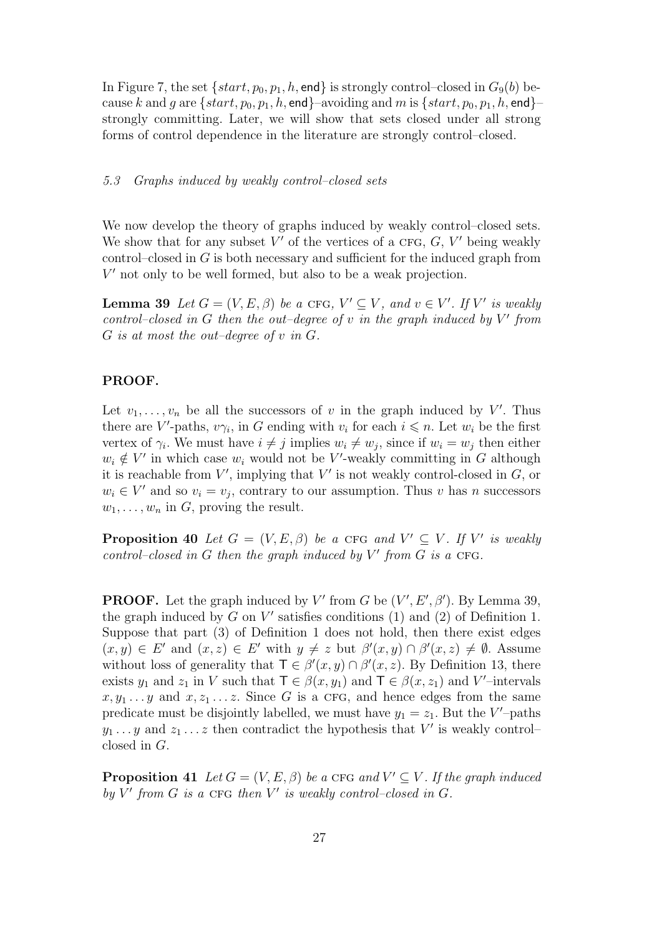In Figure 7, the set  $\{start, p_0, p_1, h, \text{end}\}$  is strongly control–closed in  $G_9(b)$  because k and g are  $\{start, p_0, p_1, h, \text{end}\}$ -avoiding and m is  $\{start, p_0, p_1, h, \text{end}\}$ strongly committing. Later, we will show that sets closed under all strong forms of control dependence in the literature are strongly control–closed.

#### 5.3 Graphs induced by weakly control–closed sets

We now develop the theory of graphs induced by weakly control–closed sets. We show that for any subset  $V'$  of the vertices of a CFG,  $G, V'$  being weakly control–closed in G is both necessary and sufficient for the induced graph from  $V'$  not only to be well formed, but also to be a weak projection.

**Lemma 39** Let  $G = (V, E, \beta)$  be a CFG,  $V' \subseteq V$ , and  $v \in V'$ . If V' is weakly control-closed in  $G$  then the out-degree of  $v$  in the graph induced by  $V'$  from G is at most the out–degree of v in G.

#### PROOF.

Let  $v_1, \ldots, v_n$  be all the successors of v in the graph induced by V'. Thus there are V'-paths,  $v\gamma_i$ , in G ending with  $v_i$  for each  $i \leq n$ . Let  $w_i$  be the first vertex of  $\gamma_i$ . We must have  $i \neq j$  implies  $w_i \neq w_j$ , since if  $w_i = w_j$  then either  $w_i \notin V'$  in which case  $w_i$  would not be V'-weakly committing in G although it is reachable from  $V'$ , implying that  $V'$  is not weakly control-closed in  $G$ , or  $w_i \in V'$  and so  $v_i = v_j$ , contrary to our assumption. Thus v has n successors  $w_1, \ldots, w_n$  in G, proving the result.

**Proposition 40** Let  $G = (V, E, \beta)$  be a CFG and  $V' \subseteq V$ . If V' is weakly  $control-closed$  in G then the graph induced by  $V'$  from G is a CFG.

**PROOF.** Let the graph induced by V' from G be  $(V', E', \beta')$ . By Lemma 39, the graph induced by  $G$  on  $V'$  satisfies conditions (1) and (2) of Definition 1. Suppose that part (3) of Definition 1 does not hold, then there exist edges  $(x, y) \in E'$  and  $(x, z) \in E'$  with  $y \neq z$  but  $\beta'(x, y) \cap \beta'(x, z) \neq \emptyset$ . Assume without loss of generality that  $\mathsf{T} \in \beta'(x, y) \cap \beta'(x, z)$ . By Definition 13, there exists  $y_1$  and  $z_1$  in V such that  $\mathsf{T} \in \beta(x, y_1)$  and  $\mathsf{T} \in \beta(x, z_1)$  and V'-intervals  $x, y_1 \ldots y$  and  $x, z_1 \ldots z$ . Since G is a CFG, and hence edges from the same predicate must be disjointly labelled, we must have  $y_1 = z_1$ . But the V'-paths  $y_1 \ldots y$  and  $z_1 \ldots z$  then contradict the hypothesis that  $V'$  is weakly controlclosed in G.

**Proposition 41** Let  $G = (V, E, \beta)$  be a CFG and  $V' \subseteq V$ . If the graph induced by  $V'$  from  $G$  is a CFG then  $V'$  is weakly control-closed in  $G$ .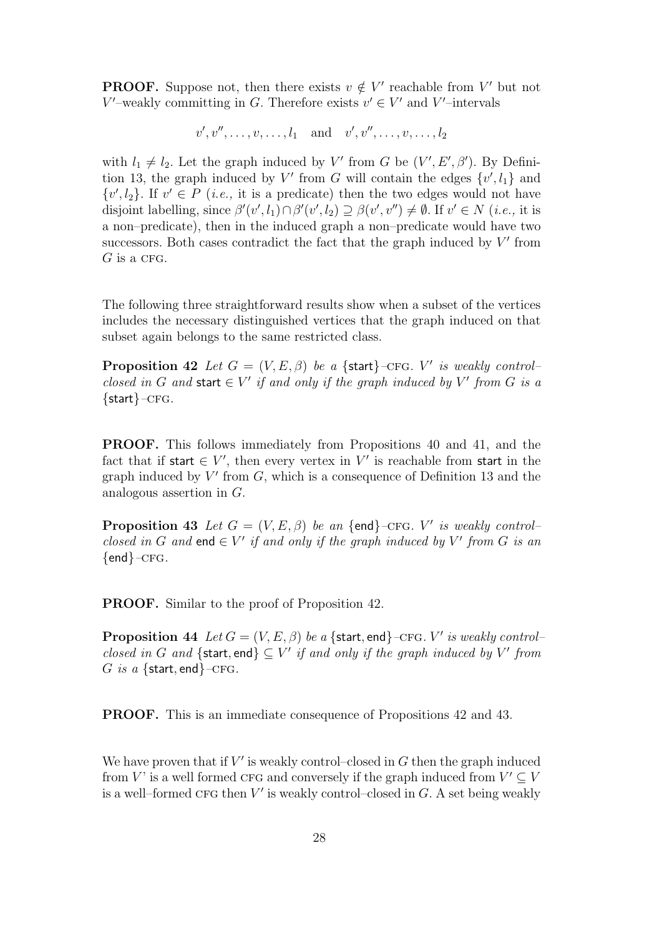**PROOF.** Suppose not, then there exists  $v \notin V'$  reachable from V' but not  $V'$ -weakly committing in G. Therefore exists  $v' \in V'$  and  $V'$ -intervals

$$
v', v'', \ldots, v, \ldots, l_1
$$
 and  $v', v'', \ldots, v, \ldots, l_2$ 

with  $l_1 \neq l_2$ . Let the graph induced by V' from G be  $(V', E', \beta')$ . By Definition 13, the graph induced by  $V'$  from G will contain the edges  $\{v', l_1\}$  and  $\{v', l_2\}$ . If  $v' \in P$  (*i.e.*, it is a predicate) then the two edges would not have disjoint labelling, since  $\beta'(v', l_1) \cap \beta'(v', l_2) \supseteq \beta(v', v'') \neq \emptyset$ . If  $v' \in N$  (*i.e.*, it is a non–predicate), then in the induced graph a non–predicate would have two successors. Both cases contradict the fact that the graph induced by  $V'$  from  $G$  is a CFG.

The following three straightforward results show when a subset of the vertices includes the necessary distinguished vertices that the graph induced on that subset again belongs to the same restricted class.

**Proposition 42** Let  $G = (V, E, \beta)$  be a {start}-CFG. V' is weakly controlclosed in G and start  $\in V'$  if and only if the graph induced by V' from G is a  $\{start\}$ –CFG.

PROOF. This follows immediately from Propositions 40 and 41, and the fact that if start  $\in V'$ , then every vertex in V' is reachable from start in the graph induced by  $V'$  from  $G$ , which is a consequence of Definition 13 and the analogous assertion in G.

**Proposition 43** Let  $G = (V, E, \beta)$  be an {end}-CFG. V' is weakly controlclosed in G and end  $\in V'$  if and only if the graph induced by V' from G is an  $\{end\}$ – $CFG$ .

PROOF. Similar to the proof of Proposition 42.

**Proposition 44** Let  $G = (V, E, \beta)$  be a {start, end}-CFG. V' is weakly controlclosed in G and {start, end}  $\subseteq V'$  if and only if the graph induced by V' from G is a {start, end} - $CFG$ .

PROOF. This is an immediate consequence of Propositions 42 and 43.

We have proven that if  $V'$  is weakly control-closed in  $G$  then the graph induced from V' is a well formed CFG and conversely if the graph induced from  $V' \subseteq V$ is a well-formed CFG then  $V'$  is weakly control-closed in  $G$ . A set being weakly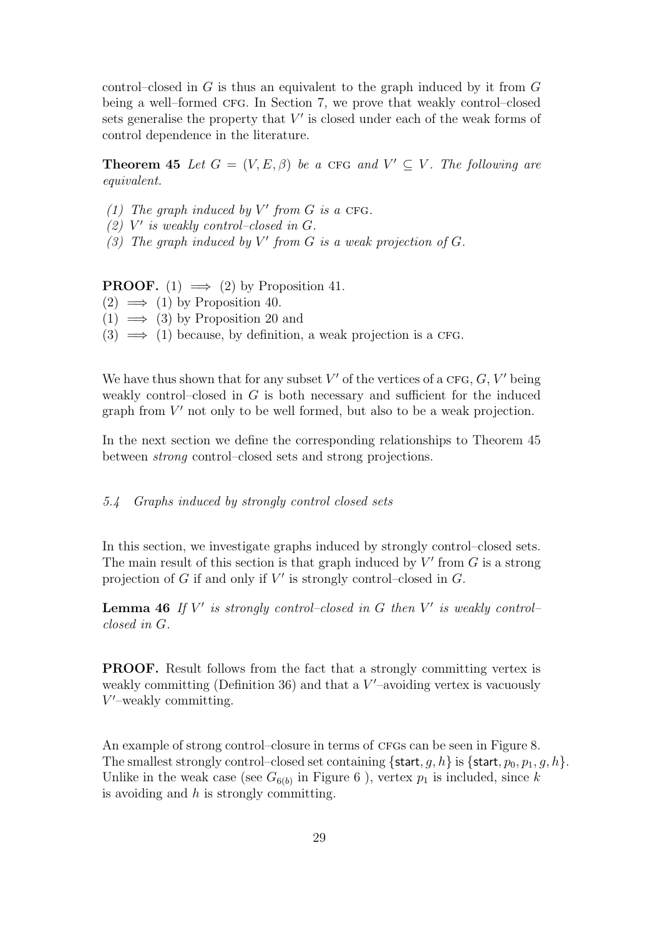control–closed in  $G$  is thus an equivalent to the graph induced by it from  $G$ being a well–formed CFG. In Section 7, we prove that weakly control–closed sets generalise the property that  $V'$  is closed under each of the weak forms of control dependence in the literature.

**Theorem 45** Let  $G = (V, E, \beta)$  be a CFG and  $V' \subseteq V$ . The following are equivalent.

- (1) The graph induced by  $V'$  from  $G$  is a CFG.
- $(2)$  V' is weakly control-closed in G.
- (3) The graph induced by  $V'$  from  $G$  is a weak projection of  $G$ .

**PROOF.** (1)  $\implies$  (2) by Proposition 41.

 $(2) \implies (1)$  by Proposition 40.

 $(1) \implies (3)$  by Proposition 20 and

 $(3) \implies (1)$  because, by definition, a weak projection is a CFG.

We have thus shown that for any subset  $V'$  of the vertices of a CFG,  $G, V'$  being weakly control–closed in  $G$  is both necessary and sufficient for the induced graph from  $V'$  not only to be well formed, but also to be a weak projection.

In the next section we define the corresponding relationships to Theorem 45 between strong control–closed sets and strong projections.

#### 5.4 Graphs induced by strongly control closed sets

In this section, we investigate graphs induced by strongly control–closed sets. The main result of this section is that graph induced by  $V'$  from  $G$  is a strong projection of  $G$  if and only if  $V'$  is strongly control-closed in  $G$ .

**Lemma 46** If  $V'$  is strongly control-closed in  $G$  then  $V'$  is weakly controlclosed in G.

PROOF. Result follows from the fact that a strongly committing vertex is weakly committing (Definition 36) and that a  $V'$ -avoiding vertex is vacuously  $V'$ -weakly committing.

An example of strong control–closure in terms of CFGs can be seen in Figure 8. The smallest strongly control–closed set containing {start,  $g, h$ } is {start,  $p_0, p_1, g, h$ }. Unlike in the weak case (see  $G_{6(b)}$  in Figure 6), vertex  $p_1$  is included, since k is avoiding and  $h$  is strongly committing.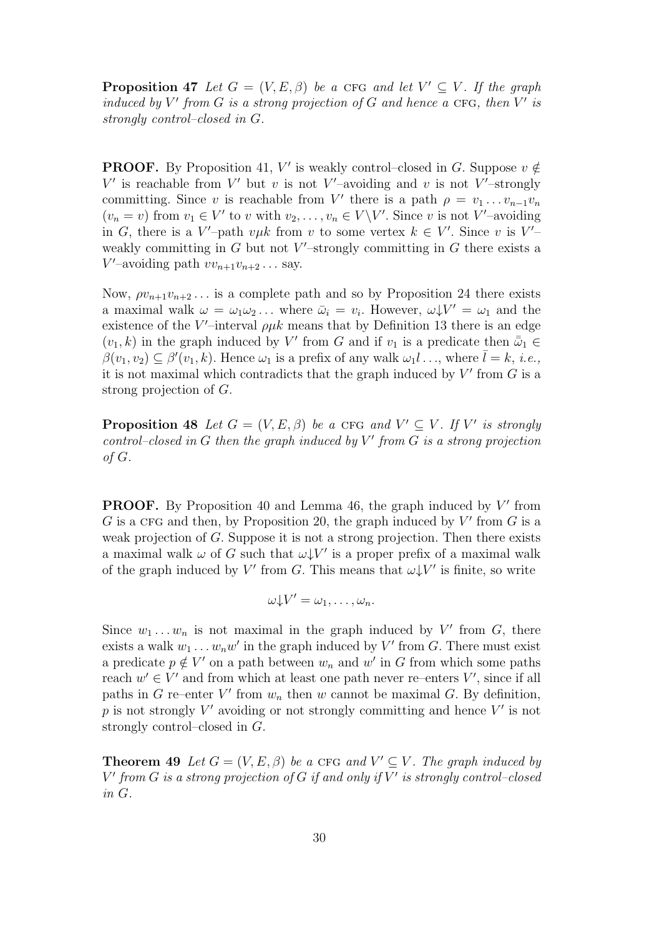**Proposition 47** Let  $G = (V, E, \beta)$  be a CFG and let  $V' \subseteq V$ . If the graph induced by  $V'$  from  $G$  is a strong projection of  $G$  and hence a CFG, then  $V'$  is strongly control–closed in G.

**PROOF.** By Proposition 41, V' is weakly control-closed in G. Suppose  $v \notin$  $V'$  is reachable from  $V'$  but v is not  $V'$ -avoiding and v is not  $V'$ -strongly committing. Since v is reachable from V' there is a path  $\rho = v_1 \dots v_{n-1} v_n$  $(v_n = v)$  from  $v_1 \in V'$  to v with  $v_2, \ldots, v_n \in V \backslash V'$ . Since v is not V'-avoiding in G, there is a V'-path v $\mu k$  from v to some vertex  $k \in V'$ . Since v is V'weakly committing in  $G$  but not  $V'$ -strongly committing in  $G$  there exists a  $V'$ -avoiding path  $vv_{n+1}v_{n+2}\ldots$  say.

Now,  $\rho v_{n+1}v_{n+2} \dots$  is a complete path and so by Proposition 24 there exists a maximal walk  $\omega = \omega_1 \omega_2 ...$  where  $\bar{\omega}_i = v_i$ . However,  $\omega \downarrow V' = \omega_1$  and the existence of the V'-interval  $\rho\mu k$  means that by Definition 13 there is an edge  $(v_1, k)$  in the graph induced by V' from G and if  $v_1$  is a predicate then  $\bar{\bar{\omega}}_1 \in$  $\beta(v_1, v_2) \subseteq \beta(v_1, k)$ . Hence  $\omega_1$  is a prefix of any walk  $\omega_1 l \dots$ , where  $\overline{l} = k$ , *i.e.*, it is not maximal which contradicts that the graph induced by  $V'$  from  $G$  is a strong projection of G.

**Proposition 48** Let  $G = (V, E, \beta)$  be a CFG and  $V' \subseteq V$ . If V' is strongly  $control-closed$  in G then the graph induced by  $V'$  from G is a strong projection of G.

**PROOF.** By Proposition 40 and Lemma 46, the graph induced by  $V'$  from  $G$  is a CFG and then, by Proposition 20, the graph induced by  $V'$  from  $G$  is a weak projection of G. Suppose it is not a strong projection. Then there exists a maximal walk  $\omega$  of G such that  $\omega V'$  is a proper prefix of a maximal walk of the graph induced by V' from G. This means that  $\omega V'$  is finite, so write

$$
\omega V' = \omega_1, \ldots, \omega_n.
$$

Since  $w_1 \ldots w_n$  is not maximal in the graph induced by V' from G, there exists a walk  $w_1 \dots w_n w'$  in the graph induced by V' from G. There must exist a predicate  $p \notin V'$  on a path between  $w_n$  and  $w'$  in G from which some paths reach  $w' \in V'$  and from which at least one path never re–enters  $V'$ , since if all paths in G re–enter  $V'$  from  $w_n$  then w cannot be maximal G. By definition, p is not strongly  $V'$  avoiding or not strongly committing and hence  $V'$  is not strongly control–closed in G.

**Theorem 49** Let  $G = (V, E, \beta)$  be a CFG and  $V' \subseteq V$ . The graph induced by  $V'$  from G is a strong projection of G if and only if  $V'$  is strongly control-closed in G.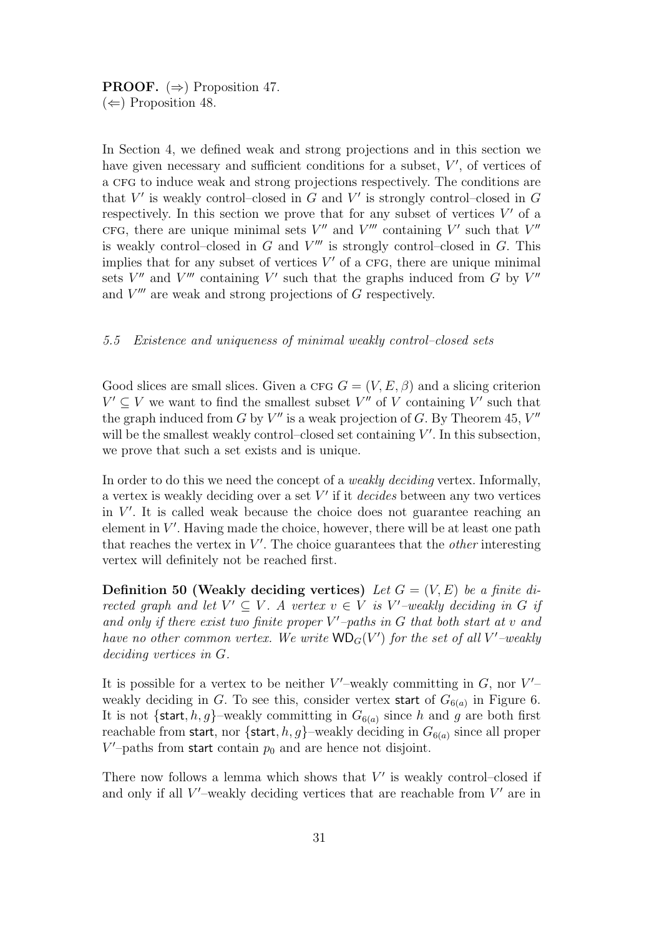# **PROOF.**  $(\Rightarrow)$  Proposition 47.  $(\Leftarrow)$  Proposition 48.

In Section 4, we defined weak and strong projections and in this section we have given necessary and sufficient conditions for a subset,  $V'$ , of vertices of a cfg to induce weak and strong projections respectively. The conditions are that  $V'$  is weakly control-closed in  $G$  and  $V'$  is strongly control-closed in  $G$ respectively. In this section we prove that for any subset of vertices  $V'$  of a cfg, there are unique minimal sets  $V''$  and  $V'''$  containing  $V'$  such that  $V''$ is weakly control-closed in  $G$  and  $V'''$  is strongly control-closed in  $G$ . This implies that for any subset of vertices  $V'$  of a CFG, there are unique minimal sets  $V''$  and  $V'''$  containing V' such that the graphs induced from G by  $V''$ and  $V'''$  are weak and strong projections of  $G$  respectively.

# 5.5 Existence and uniqueness of minimal weakly control–closed sets

Good slices are small slices. Given a CFG  $G = (V, E, \beta)$  and a slicing criterion  $V' \subseteq V$  we want to find the smallest subset  $V''$  of V containing V' such that the graph induced from G by  $V''$  is a weak projection of G. By Theorem 45,  $V''$ will be the smallest weakly control-closed set containing  $V'$ . In this subsection, we prove that such a set exists and is unique.

In order to do this we need the concept of a weakly deciding vertex. Informally, a vertex is weakly deciding over a set  $V'$  if it *decides* between any two vertices in  $V'$ . It is called weak because the choice does not guarantee reaching an element in  $V'$ . Having made the choice, however, there will be at least one path that reaches the vertex in  $V'$ . The choice guarantees that the *other* interesting vertex will definitely not be reached first.

Definition 50 (Weakly deciding vertices) Let  $G = (V, E)$  be a finite directed graph and let  $V' \subseteq V$ . A vertex  $v \in V$  is V'-weakly deciding in G if and only if there exist two finite proper  $V'-paths$  in  $G$  that both start at  $v$  and have no other common vertex. We write  $WD_G(V')$  for the set of all V'-weakly deciding vertices in G.

It is possible for a vertex to be neither  $V'$ -weakly committing in  $G$ , nor  $V'$ weakly deciding in G. To see this, consider vertex start of  $G_{6(a)}$  in Figure 6. It is not {start, h, g}–weakly committing in  $G_{6(a)}$  since h and g are both first reachable from start, nor {start, h, g}–weakly deciding in  $G_{6(a)}$  since all proper  $V'$ -paths from start contain  $p_0$  and are hence not disjoint.

There now follows a lemma which shows that  $V'$  is weakly control-closed if and only if all  $V'$ -weakly deciding vertices that are reachable from  $V'$  are in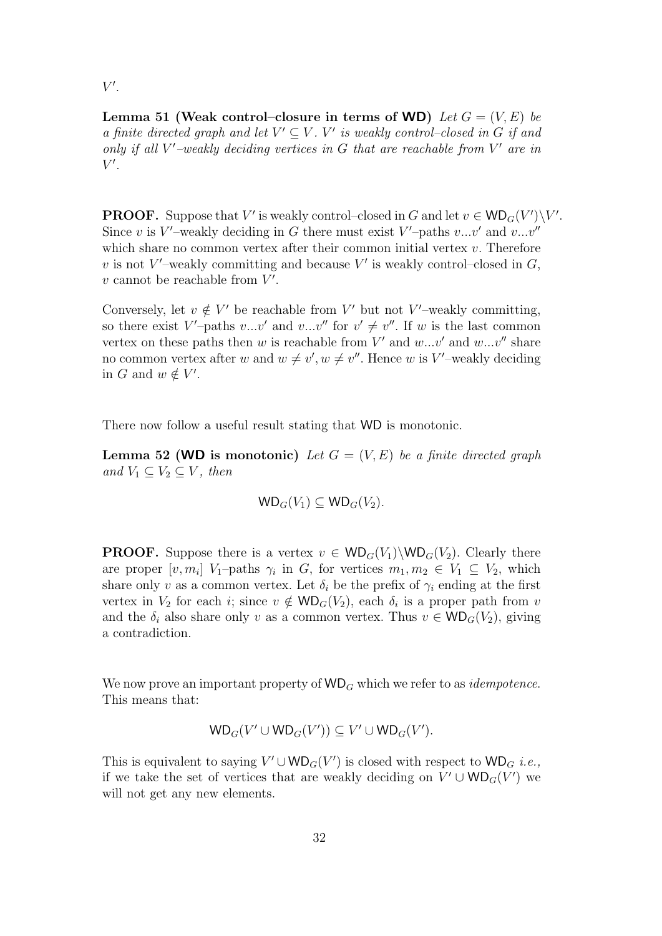$V'.$ 

Lemma 51 (Weak control–closure in terms of WD) Let  $G = (V, E)$  be a finite directed graph and let  $V' \subseteq V$ .  $V'$  is weakly control-closed in G if and only if all  $V'$ -weakly deciding vertices in G that are reachable from  $V'$  are in  $V'.$ 

**PROOF.** Suppose that V' is weakly control-closed in G and let  $v \in WD_G(V')\backslash V'$ . Since v is V'-weakly deciding in G there must exist V'-paths  $v...v'$  and  $v...v''$ which share no common vertex after their common initial vertex  $v$ . Therefore v is not V'-weakly committing and because V' is weakly control-closed in  $G$ ,  $v$  cannot be reachable from  $V'$ .

Conversely, let  $v \notin V'$  be reachable from V' but not V'-weakly committing, so there exist V'-paths  $v...v'$  and  $v...v''$  for  $v' \neq v''$ . If w is the last common vertex on these paths then w is reachable from  $V'$  and  $w...v'$  and  $w...v''$  share no common vertex after w and  $w \neq v'$ ,  $w \neq v''$ . Hence w is V'-weakly deciding in G and  $w \notin V'$ .

There now follow a useful result stating that WD is monotonic.

**Lemma 52 (WD is monotonic)** Let  $G = (V, E)$  be a finite directed graph and  $V_1 \subseteq V_2 \subseteq V$ , then

$$
\mathsf{WD}_G(V_1) \subseteq \mathsf{WD}_G(V_2).
$$

**PROOF.** Suppose there is a vertex  $v \in WD_G(V_1) \setminus WD_G(V_2)$ . Clearly there are proper  $[v, m_i]$   $V_1$ -paths  $\gamma_i$  in G, for vertices  $m_1, m_2 \in V_1 \subseteq V_2$ , which share only v as a common vertex. Let  $\delta_i$  be the prefix of  $\gamma_i$  ending at the first vertex in  $V_2$  for each *i*; since  $v \notin \mathsf{WD}_G(V_2)$ , each  $\delta_i$  is a proper path from *v* and the  $\delta_i$  also share only v as a common vertex. Thus  $v \in WD_G(V_2)$ , giving a contradiction.

We now prove an important property of  $WD_G$  which we refer to as *idempotence*. This means that:

$$
WD_G(V' \cup WD_G(V')) \subseteq V' \cup WD_G(V').
$$

This is equivalent to saying  $V' \cup \mathsf{WD}_G(V')$  is closed with respect to  $\mathsf{WD}_G$  *i.e.*, if we take the set of vertices that are weakly deciding on  $V' \cup WD_G(V')$  we will not get any new elements.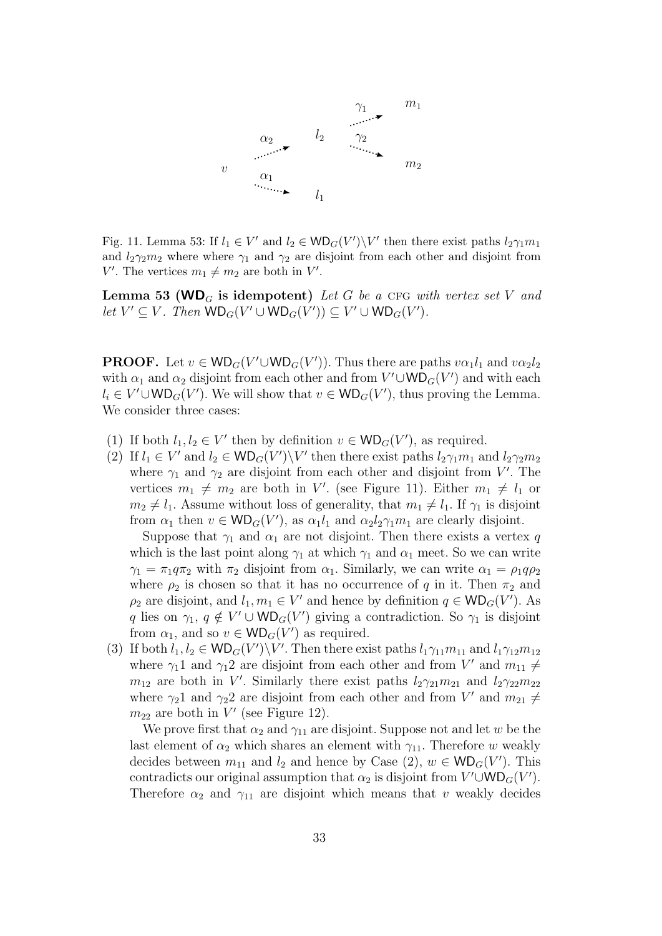

Fig. 11. Lemma 53: If  $l_1 \in V'$  and  $l_2 \in \mathsf{WD}_G(V') \backslash V'$  then there exist paths  $l_2 \gamma_1 m_1$ and  $l_2\gamma_2m_2$  where where  $\gamma_1$  and  $\gamma_2$  are disjoint from each other and disjoint from V'. The vertices  $m_1 \neq m_2$  are both in V'.

**Lemma 53 (WD** $_G$  is idempotent) Let G be a CFG with vertex set V and let  $V' \subseteq V$ . Then  $\mathsf{WD}_G(V' \cup \mathsf{WD}_G(V')) \subseteq V' \cup \mathsf{WD}_G(V')$ .

**PROOF.** Let  $v \in WD_G(V' \cup WD_G(V'))$ . Thus there are paths  $v\alpha_1 l_1$  and  $v\alpha_2 l_2$ with  $\alpha_1$  and  $\alpha_2$  disjoint from each other and from  $V' \cup \mathsf{WD}_G(V')$  and with each  $l_i \in V' \cup \text{WD}_G(V')$ . We will show that  $v \in \text{WD}_G(V')$ , thus proving the Lemma. We consider three cases:

- (1) If both  $l_1, l_2 \in V'$  then by definition  $v \in WD_G(V')$ , as required.
- (2) If  $l_1 \in V'$  and  $l_2 \in \mathsf{WD}_G(V') \backslash V'$  then there exist paths  $l_2\gamma_1m_1$  and  $l_2\gamma_2m_2$ where  $\gamma_1$  and  $\gamma_2$  are disjoint from each other and disjoint from V'. The vertices  $m_1 \neq m_2$  are both in V'. (see Figure 11). Either  $m_1 \neq l_1$  or  $m_2 \neq l_1$ . Assume without loss of generality, that  $m_1 \neq l_1$ . If  $\gamma_1$  is disjoint from  $\alpha_1$  then  $v \in \text{WD}_G(V')$ , as  $\alpha_1 l_1$  and  $\alpha_2 l_2 \gamma_1 m_1$  are clearly disjoint.

Suppose that  $\gamma_1$  and  $\alpha_1$  are not disjoint. Then there exists a vertex q which is the last point along  $\gamma_1$  at which  $\gamma_1$  and  $\alpha_1$  meet. So we can write  $\gamma_1 = \pi_1 q \pi_2$  with  $\pi_2$  disjoint from  $\alpha_1$ . Similarly, we can write  $\alpha_1 = \rho_1 q \rho_2$ where  $\rho_2$  is chosen so that it has no occurrence of q in it. Then  $\pi_2$  and  $\rho_2$  are disjoint, and  $l_1, m_1 \in V'$  and hence by definition  $q \in WD_G(V')$ . As q lies on  $\gamma_1$ ,  $q \notin V' \cup \mathsf{WD}_G(V')$  giving a contradiction. So  $\gamma_1$  is disjoint from  $\alpha_1$ , and so  $v \in WD_G(V')$  as required.

(3) If both  $l_1, l_2 \in \mathsf{WD}_G(V') \backslash V'$ . Then there exist paths  $l_1\gamma_{11}m_{11}$  and  $l_1\gamma_{12}m_{12}$ where  $\gamma_1$ 1 and  $\gamma_1$ 2 are disjoint from each other and from V' and  $m_{11} \neq$  $m_{12}$  are both in V'. Similarly there exist paths  $l_2 \gamma_{21} m_{21}$  and  $l_2 \gamma_{22} m_{22}$ where  $\gamma_2$ 1 and  $\gamma_2$ 2 are disjoint from each other and from V' and  $m_{21} \neq$  $m_{22}$  are both in  $V'$  (see Figure 12).

We prove first that  $\alpha_2$  and  $\gamma_{11}$  are disjoint. Suppose not and let w be the last element of  $\alpha_2$  which shares an element with  $\gamma_{11}$ . Therefore w weakly decides between  $m_{11}$  and  $l_2$  and hence by Case (2),  $w \in WD_G(V')$ . This contradicts our original assumption that  $\alpha_2$  is disjoint from  $V' \cup \mathsf{WD}_G(V')$ . Therefore  $\alpha_2$  and  $\gamma_{11}$  are disjoint which means that v weakly decides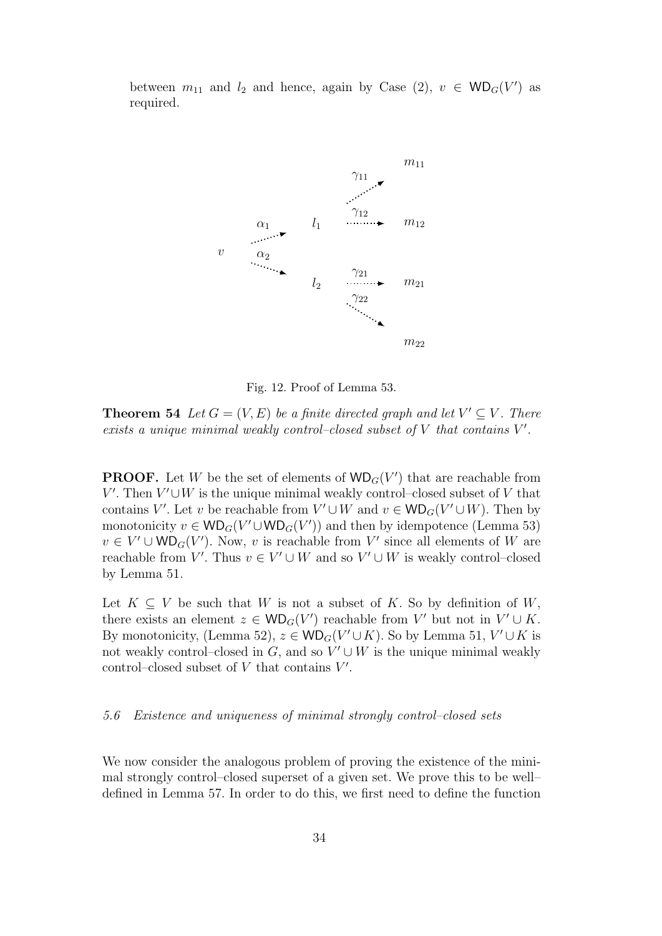between  $m_{11}$  and  $l_2$  and hence, again by Case (2),  $v \in WD_G(V')$  as required.



Fig. 12. Proof of Lemma 53.

**Theorem 54** Let  $G = (V, E)$  be a finite directed graph and let  $V' \subseteq V$ . There exists a unique minimal weakly control-closed subset of  $V$  that contains  $V'$ .

**PROOF.** Let W be the set of elements of  $WD_G(V')$  that are reachable from  $V'$ . Then  $V' \cup W$  is the unique minimal weakly control–closed subset of V that contains V'. Let v be reachable from  $V' \cup W$  and  $v \in WD_G(V' \cup W)$ . Then by monotonicity  $v \in WD_G(V' \cup WD_G(V'))$  and then by idempotence (Lemma 53)  $v \in V' \cup \text{WD}_G(V')$ . Now, v is reachable from V' since all elements of W are reachable from V'. Thus  $v \in V' \cup W$  and so  $V' \cup W$  is weakly control-closed by Lemma 51.

Let  $K \subset V$  be such that W is not a subset of K. So by definition of W, there exists an element  $z \in WD_G(V')$  reachable from V' but not in  $V' \cup K$ . By monotonicity, (Lemma 52),  $z \in \text{WD}_G(V' \cup K)$ . So by Lemma 51,  $V' \cup K$  is not weakly control-closed in  $G$ , and so  $V' \cup W$  is the unique minimal weakly control-closed subset of  $V$  that contains  $V'$ .

#### 5.6 Existence and uniqueness of minimal strongly control–closed sets

We now consider the analogous problem of proving the existence of the minimal strongly control–closed superset of a given set. We prove this to be well– defined in Lemma 57. In order to do this, we first need to define the function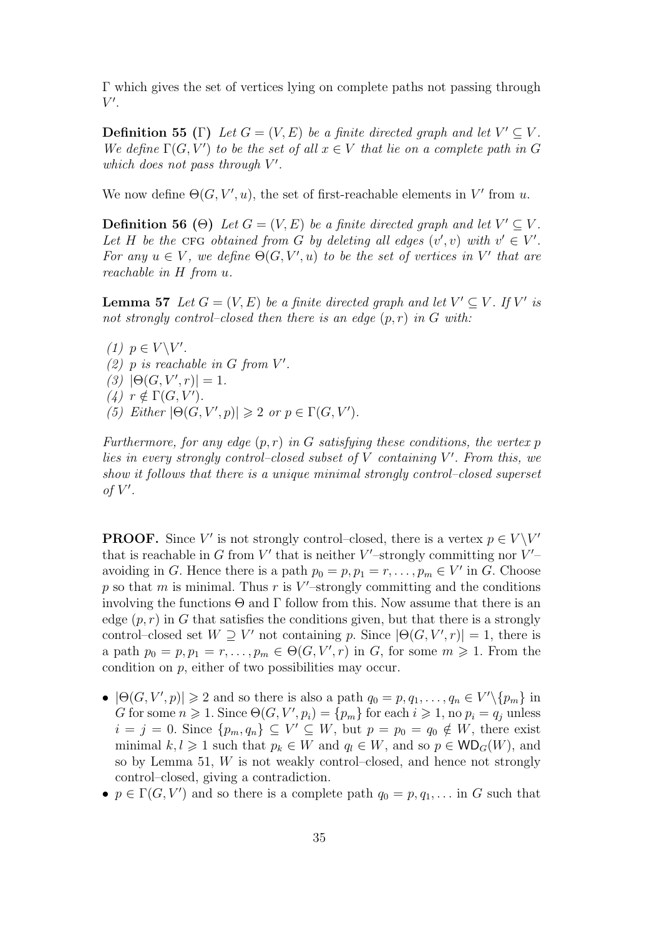Γ which gives the set of vertices lying on complete paths not passing through  $V'.$ 

**Definition 55** (Γ) Let  $G = (V, E)$  be a finite directed graph and let  $V' \subseteq V$ . We define  $\Gamma(G, V')$  to be the set of all  $x \in V$  that lie on a complete path in G which does not pass through  $V'$ .

We now define  $\Theta(G, V', u)$ , the set of first-reachable elements in V' from u.

**Definition 56** (Θ) Let  $G = (V, E)$  be a finite directed graph and let  $V' \subseteq V$ . Let H be the CFG obtained from G by deleting all edges  $(v', v)$  with  $v' \in V'$ . For any  $u \in V$ , we define  $\Theta(G, V', u)$  to be the set of vertices in V' that are reachable in H from u.

**Lemma 57** Let  $G = (V, E)$  be a finite directed graph and let  $V' \subseteq V$ . If V' is not strongly control–closed then there is an edge  $(p, r)$  in G with:

(1)  $p \in V \backslash V'$ .  $(2)$  p is reachable in G from V'. (3)  $|\Theta(G, V', r)| = 1.$ (4)  $r \notin \Gamma(G, V')$ . (5) Either  $|\Theta(G, V', p)| \geq 2$  or  $p \in \Gamma(G, V')$ .

Furthermore, for any edge  $(p, r)$  in G satisfying these conditions, the vertex p lies in every strongly control-closed subset of  $V$  containing  $V'$ . From this, we show it follows that there is a unique minimal strongly control–closed superset of  $V'$ .

**PROOF.** Since V' is not strongly control–closed, there is a vertex  $p \in V \backslash V'$ that is reachable in G from  $V'$  that is neither  $V'$ -strongly committing nor  $V'$ avoiding in G. Hence there is a path  $p_0 = p, p_1 = r, \ldots, p_m \in V'$  in G. Choose p so that m is minimal. Thus r is  $V'$ -strongly committing and the conditions involving the functions  $\Theta$  and  $\Gamma$  follow from this. Now assume that there is an edge  $(p, r)$  in G that satisfies the conditions given, but that there is a strongly control–closed set  $W \supseteq V'$  not containing p. Since  $|\Theta(G, V', r)| = 1$ , there is a path  $p_0 = p, p_1 = r, \ldots, p_m \in \Theta(G, V', r)$  in G, for some  $m \geq 1$ . From the condition on p, either of two possibilities may occur.

- $|\Theta(G, V', p)| \ge 2$  and so there is also a path  $q_0 = p, q_1, \ldots, q_n \in V' \setminus \{p_m\}$  in G for some  $n \geq 1$ . Since  $\Theta(G, V', p_i) = \{p_m\}$  for each  $i \geq 1$ , no  $p_i = q_j$  unless  $i = j = 0$ . Since  $\{p_m, q_n\} \subseteq V' \subseteq W$ , but  $p = p_0 = q_0 \notin W$ , there exist minimal  $k, l \geq 1$  such that  $p_k \in W$  and  $q_l \in W$ , and so  $p \in WD_G(W)$ , and so by Lemma 51, W is not weakly control–closed, and hence not strongly control–closed, giving a contradiction.
- $p \in \Gamma(G, V')$  and so there is a complete path  $q_0 = p, q_1, \ldots$  in G such that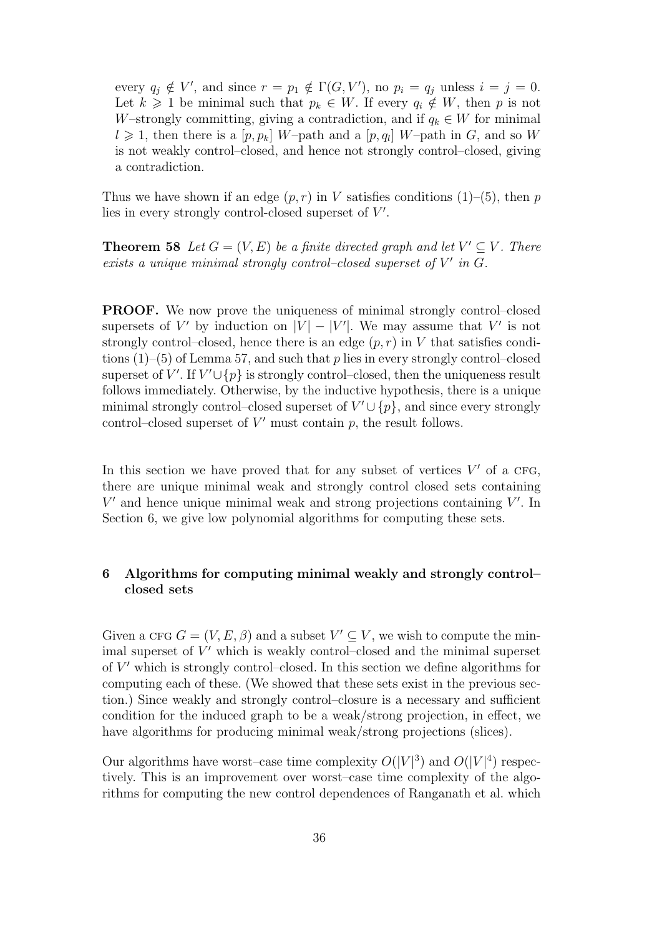every  $q_j \notin V'$ , and since  $r = p_1 \notin \Gamma(G, V')$ , no  $p_i = q_j$  unless  $i = j = 0$ . Let  $k \geq 1$  be minimal such that  $p_k \in W$ . If every  $q_i \notin W$ , then p is not W–strongly committing, giving a contradiction, and if  $q_k \in W$  for minimal  $l \geq 1$ , then there is a  $[p, p_k]$  W-path and a  $[p, q_l]$  W-path in G, and so W is not weakly control–closed, and hence not strongly control–closed, giving a contradiction.

Thus we have shown if an edge  $(p, r)$  in V satisfies conditions (1)–(5), then p lies in every strongly control-closed superset of  $V'$ .

**Theorem 58** Let  $G = (V, E)$  be a finite directed graph and let  $V' \subseteq V$ . There exists a unique minimal strongly control-closed superset of  $V'$  in  $G$ .

PROOF. We now prove the uniqueness of minimal strongly control–closed supersets of V' by induction on  $|V| - |V'|$ . We may assume that V' is not strongly control–closed, hence there is an edge  $(p, r)$  in V that satisfies conditions  $(1)$ –(5) of Lemma 57, and such that p lies in every strongly control–closed superset of V'. If  $V' \cup \{p\}$  is strongly control–closed, then the uniqueness result follows immediately. Otherwise, by the inductive hypothesis, there is a unique minimal strongly control–closed superset of  $V' \cup \{p\}$ , and since every strongly control–closed superset of  $V'$  must contain  $p$ , the result follows.

In this section we have proved that for any subset of vertices  $V'$  of a CFG, there are unique minimal weak and strongly control closed sets containing  $V'$  and hence unique minimal weak and strong projections containing  $V'$ . In Section 6, we give low polynomial algorithms for computing these sets.

# 6 Algorithms for computing minimal weakly and strongly control– closed sets

Given a CFG  $G = (V, E, \beta)$  and a subset  $V' \subseteq V$ , we wish to compute the minimal superset of  $V'$  which is weakly control-closed and the minimal superset of  $V'$  which is strongly control-closed. In this section we define algorithms for computing each of these. (We showed that these sets exist in the previous section.) Since weakly and strongly control–closure is a necessary and sufficient condition for the induced graph to be a weak/strong projection, in effect, we have algorithms for producing minimal weak/strong projections (slices).

Our algorithms have worst-case time complexity  $O(|V|^3)$  and  $O(|V|^4)$  respectively. This is an improvement over worst–case time complexity of the algorithms for computing the new control dependences of Ranganath et al. which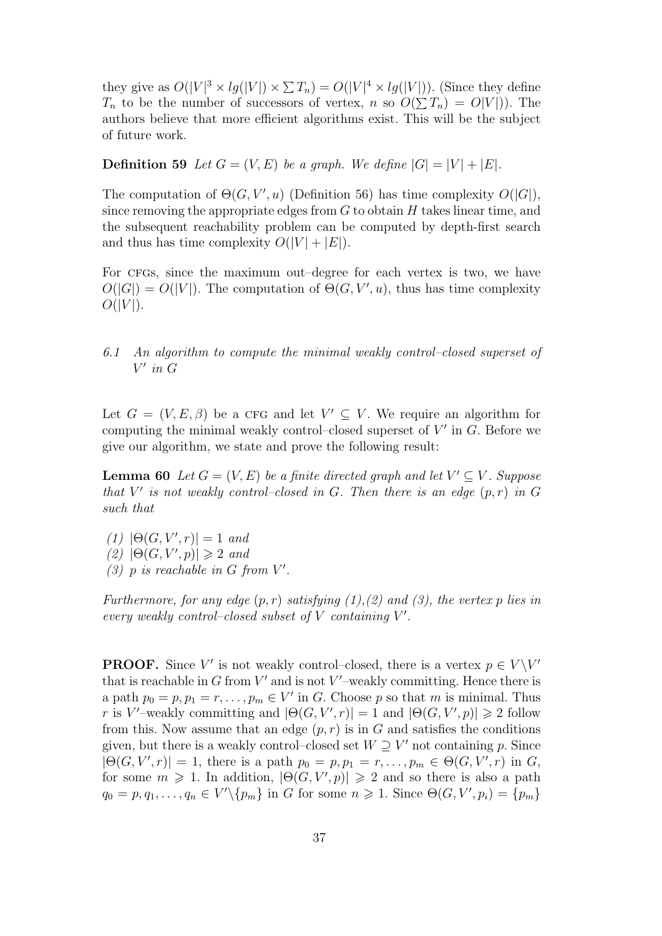they give as  $O(|V|^3 \times \lg(|V|) \times \sum T_n) = O(|V|^4 \times \lg(|V|))$ . (Since they define  $T_n$  to be the number of successors of vertex, n so  $O(\sum T_n) = O|V|$ ). The authors believe that more efficient algorithms exist. This will be the subject of future work.

**Definition 59** Let  $G = (V, E)$  be a graph. We define  $|G| = |V| + |E|$ .

The computation of  $\Theta(G, V', u)$  (Definition 56) has time complexity  $O(|G|)$ , since removing the appropriate edges from  $G$  to obtain  $H$  takes linear time, and the subsequent reachability problem can be computed by depth-first search and thus has time complexity  $O(|V| + |E|)$ .

For CFGs, since the maximum out–degree for each vertex is two, we have  $O(|G|) = O(|V|)$ . The computation of  $\Theta(G, V', u)$ , thus has time complexity  $O(|V|)$ .

6.1 An algorithm to compute the minimal weakly control–closed superset of  $V'$  in  $G$ 

Let  $G = (V, E, \beta)$  be a CFG and let  $V' \subseteq V$ . We require an algorithm for computing the minimal weakly control-closed superset of  $V'$  in  $G$ . Before we give our algorithm, we state and prove the following result:

**Lemma 60** Let  $G = (V, E)$  be a finite directed graph and let  $V' \subseteq V$ . Suppose that V' is not weakly control-closed in G. Then there is an edge  $(p,r)$  in G such that

(1)  $|\Theta(G, V', r)| = 1$  and  $(2)$   $|\Theta(G, V', p)| \geq 2$  and (3)  $p$  is reachable in G from  $V'$ .

Furthermore, for any edge  $(p, r)$  satisfying  $(1), (2)$  and  $(3)$ , the vertex p lies in every weakly control-closed subset of  $V$  containing  $V'$ .

**PROOF.** Since V' is not weakly control-closed, there is a vertex  $p \in V \backslash V'$ that is reachable in  $G$  from  $V'$  and is not  $V'$ -weakly committing. Hence there is a path  $p_0 = p, p_1 = r, \ldots, p_m \in V'$  in G. Choose p so that m is minimal. Thus r is V'-weakly committing and  $|\Theta(G, V', r)| = 1$  and  $|\Theta(G, V', p)| \ge 2$  follow from this. Now assume that an edge  $(p, r)$  is in G and satisfies the conditions given, but there is a weakly control–closed set  $W \supseteq V'$  not containing p. Since  $|\Theta(G, V', r)| = 1$ , there is a path  $p_0 = p, p_1 = r, \ldots, p_m \in \Theta(G, V', r)$  in G, for some  $m \geq 1$ . In addition,  $|\Theta(G, V', p)| \geq 2$  and so there is also a path  $q_0 = p, q_1, \ldots, q_n \in V' \setminus \{p_m\}$  in G for some  $n \geqslant 1$ . Since  $\Theta(G, V', p_i) = \{p_m\}$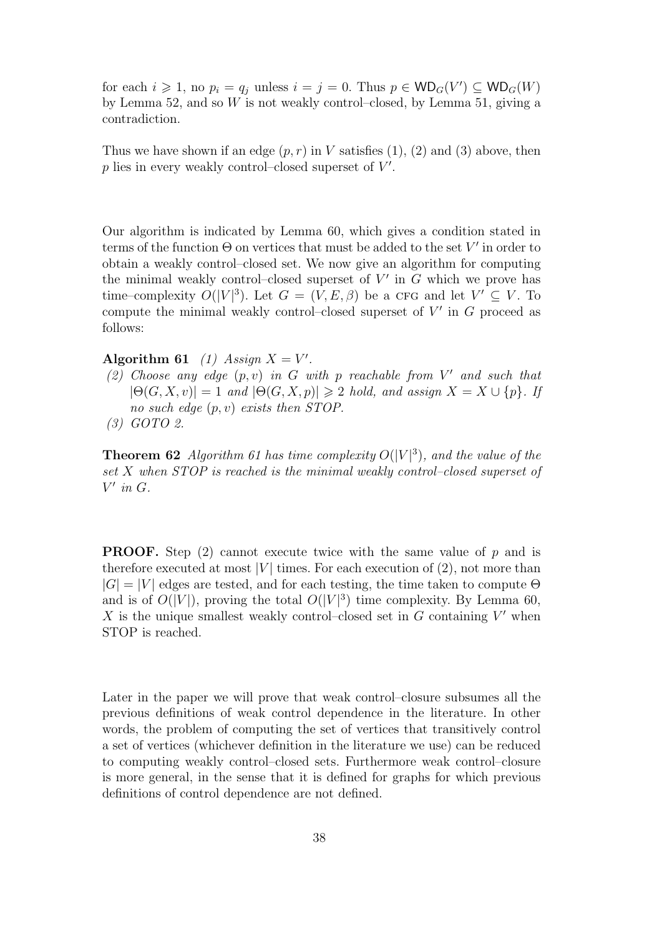for each  $i \geq 1$ , no  $p_i = q_j$  unless  $i = j = 0$ . Thus  $p \in WD_G(V') \subseteq WD_G(W)$ by Lemma 52, and so W is not weakly control–closed, by Lemma 51, giving a contradiction.

Thus we have shown if an edge  $(p, r)$  in V satisfies  $(1), (2)$  and  $(3)$  above, then  $p$  lies in every weakly control-closed superset of  $V'$ .

Our algorithm is indicated by Lemma 60, which gives a condition stated in terms of the function  $\Theta$  on vertices that must be added to the set  $V'$  in order to obtain a weakly control–closed set. We now give an algorithm for computing the minimal weakly control-closed superset of  $V'$  in  $G$  which we prove has time–complexity  $O(|V|^3)$ . Let  $G = (V, E, \beta)$  be a CFG and let  $V' \subseteq V$ . To compute the minimal weakly control-closed superset of  $V'$  in  $G$  proceed as follows:

Algorithm 61 (1) Assign  $X = V'$ .

- (2) Choose any edge  $(p, v)$  in G with p reachable from V' and such that  $|\Theta(G, X, v)| = 1$  and  $|\Theta(G, X, p)| \ge 2$  hold, and assign  $X = X \cup \{p\}$ . If no such edge (p, v) exists then STOP.
- (3) GOTO 2.

**Theorem 62** Algorithm 61 has time complexity  $O(|V|^3)$ , and the value of the set X when STOP is reached is the minimal weakly control–closed superset of  $V'$  in  $G$ .

**PROOF.** Step  $(2)$  cannot execute twice with the same value of p and is therefore executed at most  $|V|$  times. For each execution of (2), not more than  $|G| = |V|$  edges are tested, and for each testing, the time taken to compute  $\Theta$ and is of  $O(|V|)$ , proving the total  $O(|V|^3)$  time complexity. By Lemma 60,  $X$  is the unique smallest weakly control-closed set in  $G$  containing  $V'$  when STOP is reached.

Later in the paper we will prove that weak control–closure subsumes all the previous definitions of weak control dependence in the literature. In other words, the problem of computing the set of vertices that transitively control a set of vertices (whichever definition in the literature we use) can be reduced to computing weakly control–closed sets. Furthermore weak control–closure is more general, in the sense that it is defined for graphs for which previous definitions of control dependence are not defined.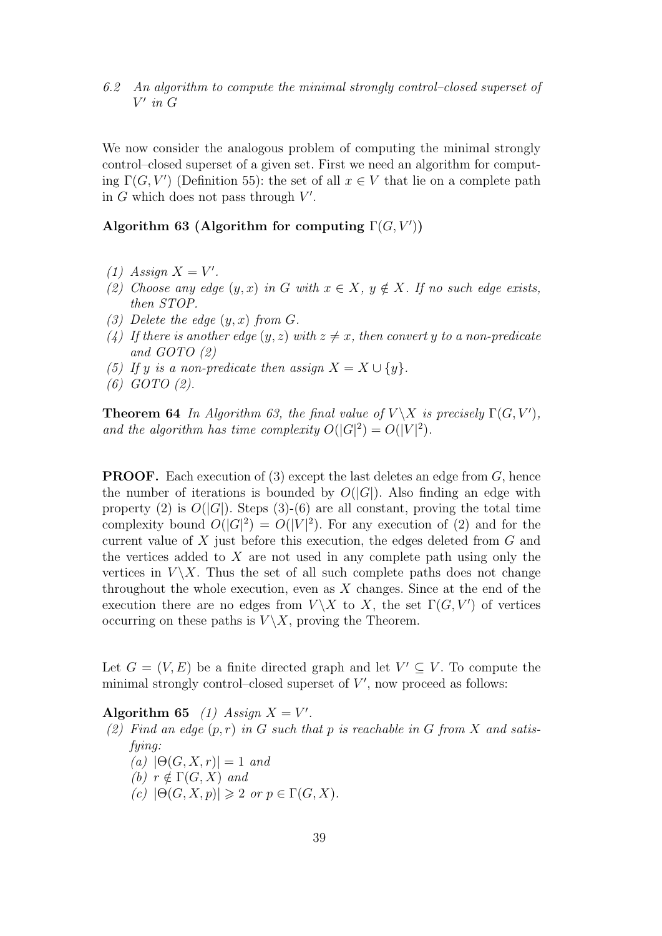6.2 An algorithm to compute the minimal strongly control–closed superset of  $V'$  in  $G$ 

We now consider the analogous problem of computing the minimal strongly control–closed superset of a given set. First we need an algorithm for computing  $\Gamma(G, V')$  (Definition 55): the set of all  $x \in V$  that lie on a complete path in  $G$  which does not pass through  $V'$ .

# Algorithm 63 (Algorithm for computing  $\Gamma(G, V')$ )

- (1) Assign  $X = V'$ .
- (2) Choose any edge  $(y, x)$  in G with  $x \in X$ ,  $y \notin X$ . If no such edge exists, then STOP.
- (3) Delete the edge  $(y, x)$  from G.
- (4) If there is another edge  $(y, z)$  with  $z \neq x$ , then convert y to a non-predicate and GOTO (2)
- (5) If y is a non-predicate then assign  $X = X \cup \{y\}$ .
- (6) GOTO (2).

**Theorem 64** In Algorithm 63, the final value of  $V \ X$  is precisely  $\Gamma(G, V')$ , and the algorithm has time complexity  $O(|G|^2) = O(|V|^2)$ .

**PROOF.** Each execution of  $(3)$  except the last deletes an edge from  $G$ , hence the number of iterations is bounded by  $O(|G|)$ . Also finding an edge with property (2) is  $O(|G|)$ . Steps (3)-(6) are all constant, proving the total time complexity bound  $O(|G|^2) = O(|V|^2)$ . For any execution of (2) and for the current value of X just before this execution, the edges deleted from G and the vertices added to  $X$  are not used in any complete path using only the vertices in  $V \backslash X$ . Thus the set of all such complete paths does not change throughout the whole execution, even as  $X$  changes. Since at the end of the execution there are no edges from  $V \backslash X$  to X, the set  $\Gamma(G, V')$  of vertices occurring on these paths is  $V \backslash X$ , proving the Theorem.

Let  $G = (V, E)$  be a finite directed graph and let  $V' \subseteq V$ . To compute the minimal strongly control-closed superset of  $V'$ , now proceed as follows:

Algorithm 65 (1) Assign  $X = V'$ .

- (2) Find an edge  $(p, r)$  in G such that p is reachable in G from X and satisfying:
	- (a)  $|\Theta(G, X, r)| = 1$  and
	- (b)  $r \notin \Gamma(G, X)$  and
	- (c)  $|\Theta(G, X, p)| \geq 2$  or  $p \in \Gamma(G, X)$ .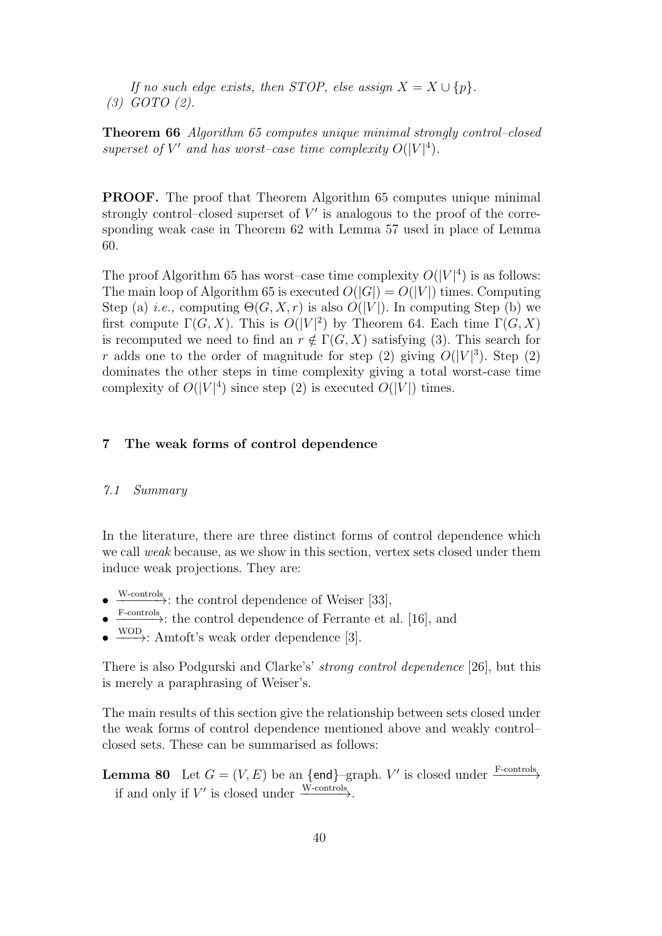If no such edge exists, then STOP, else assign  $X = X \cup \{p\}$ . (3) GOTO (2).

Theorem 66 Algorithm 65 computes unique minimal strongly control–closed superset of V' and has worst-case time complexity  $O(|V|^4)$ .

PROOF. The proof that Theorem Algorithm 65 computes unique minimal strongly control-closed superset of  $V'$  is analogous to the proof of the corresponding weak case in Theorem 62 with Lemma 57 used in place of Lemma 60.

The proof Algorithm 65 has worst-case time complexity  $O(|V|^4)$  is as follows: The main loop of Algorithm 65 is executed  $O(|G|) = O(|V|)$  times. Computing Step (a) *i.e.*, computing  $\Theta(G, X, r)$  is also  $O(|V|)$ . In computing Step (b) we first compute  $\Gamma(G, X)$ . This is  $O(|V|^2)$  by Theorem 64. Each time  $\Gamma(G, X)$ is recomputed we need to find an  $r \notin \Gamma(G, X)$  satisfying (3). This search for r adds one to the order of magnitude for step (2) giving  $O(|V|^3)$ . Step (2) dominates the other steps in time complexity giving a total worst-case time complexity of  $O(|V|^4)$  since step (2) is executed  $O(|V|)$  times.

# 7 The weak forms of control dependence

#### 7.1 Summary

In the literature, there are three distinct forms of control dependence which we call weak because, as we show in this section, vertex sets closed under them induce weak projections. They are:

- $\frac{\text{W-controls}}{2}$ : the control dependence of Weiser [33],
- $\frac{\text{F-controls}}{\text{F-controls}}$ : the control dependence of Ferrante et al. [16], and
- $\overline{\text{WOD}}$ : Amtoft's weak order dependence [3].

There is also Podgurski and Clarke's' strong control dependence [26], but this is merely a paraphrasing of Weiser's.

The main results of this section give the relationship between sets closed under the weak forms of control dependence mentioned above and weakly control– closed sets. These can be summarised as follows:

**Lemma 80** Let  $G = (V, E)$  be an {end}-graph. V' is closed under  $\xrightarrow{F\text{-controls}}$ if and only if  $V'$  is closed under  $\frac{\text{W-controls}}{\text{W-}$ .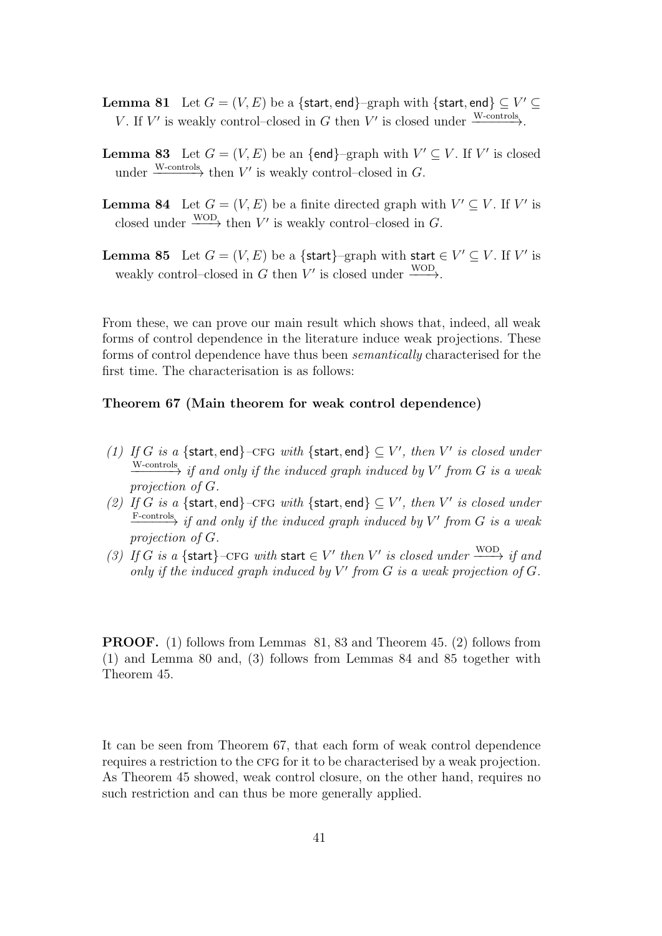- **Lemma 81** Let  $G = (V, E)$  be a {start, end}-graph with {start, end}  $\subseteq V' \subseteq$ V. If V' is weakly control-closed in G then V' is closed under  $\frac{\text{W-controls}}{\text{W-}}$ .
- **Lemma 83** Let  $G = (V, E)$  be an {end}-graph with  $V' \subseteq V$ . If V' is closed under  $\xrightarrow{\text{W-controls}}$  then V' is weakly control-closed in G.
- **Lemma 84** Let  $G = (V, E)$  be a finite directed graph with  $V' \subseteq V$ . If V' is closed under  $\frac{\text{WOD}}{\text{WOD}}$  then V' is weakly control–closed in G.

**Lemma 85** Let  $G = (V, E)$  be a {start}-graph with start  $\in V' \subseteq V$ . If V' is weakly control–closed in G then  $V'$  is closed under  $\frac{\text{WOD}}{\text{WOD}}$ .

From these, we can prove our main result which shows that, indeed, all weak forms of control dependence in the literature induce weak projections. These forms of control dependence have thus been semantically characterised for the first time. The characterisation is as follows:

# Theorem 67 (Main theorem for weak control dependence)

- (1) If G is a {start, end}-CFG with {start, end}  $\subseteq V'$ , then V' is closed under  $\rightarrow$   $\rightarrow$  if and only if the induced graph induced by V' from G is a weak projection of G.
- (2) If G is a {start, end}-CFG with {start, end}  $\subseteq V'$ , then V' is closed under  $f^{\text{1--controls}}$  if and only if the induced graph induced by V' from G is a weak projection of G.
- (3) If G is a {start}-CFG with start  $\in V'$  then V' is closed under  $\frac{\text{WOD}}{\text{WOD}}$  if and only if the induced graph induced by  $V'$  from  $G$  is a weak projection of  $G$ .

PROOF. (1) follows from Lemmas 81, 83 and Theorem 45. (2) follows from (1) and Lemma 80 and, (3) follows from Lemmas 84 and 85 together with Theorem 45.

It can be seen from Theorem 67, that each form of weak control dependence requires a restriction to the CFG for it to be characterised by a weak projection. As Theorem 45 showed, weak control closure, on the other hand, requires no such restriction and can thus be more generally applied.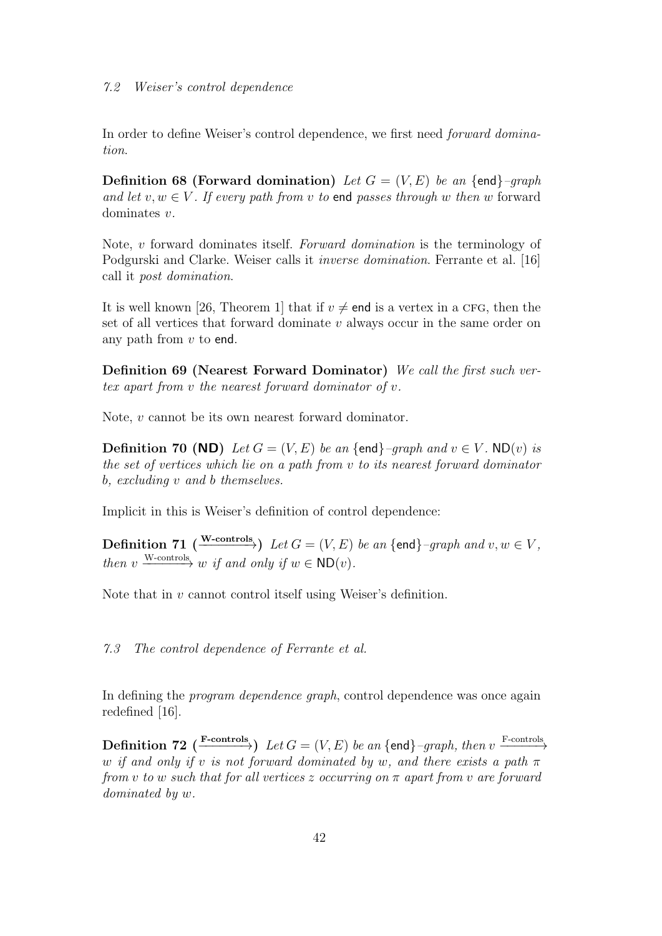# 7.2 Weiser's control dependence

In order to define Weiser's control dependence, we first need forward domination.

**Definition 68 (Forward domination)** Let  $G = (V, E)$  be an {end}-graph and let  $v, w \in V$ . If every path from v to end passes through w then w forward dominates v.

Note, v forward dominates itself. Forward domination is the terminology of Podgurski and Clarke. Weiser calls it inverse domination. Ferrante et al. [16] call it post domination.

It is well known [26, Theorem 1] that if  $v \neq \text{end}$  is a vertex in a CFG, then the set of all vertices that forward dominate  $v$  always occur in the same order on any path from  $v$  to end.

Definition 69 (Nearest Forward Dominator) We call the first such vertex apart from v the nearest forward dominator of v.

Note, v cannot be its own nearest forward dominator.

**Definition 70 (ND)** Let  $G = (V, E)$  be an {end}–graph and  $v \in V$ . ND(v) is the set of vertices which lie on a path from v to its nearest forward dominator b, excluding v and b themselves.

Implicit in this is Weiser's definition of control dependence:

**Definition 71** ( $\frac{\text{W-controls}}{\text{W-} }$ ) Let  $G = (V, E)$  be an {end}-graph and  $v, w \in V$ , then v  $\frac{W\text{-controls}}{W}$  if and only if  $w \in \mathsf{ND}(v)$ .

Note that in v cannot control itself using Weiser's definition.

7.3 The control dependence of Ferrante et al.

In defining the *program dependence graph*, control dependence was once again redefined [16].

**Definition 72** ( $\xrightarrow{\text{F-controls}}$ ) Let  $G = (V, E)$  be an {end}-graph, then v  $\xrightarrow{\text{F-controls}}$ w if and only if v is not forward dominated by w, and there exists a path  $\pi$ from v to w such that for all vertices z occurring on  $\pi$  apart from v are forward dominated by w.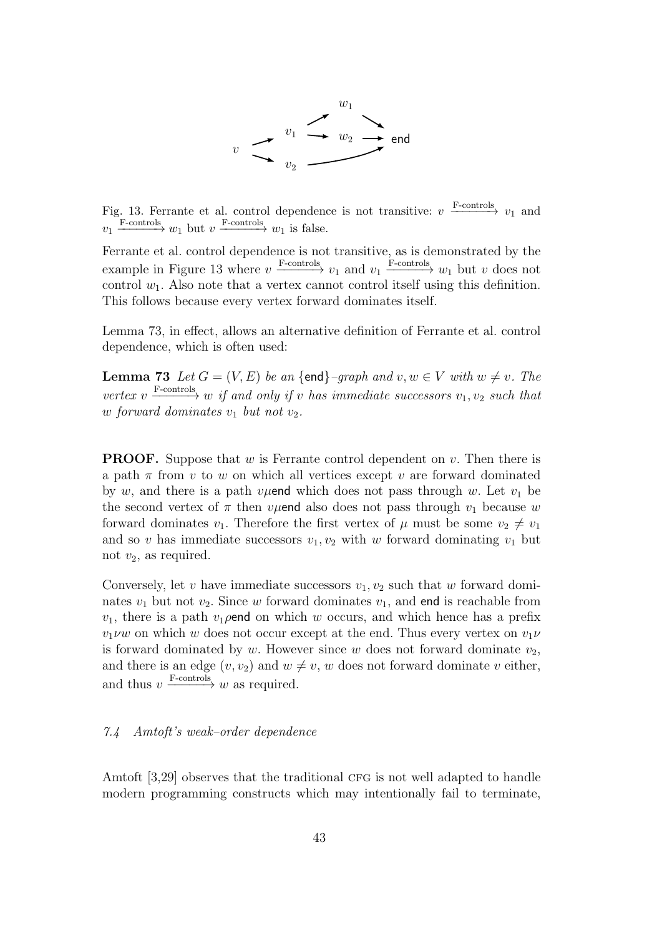

Fig. 13. Ferrante et al. control dependence is not transitive:  $v \xrightarrow{\text{F-controls}} v_1$  and  $v_1 \xrightarrow{\text{F-controls}} w_1$  but  $v \xrightarrow{\text{F-controls}} w_1$  is false.

Ferrante et al. control dependence is not transitive, as is demonstrated by the example in Figure 13 where  $v \xrightarrow{\text{F-controls}} v_1$  and  $v_1 \xrightarrow{\text{F-controls}} w_1$  but v does not control  $w_1$ . Also note that a vertex cannot control itself using this definition. This follows because every vertex forward dominates itself.

Lemma 73, in effect, allows an alternative definition of Ferrante et al. control dependence, which is often used:

**Lemma 73** Let  $G = (V, E)$  be an {end}-graph and  $v, w \in V$  with  $w \neq v$ . The vertex v  $\frac{\text{F-control}}{\text{F} \to \infty}$  w if and only if v has immediate successors  $v_1, v_2$  such that w forward dominates  $v_1$  but not  $v_2$ .

**PROOF.** Suppose that  $w$  is Ferrante control dependent on  $v$ . Then there is a path  $\pi$  from v to w on which all vertices except v are forward dominated by w, and there is a path v $\mu$ end which does not pass through w. Let  $v_1$  be the second vertex of  $\pi$  then v $\mu$ end also does not pass through  $v_1$  because w forward dominates  $v_1$ . Therefore the first vertex of  $\mu$  must be some  $v_2 \neq v_1$ and so v has immediate successors  $v_1, v_2$  with w forward dominating  $v_1$  but not  $v_2$ , as required.

Conversely, let v have immediate successors  $v_1, v_2$  such that w forward dominates  $v_1$  but not  $v_2$ . Since w forward dominates  $v_1$ , and end is reachable from  $v_1$ , there is a path  $v_1$  pend on which w occurs, and which hence has a prefix  $v_1 \nu w$  on which w does not occur except at the end. Thus every vertex on  $v_1 \nu$ is forward dominated by w. However since w does not forward dominate  $v_2$ , and there is an edge  $(v, v_2)$  and  $w \neq v$ , w does not forward dominate v either, and thus  $v \xrightarrow{\text{F-controls}} w$  as required.

#### 7.4 Amtoft's weak–order dependence

Amtoft [3,29] observes that the traditional CFG is not well adapted to handle modern programming constructs which may intentionally fail to terminate,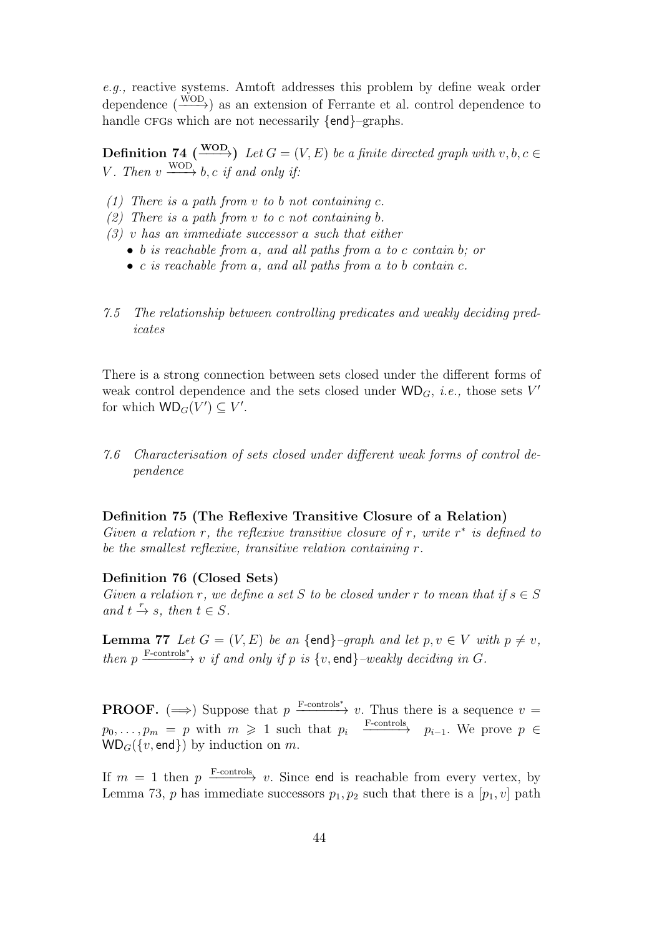e.g., reactive systems. Amtoft addresses this problem by define weak order dependence  $(\frac{WOD}{)}$  as an extension of Ferrante et al. control dependence to handle CFGs which are not necessarily {end}-graphs.

**Definition 74** ( $\overline{\text{WOD}}$ ) Let  $G = (V, E)$  be a finite directed graph with  $v, b, c \in$ V. Then  $v \xrightarrow{\text{WOD}} b, c \text{ if and only if:}$ 

- (1) There is a path from  $v$  to  $b$  not containing  $c$ .
- (2) There is a path from  $v$  to  $c$  not containing  $b$ .
- $(3)$  v has an immediate successor a such that either
	- b is reachable from a, and all paths from a to c contain b; or
	- c is reachable from a, and all paths from a to b contain c.
- 7.5 The relationship between controlling predicates and weakly deciding predicates

There is a strong connection between sets closed under the different forms of weak control dependence and the sets closed under  $WD_G$ , *i.e.*, those sets  $V'$ for which  $\mathsf{WD}_G(V') \subseteq V'.$ 

7.6 Characterisation of sets closed under different weak forms of control dependence

#### Definition 75 (The Reflexive Transitive Closure of a Relation)

Given a relation r, the reflexive transitive closure of r, write  $r^*$  is defined to be the smallest reflexive, transitive relation containing r.

# Definition 76 (Closed Sets)

Given a relation r, we define a set S to be closed under r to mean that if  $s \in S$ and  $t \stackrel{r}{\rightarrow} s$ , then  $t \in S$ .

**Lemma 77** Let  $G = (V, E)$  be an {end}-graph and let  $p, v \in V$  with  $p \neq v$ , then  $p \xrightarrow{\text{F-controls}^*} v$  if and only if p is  $\{v, \text{end}\}\text{-weakly deciding in } G$ .

**PROOF.**  $(\Longrightarrow)$  Suppose that  $p \xrightarrow{\text{F-controls}^*} v$ . Thus there is a sequence  $v =$  $p_0, \ldots, p_m = p$  with  $m \geq 1$  such that  $p_i \xrightarrow{\text{F-controls}} p_{i-1}$ . We prove  $p \in$  $WD<sub>G</sub>(\{v, end\})$  by induction on m.

If  $m = 1$  then  $p \xrightarrow{\text{F-controls}} v$ . Since end is reachable from every vertex, by Lemma 73, p has immediate successors  $p_1, p_2$  such that there is a  $[p_1, v]$  path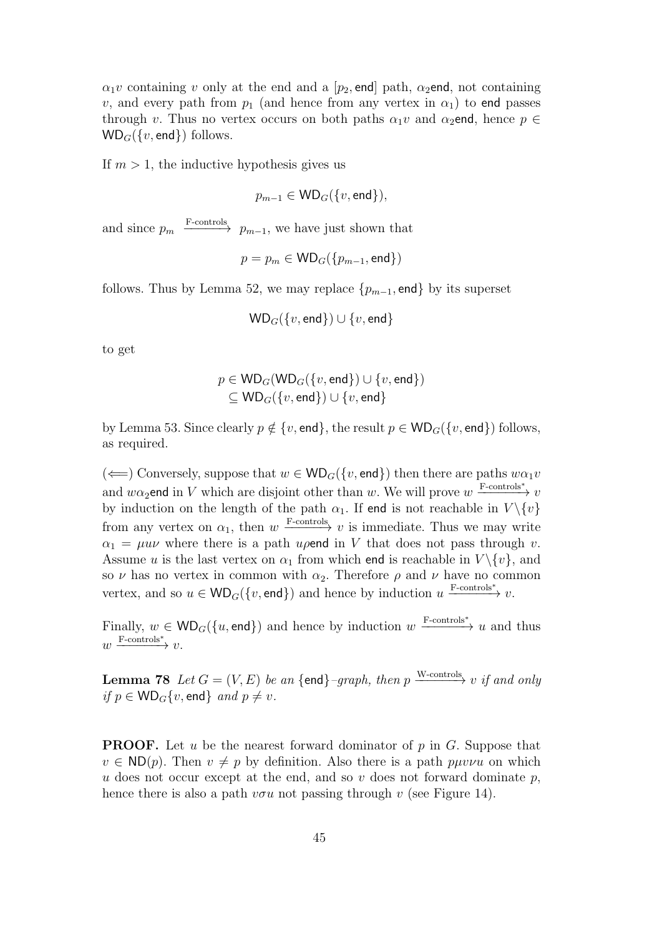$\alpha_1 v$  containing v only at the end and a  $[p_2, \text{end}]$  path,  $\alpha_2$  end, not containing v, and every path from  $p_1$  (and hence from any vertex in  $\alpha_1$ ) to end passes through v. Thus no vertex occurs on both paths  $\alpha_1 v$  and  $\alpha_2$ end, hence  $p \in$  $WD<sub>G</sub>(\{v, end\})$  follows.

If  $m > 1$ , the inductive hypothesis gives us

$$
p_{m-1} \in \mathsf{WD}_G(\{v, \mathsf{end}\}),
$$

and since  $p_m \xrightarrow{\text{F-controls}} p_{m-1}$ , we have just shown that

$$
p = p_m \in \mathsf{WD}_G(\{p_{m-1}, \mathsf{end}\})
$$

follows. Thus by Lemma 52, we may replace  $\{p_{m-1}, \text{end}\}$  by its superset

$$
\mathsf{WD}_G(\{v,\mathsf{end}\}) \cup \{v,\mathsf{end}\}
$$

to get

$$
p \in \mathsf{WD}_G(\mathsf{WD}_G(\{v,\mathsf{end}\}) \cup \{v,\mathsf{end}\})
$$
  
\n
$$
\subseteq \mathsf{WD}_G(\{v,\mathsf{end}\}) \cup \{v,\mathsf{end}\}
$$

by Lemma 53. Since clearly  $p \notin \{v, \text{end}\},$  the result  $p \in \text{WD}_G(\{v, \text{end}\})$  follows, as required.

( $\Longleftarrow$ ) Conversely, suppose that  $w \in WD_G({v, end})$  then there are paths  $w\alpha_1v$ and w $\alpha_2$ end in V which are disjoint other than w. We will prove w  $\frac{\text{F-controls}^*}{\text{F-controls}^*}$ by induction on the length of the path  $\alpha_1$ . If end is not reachable in  $V \setminus \{v\}$ from any vertex on  $\alpha_1$ , then  $w \xrightarrow{\text{F-controls}} v$  is immediate. Thus we may write  $\alpha_1 = \mu u \nu$  where there is a path upend in V that does not pass through v. Assume u is the last vertex on  $\alpha_1$  from which end is reachable in  $V \setminus \{v\}$ , and so  $\nu$  has no vertex in common with  $\alpha_2$ . Therefore  $\rho$  and  $\nu$  have no common vertex, and so  $u \in \text{WD}_G(\{v, \text{end}\})$  and hence by induction  $u \xrightarrow{\text{F-control}^*} v$ .

Finally,  $w \in WD_G(\lbrace u, \text{end} \rbrace)$  and hence by induction  $w \xrightarrow{\text{F-controls}^*} u$  and thus  $w \xrightarrow{\text{F-controls}^*} v.$ 

**Lemma 78** Let  $G = (V, E)$  be an {end}-graph, then  $p \xrightarrow{W\text{-controls}} v$  if and only if  $p \in \mathsf{WD}_G\{v, \mathsf{end}\}\$  and  $p \neq v$ .

**PROOF.** Let u be the nearest forward dominator of p in  $G$ . Suppose that  $v \in \mathsf{ND}(p)$ . Then  $v \neq p$  by definition. Also there is a path  $p\mu v\nu u$  on which u does not occur except at the end, and so v does not forward dominate  $p$ , hence there is also a path  $v\sigma u$  not passing through v (see Figure 14).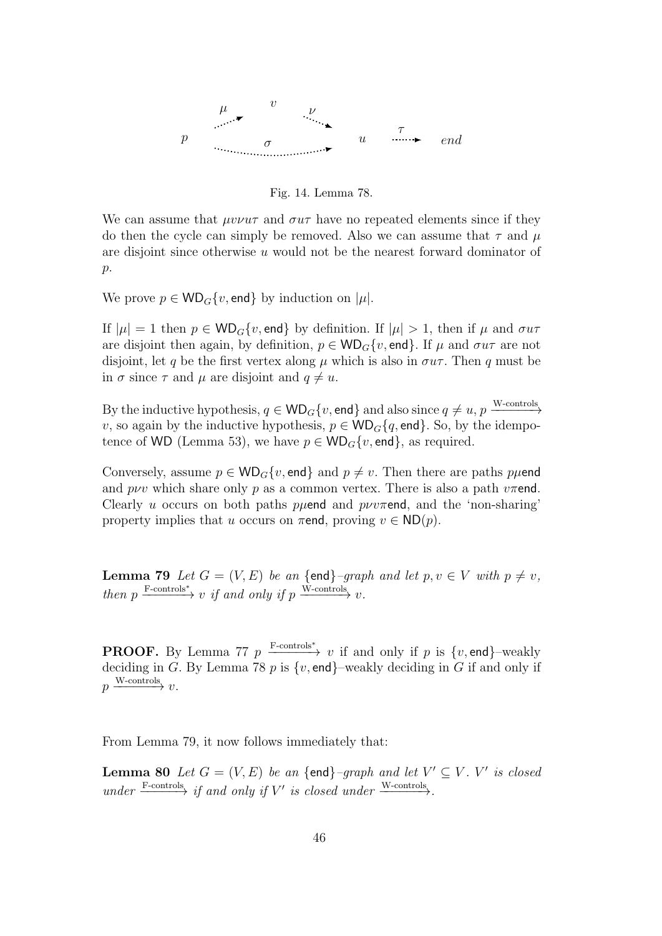

Fig. 14. Lemma 78.

We can assume that  $\mu \nu \nu \nu \tau$  and  $\sigma \nu \tau$  have no repeated elements since if they do then the cycle can simply be removed. Also we can assume that  $\tau$  and  $\mu$ are disjoint since otherwise u would not be the nearest forward dominator of  $p$ .

We prove  $p \in WD_G\{v, \text{end}\}\$  by induction on  $|\mu|$ .

If  $|\mu| = 1$  then  $p \in WD_G\{v, \text{end}\}\$  by definition. If  $|\mu| > 1$ , then if  $\mu$  and  $\sigma u\tau$ are disjoint then again, by definition,  $p \in WD_G\{v, \text{end}\}\)$ . If  $\mu$  and  $\sigma u\tau$  are not disjoint, let q be the first vertex along  $\mu$  which is also in  $\sigma u\tau$ . Then q must be in  $\sigma$  since  $\tau$  and  $\mu$  are disjoint and  $q \neq u$ .

By the inductive hypothesis,  $q \in W D_G\{v, \text{end}\}\$  and also since  $q \neq u, p \xrightarrow{W\text{-controls}}$ v, so again by the inductive hypothesis,  $p \in WD<sub>G</sub>{q, end}$ . So, by the idempotence of WD (Lemma 53), we have  $p \in WD_G\{v, \text{end}\},$  as required.

Conversely, assume  $p \in WD_G\{v, \text{end}\}\$  and  $p \neq v$ . Then there are paths puend and  $p\nu v$  which share only p as a common vertex. There is also a path  $v\pi$ end. Clearly u occurs on both paths puend and  $pvv\pi$ end, and the 'non-sharing' property implies that u occurs on  $\pi$ end, proving  $v \in \text{ND}(p)$ .

**Lemma 79** Let  $G = (V, E)$  be an {end}-graph and let  $p, v \in V$  with  $p \neq v$ , then  $p \xrightarrow{\text{F-controls}^*} v$  if and only if  $p \xrightarrow{\text{W-controls}} v$ .

**PROOF.** By Lemma 77  $p \xrightarrow{\text{F-control}^*} v$  if and only if p is  $\{v, \text{end}\}$ -weakly deciding in G. By Lemma 78 p is  $\{v, \text{end}\}$ –weakly deciding in G if and only if  $p \xrightarrow{\text{W-controls}} v.$ 

From Lemma 79, it now follows immediately that:

**Lemma 80** Let  $G = (V, E)$  be an {end}-graph and let  $V' \subseteq V$ . V' is closed under  $\xrightarrow{\text{F-controls}}$  if and only if V' is closed under  $\xrightarrow{\text{W-controls}}$ .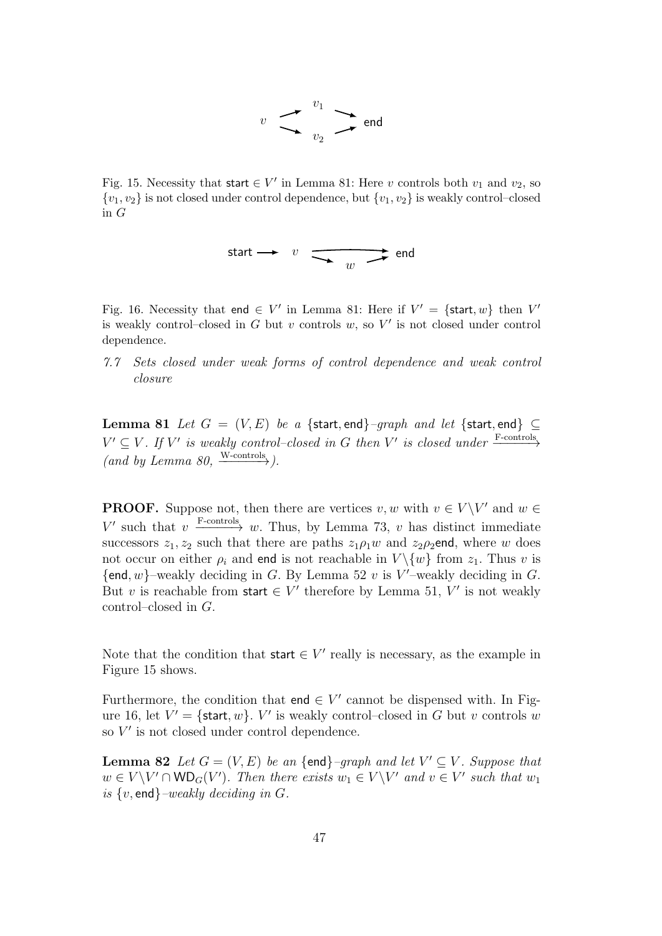

Fig. 15. Necessity that start  $\in V'$  in Lemma 81: Here v controls both  $v_1$  and  $v_2$ , so  ${v_1, v_2}$  is not closed under control dependence, but  ${v_1, v_2}$  is weakly control–closed in G

$$
start \longrightarrow v \longrightarrow w \longrightarrow end
$$

Fig. 16. Necessity that end  $\in V'$  in Lemma 81: Here if  $V' = \{\text{start}, w\}$  then  $V'$ is weakly control-closed in  $G$  but  $v$  controls  $w$ , so  $V'$  is not closed under control dependence.

7.7 Sets closed under weak forms of control dependence and weak control closure

Lemma 81 Let  $G = (V, E)$  be a {start, end}–graph and let {start, end}  $\subset$  $V' \subseteq V$ . If V' is weakly control-closed in G then V' is closed under  $\frac{\text{F-controls}}{\text{F-}$  $(and by Lemma 80, \frac{W\text{-controls}}{P}.$ 

**PROOF.** Suppose not, then there are vertices v, w with  $v \in V \backslash V'$  and  $w \in$ V' such that v  $\frac{\text{F-control}}{\text{F}$  w. Thus, by Lemma 73, v has distinct immediate successors  $z_1, z_2$  such that there are paths  $z_1 \rho_1 w$  and  $z_2 \rho_2$ end, where w does not occur on either  $\rho_i$  and end is not reachable in  $V \setminus \{w\}$  from  $z_1$ . Thus v is  $\{\text{end}, w\}$ -weakly deciding in G. By Lemma 52 v is V'-weakly deciding in G. But v is reachable from start  $\in V'$  therefore by Lemma 51, V' is not weakly control–closed in G.

Note that the condition that start  $\in V'$  really is necessary, as the example in Figure 15 shows.

Furthermore, the condition that end  $\in V'$  cannot be dispensed with. In Figure 16, let  $V' = \{\text{start}, w\}$ . V' is weakly control-closed in G but v controls w so  $V'$  is not closed under control dependence.

**Lemma 82** Let  $G = (V, E)$  be an {end}-graph and let  $V' \subseteq V$ . Suppose that  $w \in V \backslash V' \cap \mathsf{WD}_G(V')$ . Then there exists  $w_1 \in V \backslash V'$  and  $v \in V'$  such that  $w_1$ is  $\{v, \text{end}\}$ -weakly deciding in G.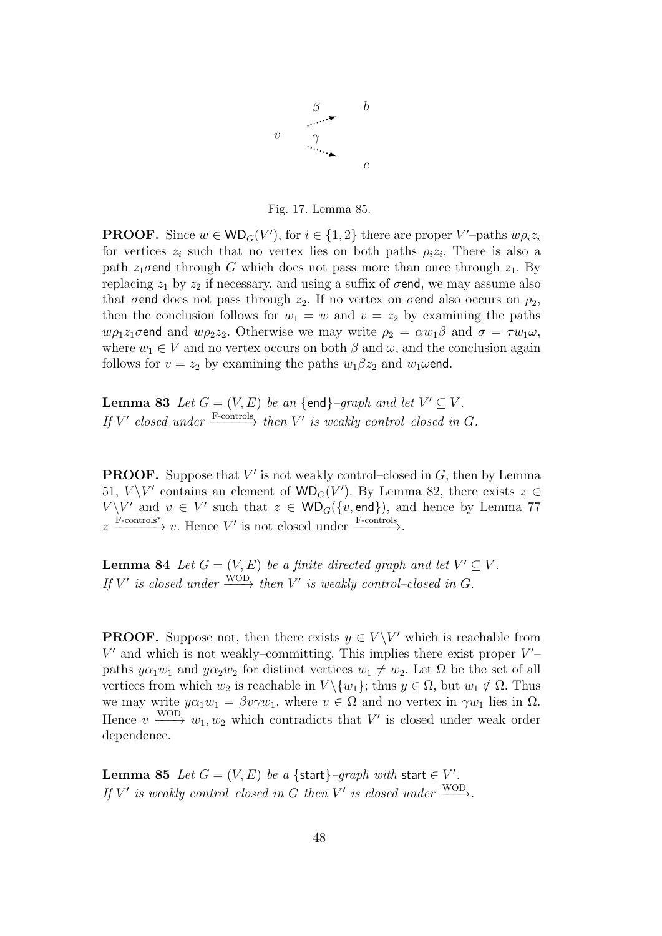

Fig. 17. Lemma 85.

**PROOF.** Since  $w \in \text{WD}_G(V')$ , for  $i \in \{1,2\}$  there are proper V'-paths  $w\rho_i z_i$ for vertices  $z_i$  such that no vertex lies on both paths  $\rho_i z_i$ . There is also a path  $z_1$ σend through G which does not pass more than once through  $z_1$ . By replacing  $z_1$  by  $z_2$  if necessary, and using a suffix of  $\sigma$ end, we may assume also that  $\sigma$ end does not pass through  $z_2$ . If no vertex on  $\sigma$ end also occurs on  $\rho_2$ , then the conclusion follows for  $w_1 = w$  and  $v = z_2$  by examining the paths  $w\rho_1z_1\sigma$  and  $w\rho_2z_2$ . Otherwise we may write  $\rho_2 = \alpha w_1\beta$  and  $\sigma = \tau w_1\omega$ , where  $w_1 \in V$  and no vertex occurs on both  $\beta$  and  $\omega$ , and the conclusion again follows for  $v = z_2$  by examining the paths  $w_1 \beta z_2$  and  $w_1 \omega$ end.

**Lemma 83** Let  $G = (V, E)$  be an {end}-graph and let  $V' \subseteq V$ . If V' closed under  $\xrightarrow{\text{F-controls}}$  then V' is weakly control-closed in G.

**PROOF.** Suppose that  $V'$  is not weakly control-closed in  $G$ , then by Lemma 51,  $V \setminus V'$  contains an element of  $WD_G(V')$ . By Lemma 82, there exists  $z \in$  $V \setminus V'$  and  $v \in V'$  such that  $z \in \mathsf{WD}_G(\{v, \mathsf{end}\})$ , and hence by Lemma 77  $z \xrightarrow{\text{F-controls}^*} v$ . Hence V' is not closed under  $\xrightarrow{\text{F-controls}}$ .

**Lemma 84** Let  $G = (V, E)$  be a finite directed graph and let  $V' \subseteq V$ . If V' is closed under  $\xrightarrow{WOD}$  then V' is weakly control–closed in G.

**PROOF.** Suppose not, then there exists  $y \in V \backslash V'$  which is reachable from  $V'$  and which is not weakly-committing. This implies there exist proper  $V'$ paths  $y\alpha_1w_1$  and  $y\alpha_2w_2$  for distinct vertices  $w_1 \neq w_2$ . Let  $\Omega$  be the set of all vertices from which  $w_2$  is reachable in  $V \setminus \{w_1\}$ ; thus  $y \in \Omega$ , but  $w_1 \notin \Omega$ . Thus we may write  $y\alpha_1w_1 = \beta v\gamma w_1$ , where  $v \in \Omega$  and no vertex in  $\gamma w_1$  lies in  $\Omega$ . Hence  $v \xrightarrow{\text{WOD}} w_1, w_2$  which contradicts that V' is closed under weak order dependence.

**Lemma 85** Let  $G = (V, E)$  be a {start}-graph with start  $\in V'$ . If V' is weakly control-closed in G then V' is closed under  $\frac{\text{WOD}}{\text{WOD}}$ .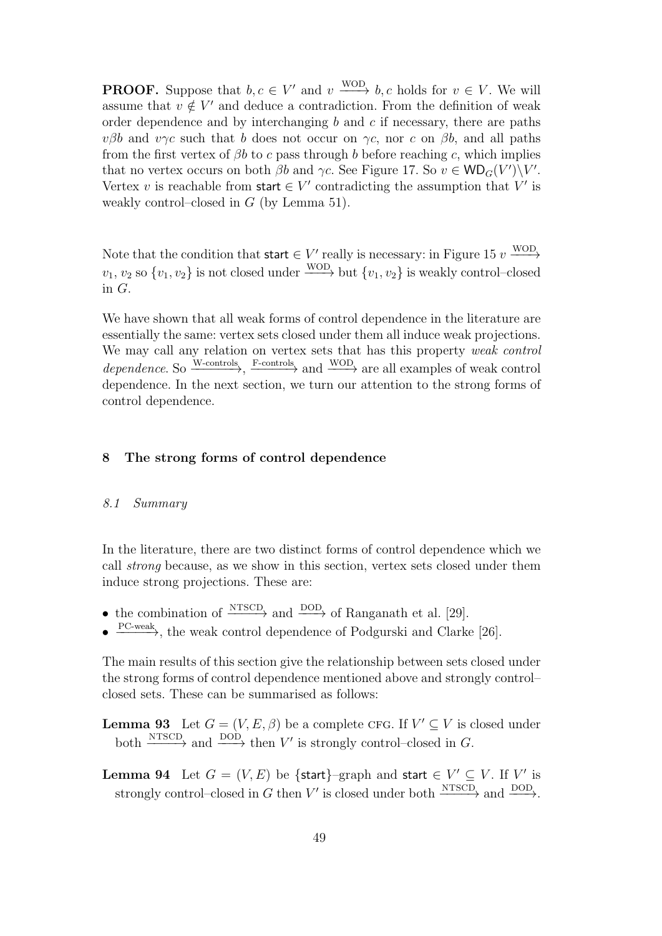**PROOF.** Suppose that  $b, c \in V'$  and  $v \xrightarrow{WOD} b, c$  holds for  $v \in V$ . We will assume that  $v \notin V'$  and deduce a contradiction. From the definition of weak order dependence and by interchanging b and c if necessary, there are paths  $v\beta b$  and  $v\gamma c$  such that b does not occur on  $\gamma c$ , nor c on  $\beta b$ , and all paths from the first vertex of  $\beta b$  to c pass through b before reaching c, which implies that no vertex occurs on both  $\beta b$  and  $\gamma c$ . See Figure 17. So  $v \in WD_G(V')\backslash V'$ . Vertex v is reachable from start  $\in V'$  contradicting the assumption that V' is weakly control–closed in  $G$  (by Lemma 51).

Note that the condition that start  $\in V'$  really is necessary: in Figure 15 v  $\xrightarrow{\text{WOD}}$  $v_1, v_2$  so  $\{v_1, v_2\}$  is not closed under  $\frac{\text{WOD}}{\text{WOD}}$  but  $\{v_1, v_2\}$  is weakly control–closed in G.

We have shown that all weak forms of control dependence in the literature are essentially the same: vertex sets closed under them all induce weak projections. We may call any relation on vertex sets that has this property weak control dependence. So  $\xrightarrow{W\text{-controls}}$ ,  $\xrightarrow{F\text{-controls}}$  and  $\xrightarrow{WOD}$  are all examples of weak control dependence. In the next section, we turn our attention to the strong forms of control dependence.

# 8 The strong forms of control dependence

# 8.1 Summary

In the literature, there are two distinct forms of control dependence which we call strong because, as we show in this section, vertex sets closed under them induce strong projections. These are:

- the combination of  $\frac{\text{NTSCD}}{\text{max}}$  and  $\frac{\text{DOD}}{\text{max}}$  of Ranganath et al. [29].
- $\frac{\text{PC-weak}}{\text{C-weak}}$ , the weak control dependence of Podgurski and Clarke [26].

The main results of this section give the relationship between sets closed under the strong forms of control dependence mentioned above and strongly control– closed sets. These can be summarised as follows:

**Lemma 93** Let  $G = (V, E, \beta)$  be a complete CFG. If  $V' \subseteq V$  is closed under both  $\xrightarrow{\text{NTSCD}}$  and  $\xrightarrow{\text{DOD}}$  then V' is strongly control–closed in G.

**Lemma 94** Let  $G = (V, E)$  be {start}-graph and start  $\in V' \subseteq V$ . If V' is strongly control–closed in G then  $V'$  is closed under both  $\xrightarrow{\text{NTSCD}}$  and  $\xrightarrow{\text{DOD}}$ .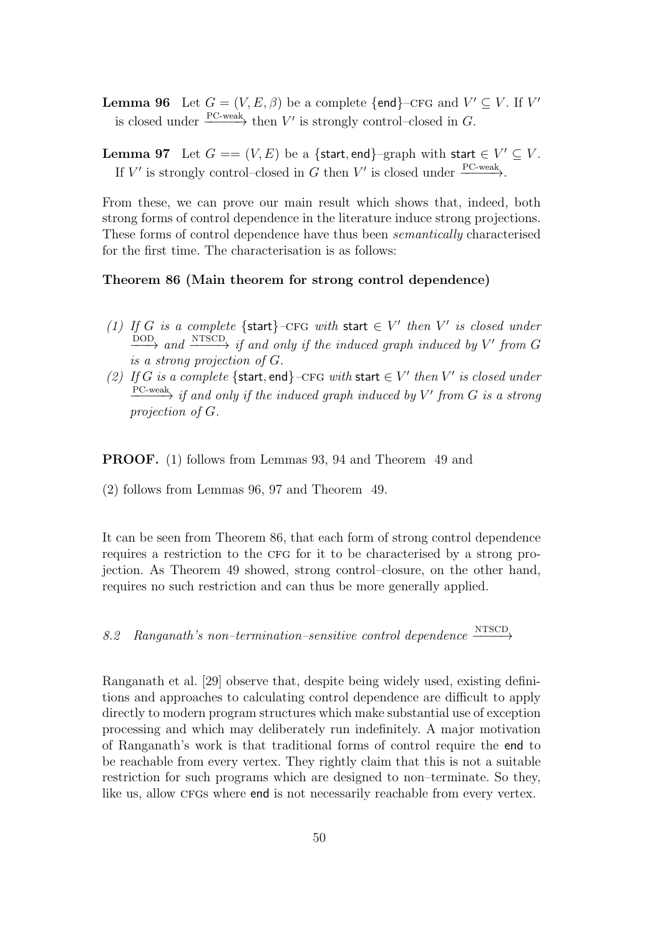**Lemma 96** Let  $G = (V, E, \beta)$  be a complete {end}-CFG and  $V' \subseteq V$ . If  $V'$ is closed under  $\frac{PC\text{-weak}}{}$  then V' is strongly control–closed in G.

**Lemma 97** Let  $G = (V, E)$  be a {start, end}-graph with start  $\in V' \subseteq V$ . If V' is strongly control-closed in G then V' is closed under  $\frac{PC\text{-weak}}{}$ .

From these, we can prove our main result which shows that, indeed, both strong forms of control dependence in the literature induce strong projections. These forms of control dependence have thus been semantically characterised for the first time. The characterisation is as follows:

#### Theorem 86 (Main theorem for strong control dependence)

- (1) If G is a complete {start}-CFG with start  $\in V'$  then V' is closed under  $\longrightarrow$  and  $\longrightarrow$  if and only if the induced graph induced by V' from G is a strong projection of G.
- (2) If G is a complete {start, end}-CFG with start  $\in V'$  then V' is closed under  $\longrightarrow^{\text{PC-weak}}$  if and only if the induced graph induced by V' from G is a strong projection of G.

# PROOF. (1) follows from Lemmas 93, 94 and Theorem 49 and

(2) follows from Lemmas 96, 97 and Theorem 49.

It can be seen from Theorem 86, that each form of strong control dependence requires a restriction to the CFG for it to be characterised by a strong projection. As Theorem 49 showed, strong control–closure, on the other hand, requires no such restriction and can thus be more generally applied.

8.2 Ranganath's non-termination-sensitive control dependence  $\xrightarrow{\text{NTSCD}}$ 

Ranganath et al. [29] observe that, despite being widely used, existing definitions and approaches to calculating control dependence are difficult to apply directly to modern program structures which make substantial use of exception processing and which may deliberately run indefinitely. A major motivation of Ranganath's work is that traditional forms of control require the end to be reachable from every vertex. They rightly claim that this is not a suitable restriction for such programs which are designed to non–terminate. So they, like us, allow CFGs where end is not necessarily reachable from every vertex.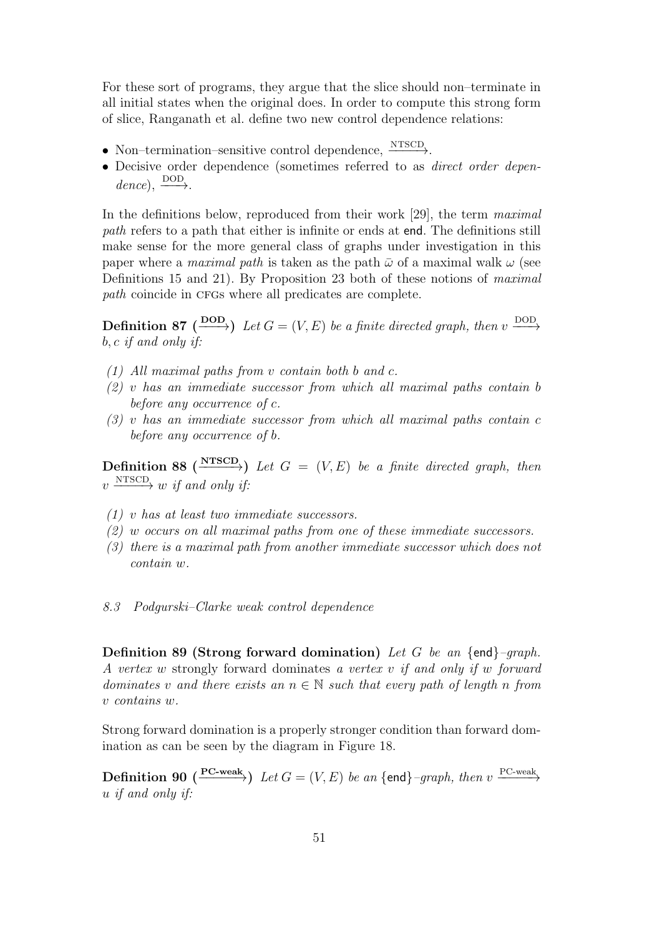For these sort of programs, they argue that the slice should non–terminate in all initial states when the original does. In order to compute this strong form of slice, Ranganath et al. define two new control dependence relations:

- Non–termination–sensitive control dependence,  $\frac{\text{NTSCD}}{\text{ATS}}$ .
- Decisive order dependence (sometimes referred to as direct order depen $dence$ ,  $\frac{DOD}{\longrightarrow}$ .

In the definitions below, reproduced from their work [29], the term maximal path refers to a path that either is infinite or ends at end. The definitions still make sense for the more general class of graphs under investigation in this paper where a *maximal path* is taken as the path  $\bar{\omega}$  of a maximal walk  $\omega$  (see Definitions 15 and 21). By Proposition 23 both of these notions of maximal path coincide in CFGs where all predicates are complete.

**Definition 87** ( $\overrightarrow{DD}$ ) Let  $G = (V, E)$  be a finite directed graph, then v  $\overrightarrow{DD}$ ) b, c if and only if:

- (1) All maximal paths from v contain both b and c.
- $(2)$  v has an immediate successor from which all maximal paths contain b before any occurrence of c.
- $(3)$  v has an immediate successor from which all maximal paths contain c before any occurrence of b.

**Definition 88** ( $\frac{\text{NTSCD}}{\text{P}}$ ) Let  $G = (V, E)$  be a finite directed graph, then  $v \xrightarrow{\text{NTSCD}} w \text{ if and only if:}$ 

- (1) v has at least two immediate successors.
- (2) w occurs on all maximal paths from one of these immediate successors.
- (3) there is a maximal path from another immediate successor which does not contain w.

8.3 Podgurski–Clarke weak control dependence

Definition 89 (Strong forward domination) Let G be an  $\{end\}$ -graph. A vertex w strongly forward dominates a vertex v if and only if w forward dominates v and there exists an  $n \in \mathbb{N}$  such that every path of length n from v contains w.

Strong forward domination is a properly stronger condition than forward domination as can be seen by the diagram in Figure 18.

**Definition 90** ( $\frac{PC\text{-weak}}{P}$ ) Let  $G = (V, E)$  be an {end}-graph, then v  $\frac{PC\text{-weak}}{P}$ u if and only if: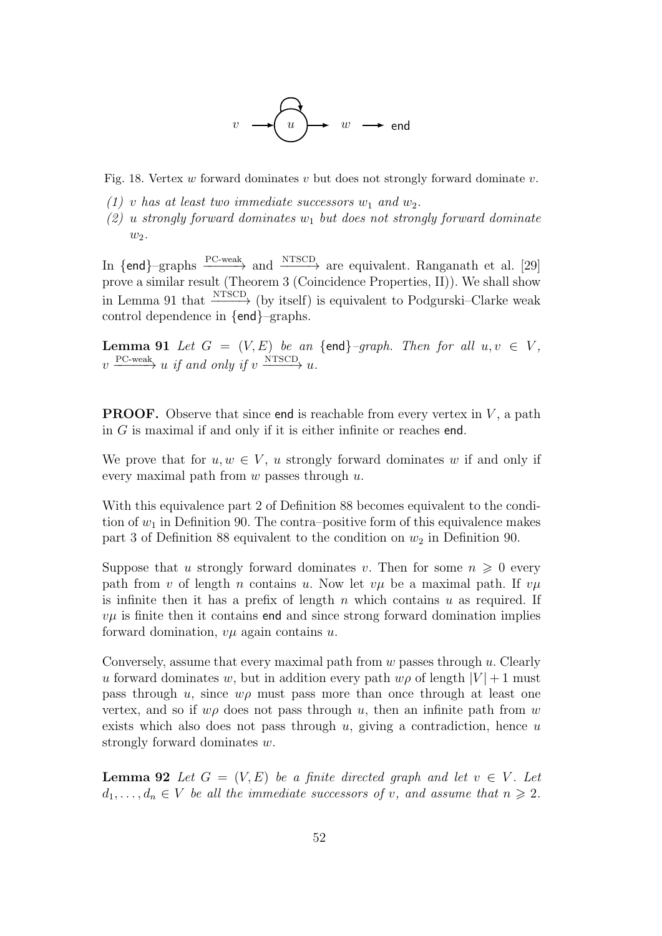

Fig. 18. Vertex  $w$  forward dominates  $v$  but does not strongly forward dominate  $v$ .

- (1) v has at least two immediate successors  $w_1$  and  $w_2$ .
- (2) u strongly forward dominates  $w_1$  but does not strongly forward dominate  $w_2$ .

In  $\{\text{end}\}\text{—graphs}$   $\xrightarrow{\text{PC-weak}}$  and  $\xrightarrow{\text{NTSCD}}$  are equivalent. Ranganath et al. [29] prove a similar result (Theorem 3 (Coincidence Properties, II)). We shall show in Lemma 91 that  $\frac{\text{NTSCD}}{\text{NTSCD}}$  (by itself) is equivalent to Podgurski–Clarke weak control dependence in {end}–graphs.

**Lemma 91** Let  $G = (V, E)$  be an {end}-graph. Then for all  $u, v \in V$ ,  $v \xrightarrow{\text{PC-weak}} u \text{ if and only if } v \xrightarrow{\text{NTSCD}} u.$ 

**PROOF.** Observe that since end is reachable from every vertex in  $V$ , a path in G is maximal if and only if it is either infinite or reaches end.

We prove that for  $u, w \in V$ , u strongly forward dominates w if and only if every maximal path from  $w$  passes through  $u$ .

With this equivalence part 2 of Definition 88 becomes equivalent to the condition of  $w_1$  in Definition 90. The contra-positive form of this equivalence makes part 3 of Definition 88 equivalent to the condition on  $w_2$  in Definition 90.

Suppose that u strongly forward dominates v. Then for some  $n \geqslant 0$  every path from v of length n contains u. Now let  $\nu\mu$  be a maximal path. If  $\nu\mu$ is infinite then it has a prefix of length n which contains u as required. If  $\nu\mu$  is finite then it contains end and since strong forward domination implies forward domination,  $v\mu$  again contains u.

Conversely, assume that every maximal path from  $w$  passes through  $u$ . Clearly u forward dominates w, but in addition every path  $w\rho$  of length  $|V|+1$  must pass through u, since  $\omega \rho$  must pass more than once through at least one vertex, and so if  $w\rho$  does not pass through u, then an infinite path from w exists which also does not pass through  $u$ , giving a contradiction, hence  $u$ strongly forward dominates w.

**Lemma 92** Let  $G = (V, E)$  be a finite directed graph and let  $v \in V$ . Let  $d_1, \ldots, d_n \in V$  be all the immediate successors of v, and assume that  $n \geq 2$ .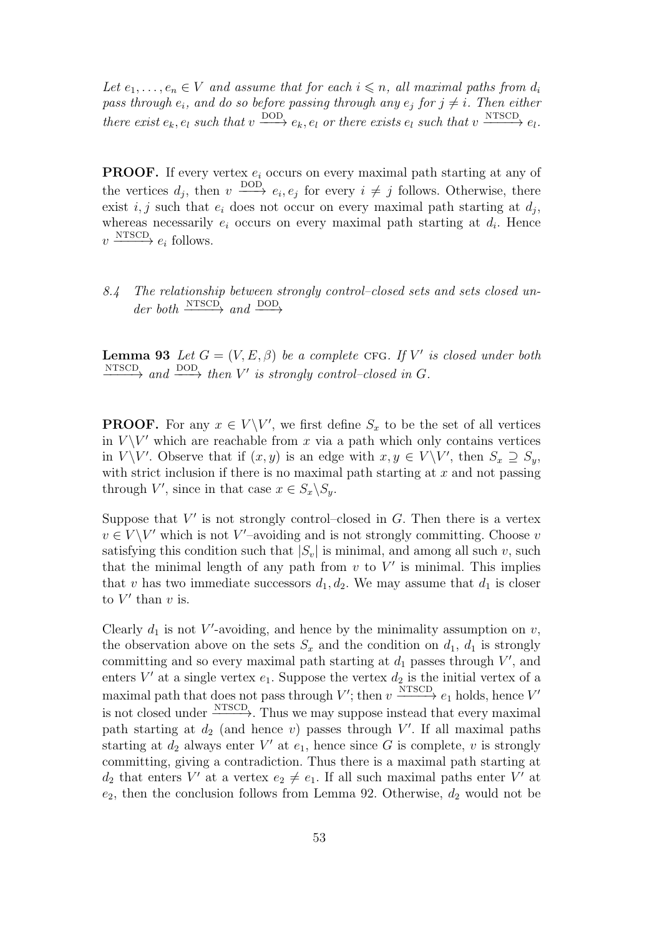Let  $e_1, \ldots, e_n \in V$  and assume that for each  $i \leq n$ , all maximal paths from  $d_i$ pass through  $e_i$ , and do so before passing through any  $e_j$  for  $j \neq i$ . Then either there exist  $e_k, e_l$  such that  $v \xrightarrow{\text{DOD}} e_k, e_l$  or there exists  $e_l$  such that  $v \xrightarrow{\text{NTSCD}} e_l$ .

**PROOF.** If every vertex  $e_i$  occurs on every maximal path starting at any of the vertices  $d_j$ , then  $v \stackrel{\text{DOD}}{\longrightarrow} e_i, e_j$  for every  $i \neq j$  follows. Otherwise, there exist  $i, j$  such that  $e_i$  does not occur on every maximal path starting at  $d_j$ , whereas necessarily  $e_i$  occurs on every maximal path starting at  $d_i$ . Hence  $v \xrightarrow{\text{NTSCD}} e_i$  follows.

# 8.4 The relationship between strongly control–closed sets and sets closed un $der both \xrightarrow{\text{NTSCD}} and \xrightarrow{\text{DOD}}$

**Lemma 93** Let  $G = (V, E, \beta)$  be a complete CFG. If V' is closed under both  $\xrightarrow{\text{NTSCD}}$  and  $\xrightarrow{\text{DOD}}$  then V' is strongly control–closed in G.

**PROOF.** For any  $x \in V \backslash V'$ , we first define  $S_x$  to be the set of all vertices in  $V \backslash V'$  which are reachable from x via a path which only contains vertices in  $V \backslash V'$ . Observe that if  $(x, y)$  is an edge with  $x, y \in V \backslash V'$ , then  $S_x \supseteq S_y$ , with strict inclusion if there is no maximal path starting at  $x$  and not passing through V', since in that case  $x \in S_x \backslash S_y$ .

Suppose that  $V'$  is not strongly control-closed in  $G$ . Then there is a vertex  $v \in V \backslash V'$  which is not V'-avoiding and is not strongly committing. Choose v satisfying this condition such that  $|S_v|$  is minimal, and among all such v, such that the minimal length of any path from  $v$  to  $V'$  is minimal. This implies that v has two immediate successors  $d_1, d_2$ . We may assume that  $d_1$  is closer to  $V'$  than  $v$  is.

Clearly  $d_1$  is not V'-avoiding, and hence by the minimality assumption on  $v$ , the observation above on the sets  $S_x$  and the condition on  $d_1$ ,  $d_1$  is strongly committing and so every maximal path starting at  $d_1$  passes through  $V'$ , and enters  $V'$  at a single vertex  $e_1$ . Suppose the vertex  $d_2$  is the initial vertex of a maximal path that does not pass through  $V'$ ; then  $v \xrightarrow{\text{NTSCD}} e_1$  holds, hence  $V'$ is not closed under  $\xrightarrow{\text{NTSCD}}$ . Thus we may suppose instead that every maximal path starting at  $d_2$  (and hence v) passes through V'. If all maximal paths starting at  $d_2$  always enter V' at  $e_1$ , hence since G is complete, v is strongly committing, giving a contradiction. Thus there is a maximal path starting at  $d_2$  that enters V' at a vertex  $e_2 \neq e_1$ . If all such maximal paths enter V' at  $e_2$ , then the conclusion follows from Lemma 92. Otherwise,  $d_2$  would not be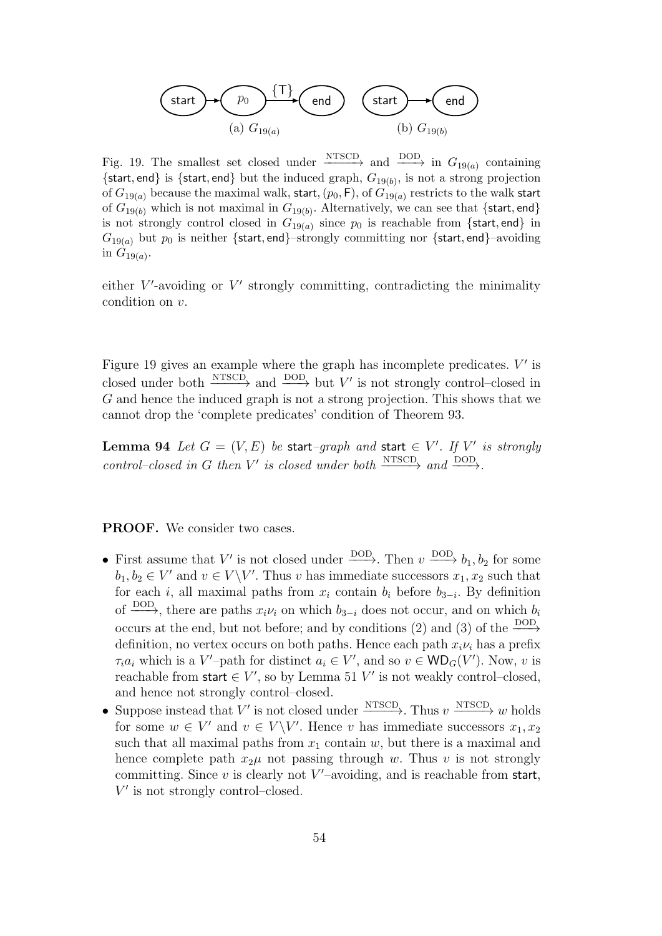

Fig. 19. The smallest set closed under  $\xrightarrow{\text{NTSCD}}$  and  $\xrightarrow{\text{DOD}}$  in  $G_{19(a)}$  containing {start, end} is {start, end} but the induced graph,  $G_{19(b)}$ , is not a strong projection of  $G_{19(a)}$  because the maximal walk, start,  $(p_0, \mathsf{F})$ , of  $G_{19(a)}$  restricts to the walk start of  $G_{19(b)}$  which is not maximal in  $G_{19(b)}$ . Alternatively, we can see that {start, end} is not strongly control closed in  $G_{19(a)}$  since  $p_0$  is reachable from {start, end} in  $G_{19(a)}$  but  $p_0$  is neither {start, end}–strongly committing nor {start, end}–avoiding in  $G_{19(a)}$ .

either  $V'$ -avoiding or  $V'$  strongly committing, contradicting the minimality condition on v.

Figure 19 gives an example where the graph has incomplete predicates.  $V'$  is closed under both  $\xrightarrow{\text{NTSCD}}$  and  $\xrightarrow{\text{DOD}}$  but V' is not strongly control–closed in G and hence the induced graph is not a strong projection. This shows that we cannot drop the 'complete predicates' condition of Theorem 93.

**Lemma 94** Let  $G = (V, E)$  be start-graph and start  $\in V'$ . If V' is strongly  $control-closed$  in G then V' is closed under both  $\xrightarrow{\text{NTSCD}}$  and  $\xrightarrow{\text{DOD}}$ .

PROOF. We consider two cases.

- First assume that V' is not closed under  $\frac{DOD}{\longrightarrow}$ . Then  $v \xrightarrow{DOD} b_1, b_2$  for some  $b_1, b_2 \in V'$  and  $v \in V \backslash V'$ . Thus v has immediate successors  $x_1, x_2$  such that for each i, all maximal paths from  $x_i$  contain  $b_i$  before  $b_{3-i}$ . By definition of  $\frac{\text{DOD}}{\text{D}}$ , there are paths  $x_i \nu_i$  on which  $b_{3-i}$  does not occur, and on which  $b_i$ occurs at the end, but not before; and by conditions (2) and (3) of the  $\frac{\text{DOD}}{\text{DOD}}$ definition, no vertex occurs on both paths. Hence each path  $x_i \nu_i$  has a prefix  $\tau_i a_i$  which is a V'-path for distinct  $a_i \in V'$ , and so  $v \in WD_G(V')$ . Now, v is reachable from start  $\in V'$ , so by Lemma 51 V' is not weakly control-closed, and hence not strongly control–closed.
- Suppose instead that V' is not closed under  $\xrightarrow{\text{NTSCD}}$ . Thus  $v \xrightarrow{\text{NTSCD}} w$  holds for some  $w \in V'$  and  $v \in V \backslash V'$ . Hence v has immediate successors  $x_1, x_2$ such that all maximal paths from  $x_1$  contain  $w$ , but there is a maximal and hence complete path  $x_2\mu$  not passing through w. Thus v is not strongly committing. Since  $v$  is clearly not  $V'$ -avoiding, and is reachable from start,  $V'$  is not strongly control–closed.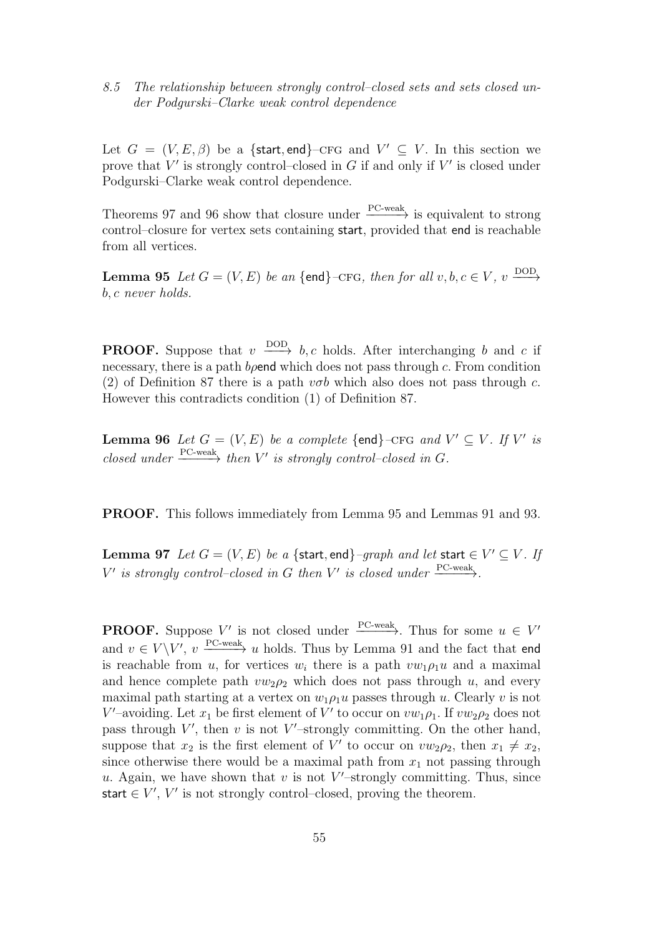8.5 The relationship between strongly control–closed sets and sets closed under Podgurski–Clarke weak control dependence

Let  $G = (V, E, \beta)$  be a {start, end}-CFG and  $V' \subseteq V$ . In this section we prove that  $V'$  is strongly control-closed in  $G$  if and only if  $V'$  is closed under Podgurski–Clarke weak control dependence.

Theorems 97 and 96 show that closure under  $\frac{PC\text{-weak}}{ }$  is equivalent to strong control–closure for vertex sets containing start, provided that end is reachable from all vertices.

**Lemma 95** Let  $G = (V, E)$  be an {end}-CFG, then for all  $v, b, c \in V$ ,  $v \xrightarrow{\text{DOD}}$ b, c never holds.

**PROOF.** Suppose that  $v \xrightarrow{\text{DOD}} b, c$  holds. After interchanging b and c if necessary, there is a path  $b\rho$ end which does not pass through c. From condition (2) of Definition 87 there is a path  $v\sigma b$  which also does not pass through c. However this contradicts condition (1) of Definition 87.

**Lemma 96** Let  $G = (V, E)$  be a complete {end}-CFG and  $V' \subseteq V$ . If V' is closed under  $\frac{PC\text{-weak}}{P}$  then V' is strongly control–closed in G.

PROOF. This follows immediately from Lemma 95 and Lemmas 91 and 93.

**Lemma 97** Let  $G = (V, E)$  be a {start, end}-graph and let start  $\in V' \subseteq V$ . If  $V'$  is strongly control-closed in G then  $V'$  is closed under  $\frac{PC\text{-weak}}{\ }$ .

**PROOF.** Suppose V' is not closed under  $\frac{PC\text{-weak}}{C\text{-weak}}$ . Thus for some  $u \in V'$ and  $v \in V \backslash V'$ ,  $v \xrightarrow{\text{PC-weak}} u$  holds. Thus by Lemma 91 and the fact that end is reachable from u, for vertices  $w_i$  there is a path  $vw_1\rho_1u$  and a maximal and hence complete path  $vw_2\rho_2$  which does not pass through u, and every maximal path starting at a vertex on  $w_1 \rho_1 u$  passes through u. Clearly v is not V'-avoiding. Let  $x_1$  be first element of V' to occur on  $vw_1\rho_1$ . If  $vw_2\rho_2$  does not pass through  $V'$ , then v is not  $V'$ -strongly committing. On the other hand, suppose that  $x_2$  is the first element of V' to occur on  $vw_2\rho_2$ , then  $x_1 \neq x_2$ , since otherwise there would be a maximal path from  $x_1$  not passing through u. Again, we have shown that  $v$  is not  $V'$ -strongly committing. Thus, since start  $\in V'$ , V' is not strongly control-closed, proving the theorem.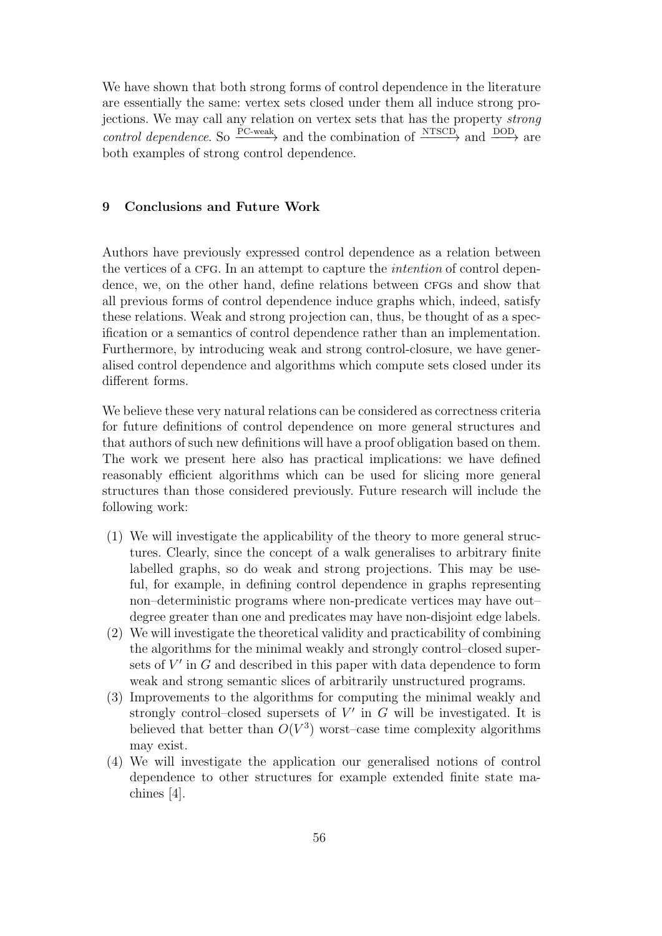We have shown that both strong forms of control dependence in the literature are essentially the same: vertex sets closed under them all induce strong projections. We may call any relation on vertex sets that has the property strong  $control\ dependence.$  So  $\xrightarrow{\text{PC-weak}}$  and the combination of  $\xrightarrow{\text{NTSCD}}$  and  $\xrightarrow{\text{DOD}}$  are both examples of strong control dependence.

# 9 Conclusions and Future Work

Authors have previously expressed control dependence as a relation between the vertices of a CFG. In an attempt to capture the *intention* of control dependence, we, on the other hand, define relations between CFGs and show that all previous forms of control dependence induce graphs which, indeed, satisfy these relations. Weak and strong projection can, thus, be thought of as a specification or a semantics of control dependence rather than an implementation. Furthermore, by introducing weak and strong control-closure, we have generalised control dependence and algorithms which compute sets closed under its different forms.

We believe these very natural relations can be considered as correctness criteria for future definitions of control dependence on more general structures and that authors of such new definitions will have a proof obligation based on them. The work we present here also has practical implications: we have defined reasonably efficient algorithms which can be used for slicing more general structures than those considered previously. Future research will include the following work:

- (1) We will investigate the applicability of the theory to more general structures. Clearly, since the concept of a walk generalises to arbitrary finite labelled graphs, so do weak and strong projections. This may be useful, for example, in defining control dependence in graphs representing non–deterministic programs where non-predicate vertices may have out– degree greater than one and predicates may have non-disjoint edge labels.
- (2) We will investigate the theoretical validity and practicability of combining the algorithms for the minimal weakly and strongly control–closed supersets of  $V'$  in  $G$  and described in this paper with data dependence to form weak and strong semantic slices of arbitrarily unstructured programs.
- (3) Improvements to the algorithms for computing the minimal weakly and strongly control-closed supersets of  $V'$  in  $G$  will be investigated. It is believed that better than  $O(V^3)$  worst-case time complexity algorithms may exist.
- (4) We will investigate the application our generalised notions of control dependence to other structures for example extended finite state machines [4].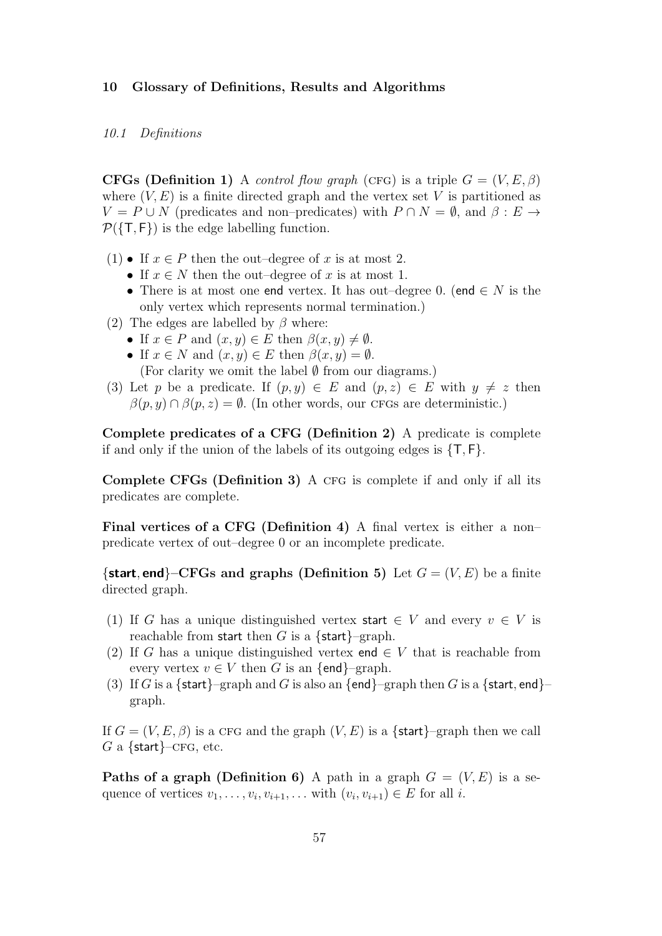### 10 Glossary of Definitions, Results and Algorithms

#### 10.1 Definitions

**CFGs (Definition 1)** A control flow graph (CFG) is a triple  $G = (V, E, \beta)$ where  $(V, E)$  is a finite directed graph and the vertex set V is partitioned as  $V = P \cup N$  (predicates and non–predicates) with  $P \cap N = \emptyset$ , and  $\beta : E \rightarrow$  $P({T, F})$  is the edge labelling function.

- (1) If  $x \in P$  then the out–degree of x is at most 2.
	- If  $x \in N$  then the out–degree of x is at most 1.
	- There is at most one end vertex. It has out–degree 0. (end  $\in N$  is the only vertex which represents normal termination.)
- (2) The edges are labelled by  $\beta$  where:
	- If  $x \in P$  and  $(x, y) \in E$  then  $\beta(x, y) \neq \emptyset$ .
	- If  $x \in N$  and  $(x, y) \in E$  then  $\beta(x, y) = \emptyset$ . (For clarity we omit the label  $\emptyset$  from our diagrams.)
- (3) Let p be a predicate. If  $(p, y) \in E$  and  $(p, z) \in E$  with  $y \neq z$  then  $\beta(p, y) \cap \beta(p, z) = \emptyset$ . (In other words, our CFGs are deterministic.)

Complete predicates of a CFG (Definition 2) A predicate is complete if and only if the union of the labels of its outgoing edges is  $\{T, F\}$ .

Complete CFGs (Definition 3) A CFG is complete if and only if all its predicates are complete.

Final vertices of a CFG (Definition 4) A final vertex is either a nonpredicate vertex of out–degree 0 or an incomplete predicate.

 $\{$ **start, end**}–CFGs and graphs (Definition 5) Let  $G = (V, E)$  be a finite directed graph.

- (1) If G has a unique distinguished vertex start  $\in V$  and every  $v \in V$  is reachable from start then G is a  $\{\text{start}\}$ -graph.
- (2) If G has a unique distinguished vertex end  $\in V$  that is reachable from every vertex  $v \in V$  then G is an {end}–graph.
- (3) If G is a {start}–graph and G is also an {end}–graph then G is a {start, end}– graph.

If  $G = (V, E, \beta)$  is a CFG and the graph  $(V, E)$  is a {start}-graph then we call G a {start}-CFG, etc.

**Paths of a graph (Definition 6)** A path in a graph  $G = (V, E)$  is a sequence of vertices  $v_1, \ldots, v_i, v_{i+1}, \ldots$  with  $(v_i, v_{i+1}) \in E$  for all i.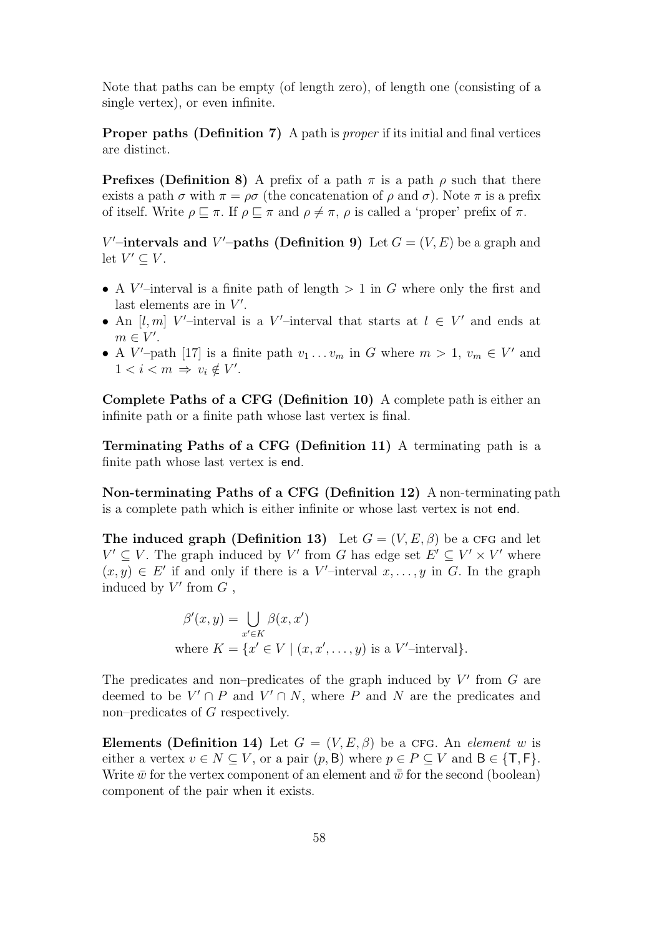Note that paths can be empty (of length zero), of length one (consisting of a single vertex), or even infinite.

Proper paths (Definition 7) A path is *proper* if its initial and final vertices are distinct.

**Prefixes (Definition 8)** A prefix of a path  $\pi$  is a path  $\rho$  such that there exists a path  $\sigma$  with  $\pi = \rho \sigma$  (the concatenation of  $\rho$  and  $\sigma$ ). Note  $\pi$  is a prefix of itself. Write  $\rho \sqsubseteq \pi$ . If  $\rho \sqsubseteq \pi$  and  $\rho \neq \pi$ ,  $\rho$  is called a 'proper' prefix of  $\pi$ .

V'-intervals and V'-paths (Definition 9) Let  $G = (V, E)$  be a graph and let  $V' \subseteq V$ .

- A V'-interval is a finite path of length  $> 1$  in G where only the first and last elements are in  $V'$ .
- An [l, m] V'-interval is a V'-interval that starts at  $l \in V'$  and ends at  $m \in V'.$
- A V'-path [17] is a finite path  $v_1 \dots v_m$  in G where  $m > 1$ ,  $v_m \in V'$  and  $1 < i < m \Rightarrow v_i \notin V'.$

Complete Paths of a CFG (Definition 10) A complete path is either an infinite path or a finite path whose last vertex is final.

Terminating Paths of a CFG (Definition 11) A terminating path is a finite path whose last vertex is end.

Non-terminating Paths of a CFG (Definition 12) A non-terminating path is a complete path which is either infinite or whose last vertex is not end.

The induced graph (Definition 13) Let  $G = (V, E, \beta)$  be a CFG and let  $V' \subseteq V$ . The graph induced by V' from G has edge set  $E' \subseteq V' \times V'$  where  $(x, y) \in E'$  if and only if there is a V'-interval  $x, \ldots, y$  in G. In the graph induced by  $V'$  from  $G$ ,

> $\beta'(x,y) = \begin{pmatrix} 1 \end{pmatrix}$  $x' \in K$  $\beta(x, x')$ where  $K = \{x' \in V \mid (x, x', \dots, y) \text{ is a } V'$ -interval}.

The predicates and non-predicates of the graph induced by  $V'$  from  $G$  are deemed to be  $V' \cap P$  and  $V' \cap N$ , where P and N are the predicates and non–predicates of G respectively.

Elements (Definition 14) Let  $G = (V, E, \beta)$  be a CFG. An *element* w is either a vertex  $v \in N \subseteq V$ , or a pair  $(p, \mathsf{B})$  where  $p \in P \subseteq V$  and  $\mathsf{B} \in \{\mathsf{T}, \mathsf{F}\}.$ Write  $\bar{w}$  for the vertex component of an element and  $\bar{\bar{w}}$  for the second (boolean) component of the pair when it exists.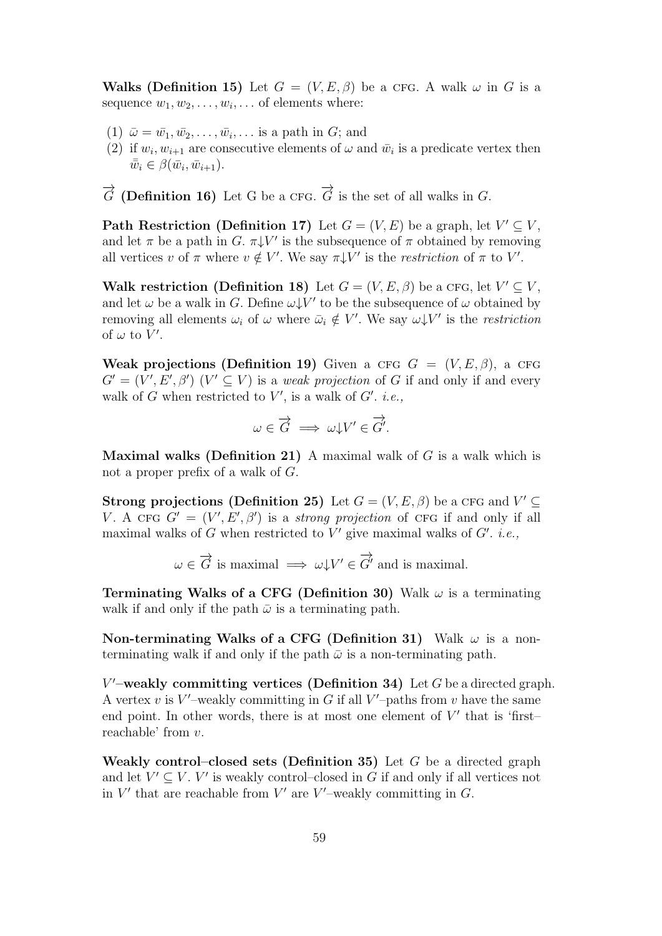**Walks (Definition 15)** Let  $G = (V, E, \beta)$  be a CFG. A walk  $\omega$  in G is a sequence  $w_1, w_2, \ldots, w_i, \ldots$  of elements where:

- $(1)$   $\bar{\omega} = \bar{w_1}, \bar{w_2}, \dots, \bar{w_i}, \dots$  is a path in G; and
- (2) if  $w_i, w_{i+1}$  are consecutive elements of  $\omega$  and  $\bar{w}_i$  is a predicate vertex then  $\bar{\bar{w}}_i \in \beta(\bar{w}_i, \bar{w}_{i+1}).$
- $\overrightarrow{G}$  (Definition 16) Let G be a CFG.  $\overrightarrow{G}$  is the set of all walks in G.

Path Restriction (Definition 17) Let  $G = (V, E)$  be a graph, let  $V' \subseteq V$ , and let  $\pi$  be a path in G.  $\pi \downarrow V'$  is the subsequence of  $\pi$  obtained by removing all vertices v of  $\pi$  where  $v \notin V'$ . We say  $\pi \downarrow V'$  is the restriction of  $\pi$  to V'.

Walk restriction (Definition 18) Let  $G = (V, E, \beta)$  be a CFG, let  $V' \subseteq V$ , and let  $\omega$  be a walk in G. Define  $\omega V'$  to be the subsequence of  $\omega$  obtained by removing all elements  $\omega_i$  of  $\omega$  where  $\bar{\omega}_i \notin V'$ . We say  $\omega \downarrow V'$  is the *restriction* of  $\omega$  to  $V'$ .

Weak projections (Definition 19) Given a CFG  $G = (V, E, \beta)$ , a CFG  $G' = (V', E', \beta')$   $(V' \subseteq V)$  is a weak projection of G if and only if and every walk of G when restricted to  $V'$ , is a walk of G'. *i.e.*,

$$
\omega\in \overrightarrow{G} \implies \omega {\downarrow} V'\in \overrightarrow{G}'.
$$

**Maximal walks (Definition 21)** A maximal walk of  $G$  is a walk which is not a proper prefix of a walk of G.

Strong projections (Definition 25) Let  $G = (V, E, \beta)$  be a CFG and  $V' \subseteq$ V. A CFG  $G' = (V', E', \beta')$  is a strong projection of CFG if and only if all maximal walks of G when restricted to  $V'$  give maximal walks of  $G'$ . *i.e.*,

$$
\omega\in \overrightarrow{G} \text{ is maximal} \implies \omega {\downarrow} V'\in \overrightarrow{G}' \text{ and is maximal}.
$$

Terminating Walks of a CFG (Definition 30) Walk  $\omega$  is a terminating walk if and only if the path  $\bar{\omega}$  is a terminating path.

Non-terminating Walks of a CFG (Definition 31) Walk  $\omega$  is a nonterminating walk if and only if the path  $\bar{\omega}$  is a non-terminating path.

 $V'$ -weakly committing vertices (Definition 34) Let  $G$  be a directed graph. A vertex  $v$  is  $V'$ -weakly committing in G if all  $V'$ -paths from  $v$  have the same end point. In other words, there is at most one element of  $V'$  that is 'firstreachable' from v.

Weakly control–closed sets (Definition 35) Let  $G$  be a directed graph and let  $V' \subseteq V$ . V' is weakly control-closed in G if and only if all vertices not in  $V'$  that are reachable from  $V'$  are  $V'$ -weakly committing in  $G$ .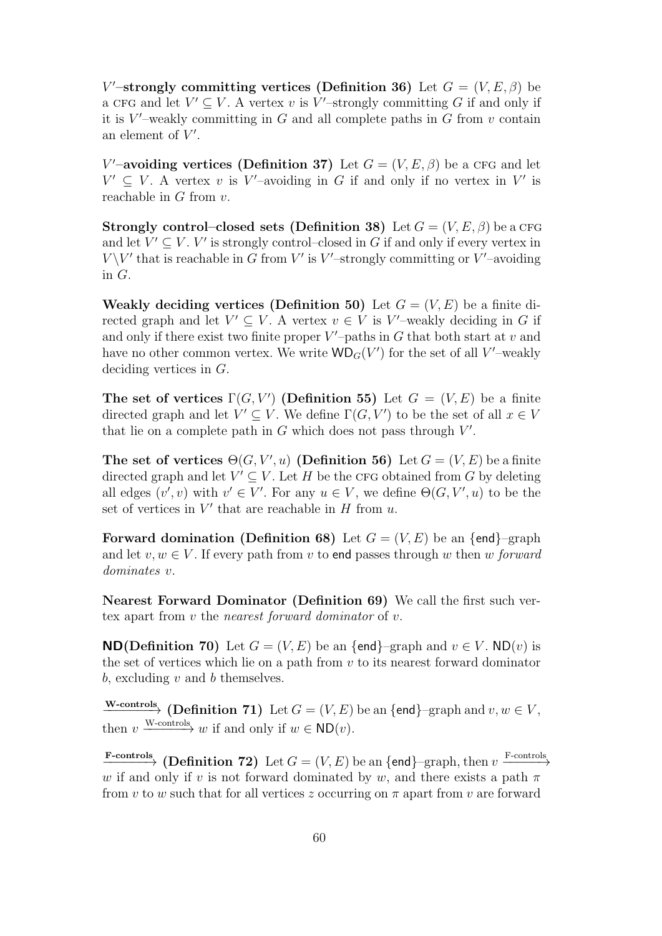V'-strongly committing vertices (Definition 36) Let  $G = (V, E, \beta)$  be a CFG and let  $V' \subseteq V$ . A vertex v is V'-strongly committing G if and only if it is  $V'$ -weakly committing in  $G$  and all complete paths in  $G$  from  $v$  contain an element of  $V'$ .

V'-avoiding vertices (Definition 37) Let  $G = (V, E, \beta)$  be a CFG and let  $V' \subseteq V$ . A vertex v is V'-avoiding in G if and only if no vertex in V' is reachable in  $G$  from  $v$ .

**Strongly control–closed sets (Definition 38)** Let  $G = (V, E, \beta)$  be a CFG and let  $V' \subseteq V$ . V' is strongly control-closed in G if and only if every vertex in  $V \backslash V'$  that is reachable in G from V' is V'-strongly committing or V'-avoiding in G.

Weakly deciding vertices (Definition 50) Let  $G = (V, E)$  be a finite directed graph and let  $V' \subseteq V$ . A vertex  $v \in V$  is V'-weakly deciding in G if and only if there exist two finite proper  $V'$ -paths in  $G$  that both start at  $v$  and have no other common vertex. We write  $WD_G(V')$  for the set of all V'-weakly deciding vertices in G.

The set of vertices  $\Gamma(G, V')$  (Definition 55) Let  $G = (V, E)$  be a finite directed graph and let  $V' \subseteq V$ . We define  $\Gamma(G, V')$  to be the set of all  $x \in V$ that lie on a complete path in  $G$  which does not pass through  $V'$ .

The set of vertices  $\Theta(G, V', u)$  (Definition 56) Let  $G = (V, E)$  be a finite directed graph and let  $V' \subseteq V$ . Let H be the CFG obtained from G by deleting all edges  $(v', v)$  with  $v' \in V'$ . For any  $u \in V$ , we define  $\Theta(G, V', u)$  to be the set of vertices in  $V'$  that are reachable in  $H$  from  $u$ .

**Forward domination (Definition 68)** Let  $G = (V, E)$  be an {end}–graph and let  $v, w \in V$ . If every path from v to end passes through w then w forward dominates v.

Nearest Forward Dominator (Definition 69) We call the first such vertex apart from v the nearest forward dominator of v.

**ND(Definition 70)** Let  $G = (V, E)$  be an {end}–graph and  $v \in V$ . ND(v) is the set of vertices which lie on a path from  $v$  to its nearest forward dominator  $b$ , excluding  $v$  and  $b$  themselves.

<u>W-controls</u> (Definition 71) Let  $G = (V, E)$  be an {end}-graph and v, w ∈ V, then  $v \xrightarrow{\text{W-controls}} w$  if and only if  $w \in \text{ND}(v)$ .

 $\longrightarrow$  (Definition 72) Let  $G = (V, E)$  be an {end}-graph, then v  $\longrightarrow$ w if and only if v is not forward dominated by w, and there exists a path  $\pi$ from v to w such that for all vertices z occurring on  $\pi$  apart from v are forward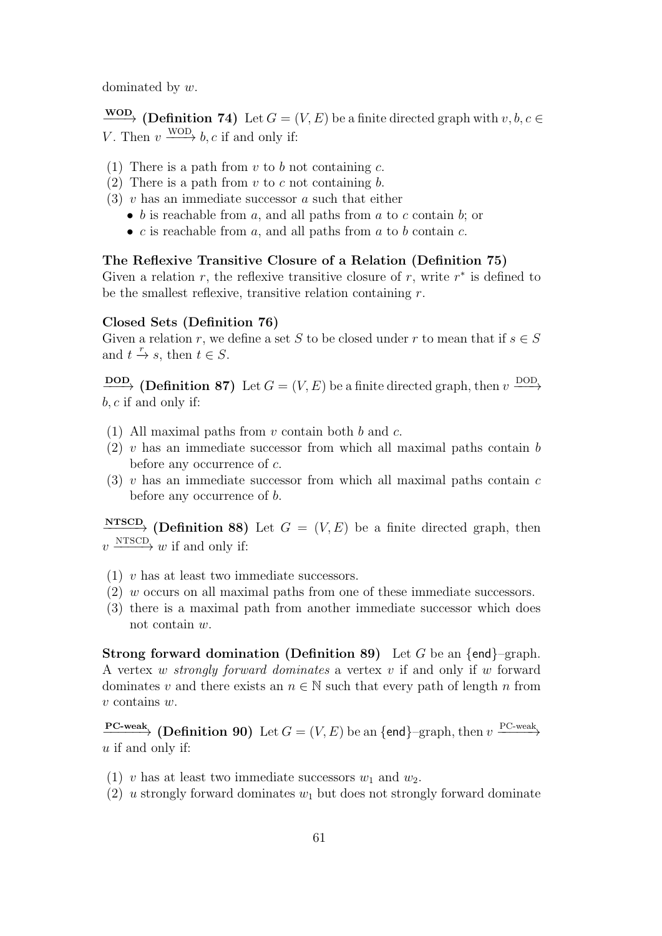dominated by w.

WOD (Definition 74) Let  $G = (V, E)$  be a finite directed graph with  $v, b, c \in$ V. Then  $v \xrightarrow{\text{WOD}} b, c$  if and only if:

- (1) There is a path from v to b not containing c.
- (2) There is a path from  $v$  to  $c$  not containing  $b$ .
- $(3)$  v has an immediate successor a such that either
	- $\bullet$  b is reachable from a, and all paths from a to c contain b; or
	- $c$  is reachable from  $a$ , and all paths from  $a$  to  $b$  contain  $c$ .

#### The Reflexive Transitive Closure of a Relation (Definition 75)

Given a relation  $r$ , the reflexive transitive closure of  $r$ , write  $r^*$  is defined to be the smallest reflexive, transitive relation containing  $r$ .

# Closed Sets (Definition 76)

Given a relation r, we define a set S to be closed under r to mean that if  $s \in S$ and  $t \xrightarrow{r} s$ , then  $t \in S$ .

DOD (Definition 87) Let  $G = (V, E)$  be a finite directed graph, then  $v \xrightarrow{DOD}$  $b, c$  if and only if:

- (1) All maximal paths from  $v$  contain both  $b$  and  $c$ .
- $(2)$  v has an immediate successor from which all maximal paths contain b before any occurrence of c.
- $(3)$  v has an immediate successor from which all maximal paths contain c before any occurrence of b.

<u>NTSCD</u> (Definition 88) Let  $G = (V, E)$  be a finite directed graph, then  $v \xrightarrow{\text{NTSCD}} w$  if and only if:

- (1) v has at least two immediate successors.
- (2) w occurs on all maximal paths from one of these immediate successors.
- (3) there is a maximal path from another immediate successor which does not contain w.

**Strong forward domination (Definition 89)** Let G be an {end}–graph. A vertex w strongly forward dominates a vertex v if and only if w forward dominates v and there exists an  $n \in \mathbb{N}$  such that every path of length n from v contains w.

PC-weak (Definition 90) Let  $G = (V, E)$  be an {end}–graph, then  $v \xrightarrow{PC-weak}$  $u$  if and only if:

- (1) v has at least two immediate successors  $w_1$  and  $w_2$ .
- (2) u strongly forward dominates  $w_1$  but does not strongly forward dominate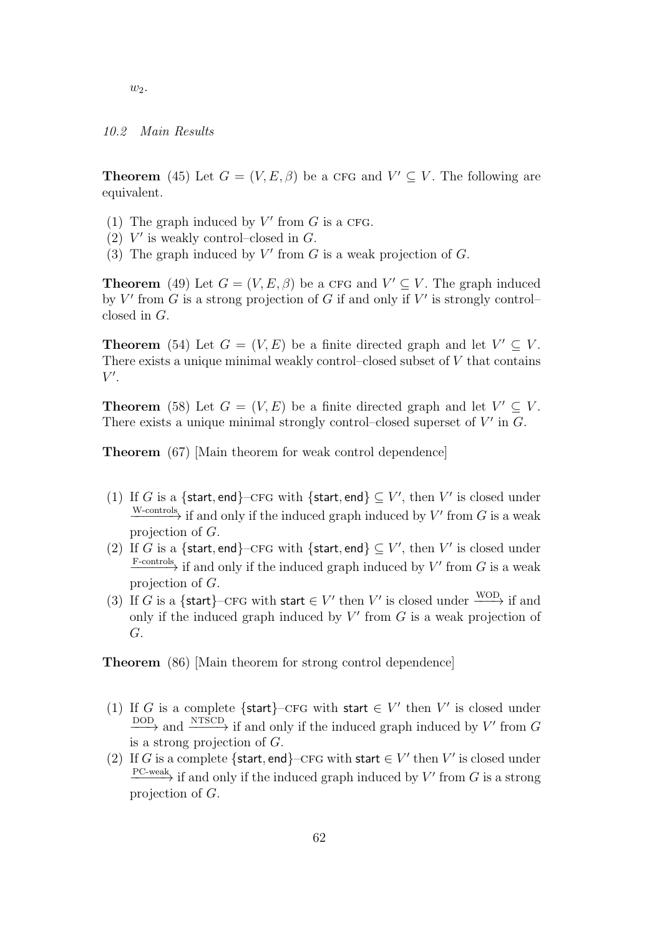$w_2$ .

# 10.2 Main Results

**Theorem** (45) Let  $G = (V, E, \beta)$  be a CFG and  $V' \subseteq V$ . The following are equivalent.

- (1) The graph induced by  $V'$  from  $G$  is a CFG.
- (2)  $V'$  is weakly control-closed in  $G$ .
- (3) The graph induced by  $V'$  from  $G$  is a weak projection of  $G$ .

**Theorem** (49) Let  $G = (V, E, \beta)$  be a CFG and  $V' \subseteq V$ . The graph induced by  $V'$  from G is a strong projection of G if and only if  $V'$  is strongly controlclosed in G.

**Theorem** (54) Let  $G = (V, E)$  be a finite directed graph and let  $V' \subseteq V$ . There exists a unique minimal weakly control–closed subset of  $V$  that contains  $V'.$ 

**Theorem** (58) Let  $G = (V, E)$  be a finite directed graph and let  $V' \subseteq V$ . There exists a unique minimal strongly control-closed superset of  $V'$  in  $G$ .

Theorem (67) [Main theorem for weak control dependence]

- (1) If G is a {start, end}-CFG with {start, end}  $\subseteq V'$ , then V' is closed under  $\xrightarrow{\text{W-controls}}$  if and only if the induced graph induced by V' from G is a weak projection of G.
- (2) If G is a {start, end}-CFG with {start, end}  $\subseteq V'$ , then V' is closed under  $f$ <sup>F-controls</sup> if and only if the induced graph induced by V' from G is a weak projection of G.
- (3) If G is a {start}–CFG with start  $\in V'$  then V' is closed under  $\frac{\text{WOD}}{\text{WOD}}$  if and only if the induced graph induced by  $V'$  from  $G$  is a weak projection of G.

Theorem (86) [Main theorem for strong control dependence]

- (1) If G is a complete {start}–CFG with start  $\in V'$  then V' is closed under  $\longrightarrow$  and  $\longrightarrow$  if and only if the induced graph induced by V' from G is a strong projection of G.
- (2) If G is a complete {start, end}–CFG with start  $\in V'$  then  $V'$  is closed under  $\frac{PC\text{-weak}}{\ }$  if and only if the induced graph induced by V' from G is a strong projection of G.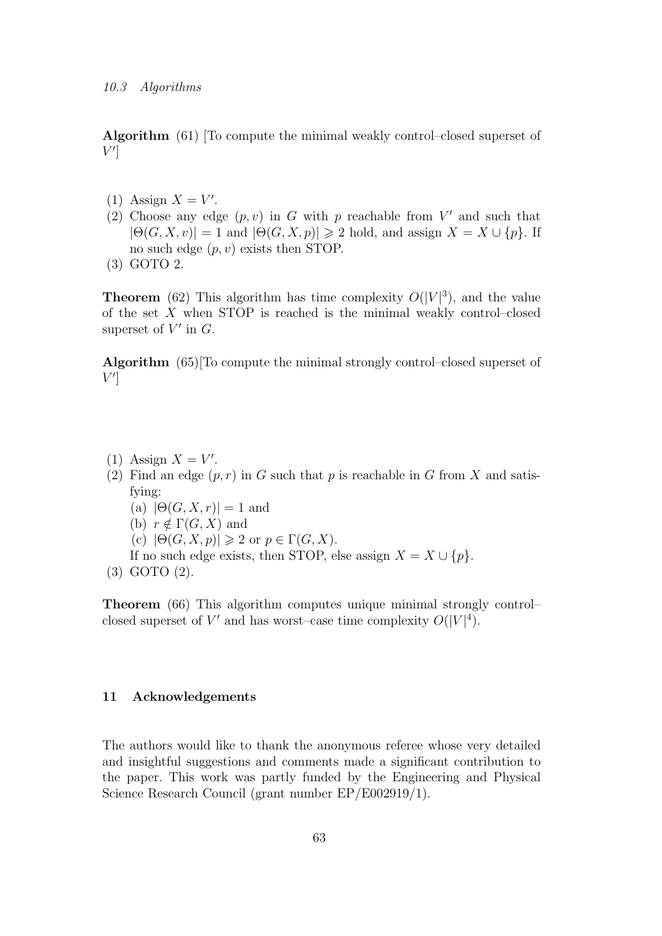Algorithm (61) [To compute the minimal weakly control–closed superset of  $V'$ 

- (1) Assign  $X = V'$ .
- (2) Choose any edge  $(p, v)$  in G with p reachable from V' and such that  $|\Theta(G, X, v)| = 1$  and  $|\Theta(G, X, p)| \ge 2$  hold, and assign  $X = X \cup \{p\}$ . If no such edge  $(p, v)$  exists then STOP.
- (3) GOTO 2.

**Theorem** (62) This algorithm has time complexity  $O(|V|^3)$ , and the value of the set  $X$  when STOP is reached is the minimal weakly control–closed superset of  $V'$  in  $G$ .

Algorithm (65)[To compute the minimal strongly control–closed superset of  $V'$ 

- (1) Assign  $X = V'$ .
- (2) Find an edge  $(p, r)$  in G such that p is reachable in G from X and satisfying:
	- (a)  $|\Theta(G, X, r)| = 1$  and
	- (b)  $r \notin \Gamma(G, X)$  and
	- (c)  $|\Theta(G, X, p)| \geq 2$  or  $p \in \Gamma(G, X)$ .
	- If no such edge exists, then STOP, else assign  $X = X \cup \{p\}.$
- (3) GOTO (2).

Theorem (66) This algorithm computes unique minimal strongly control– closed superset of V' and has worst-case time complexity  $O(|V|^4)$ .

# 11 Acknowledgements

The authors would like to thank the anonymous referee whose very detailed and insightful suggestions and comments made a significant contribution to the paper. This work was partly funded by the Engineering and Physical Science Research Council (grant number EP/E002919/1).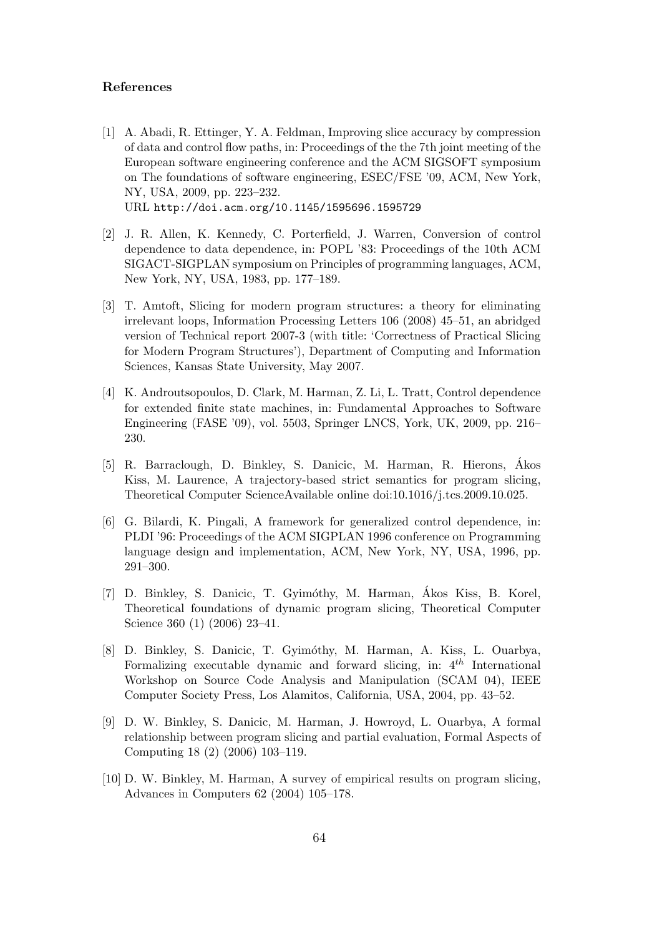#### References

- [1] A. Abadi, R. Ettinger, Y. A. Feldman, Improving slice accuracy by compression of data and control flow paths, in: Proceedings of the the 7th joint meeting of the European software engineering conference and the ACM SIGSOFT symposium on The foundations of software engineering, ESEC/FSE '09, ACM, New York, NY, USA, 2009, pp. 223–232. URL http://doi.acm.org/10.1145/1595696.1595729
- [2] J. R. Allen, K. Kennedy, C. Porterfield, J. Warren, Conversion of control dependence to data dependence, in: POPL '83: Proceedings of the 10th ACM SIGACT-SIGPLAN symposium on Principles of programming languages, ACM, New York, NY, USA, 1983, pp. 177–189.
- [3] T. Amtoft, Slicing for modern program structures: a theory for eliminating irrelevant loops, Information Processing Letters 106 (2008) 45–51, an abridged version of Technical report 2007-3 (with title: 'Correctness of Practical Slicing for Modern Program Structures'), Department of Computing and Information Sciences, Kansas State University, May 2007.
- [4] K. Androutsopoulos, D. Clark, M. Harman, Z. Li, L. Tratt, Control dependence for extended finite state machines, in: Fundamental Approaches to Software Engineering (FASE '09), vol. 5503, Springer LNCS, York, UK, 2009, pp. 216– 230.
- [5] R. Barraclough, D. Binkley, S. Danicic, M. Harman, R. Hierons, Akos ´ Kiss, M. Laurence, A trajectory-based strict semantics for program slicing, Theoretical Computer ScienceAvailable online doi:10.1016/j.tcs.2009.10.025.
- [6] G. Bilardi, K. Pingali, A framework for generalized control dependence, in: PLDI '96: Proceedings of the ACM SIGPLAN 1996 conference on Programming language design and implementation, ACM, New York, NY, USA, 1996, pp. 291–300.
- [7] D. Binkley, S. Danicic, T. Gyimóthy, M. Harman, Ákos Kiss, B. Korel, Theoretical foundations of dynamic program slicing, Theoretical Computer Science 360 (1) (2006) 23–41.
- [8] D. Binkley, S. Danicic, T. Gyimóthy, M. Harman, A. Kiss, L. Ouarbya, Formalizing executable dynamic and forward slicing, in:  $4^{th}$  International Workshop on Source Code Analysis and Manipulation (SCAM 04), IEEE Computer Society Press, Los Alamitos, California, USA, 2004, pp. 43–52.
- [9] D. W. Binkley, S. Danicic, M. Harman, J. Howroyd, L. Ouarbya, A formal relationship between program slicing and partial evaluation, Formal Aspects of Computing 18 (2) (2006) 103–119.
- [10] D. W. Binkley, M. Harman, A survey of empirical results on program slicing, Advances in Computers 62 (2004) 105–178.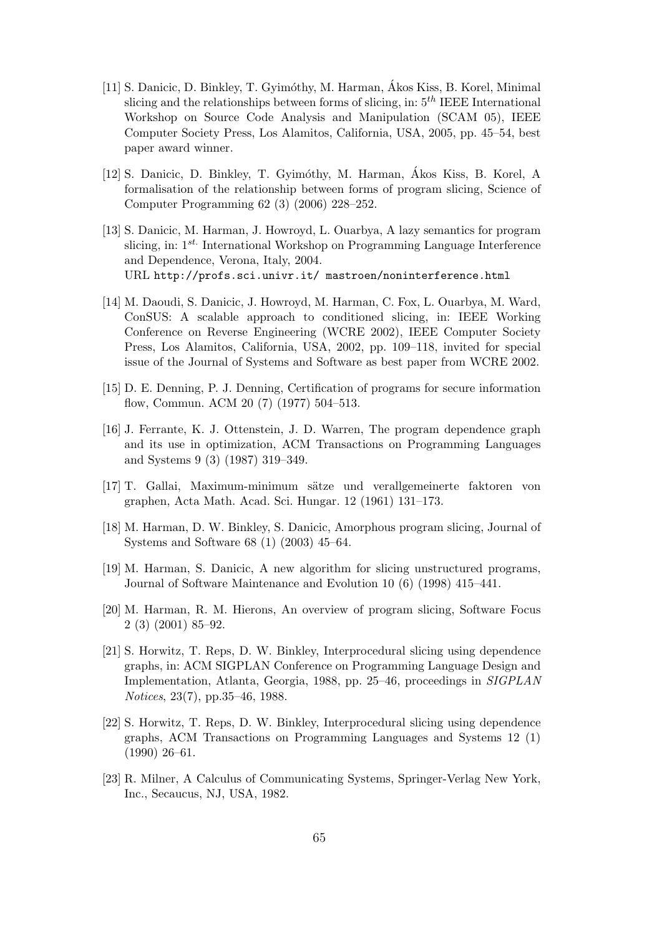- [11] S. Danicic, D. Binkley, T. Gyim´othy, M. Harman, Akos Kiss, B. Korel, Minimal ´ slicing and the relationships between forms of slicing, in:  $5<sup>th</sup>$  IEEE International Workshop on Source Code Analysis and Manipulation (SCAM 05), IEEE Computer Society Press, Los Alamitos, California, USA, 2005, pp. 45–54, best paper award winner.
- [12] S. Danicic, D. Binkley, T. Gyimóthy, M. Harman, Ákos Kiss, B. Korel, A formalisation of the relationship between forms of program slicing, Science of Computer Programming 62 (3) (2006) 228–252.
- [13] S. Danicic, M. Harman, J. Howroyd, L. Ouarbya, A lazy semantics for program slicing, in: 1<sup>st.</sup> International Workshop on Programming Language Interference and Dependence, Verona, Italy, 2004. URL http://profs.sci.univr.it/ mastroen/noninterference.html
- [14] M. Daoudi, S. Danicic, J. Howroyd, M. Harman, C. Fox, L. Ouarbya, M. Ward, ConSUS: A scalable approach to conditioned slicing, in: IEEE Working Conference on Reverse Engineering (WCRE 2002), IEEE Computer Society Press, Los Alamitos, California, USA, 2002, pp. 109–118, invited for special issue of the Journal of Systems and Software as best paper from WCRE 2002.
- [15] D. E. Denning, P. J. Denning, Certification of programs for secure information flow, Commun. ACM 20 (7) (1977) 504–513.
- [16] J. Ferrante, K. J. Ottenstein, J. D. Warren, The program dependence graph and its use in optimization, ACM Transactions on Programming Languages and Systems 9 (3) (1987) 319–349.
- [17] T. Gallai, Maximum-minimum sätze und verallgemeinerte faktoren von graphen, Acta Math. Acad. Sci. Hungar. 12 (1961) 131–173.
- [18] M. Harman, D. W. Binkley, S. Danicic, Amorphous program slicing, Journal of Systems and Software 68 (1) (2003) 45–64.
- [19] M. Harman, S. Danicic, A new algorithm for slicing unstructured programs, Journal of Software Maintenance and Evolution 10 (6) (1998) 415–441.
- [20] M. Harman, R. M. Hierons, An overview of program slicing, Software Focus 2 (3) (2001) 85–92.
- [21] S. Horwitz, T. Reps, D. W. Binkley, Interprocedural slicing using dependence graphs, in: ACM SIGPLAN Conference on Programming Language Design and Implementation, Atlanta, Georgia, 1988, pp. 25–46, proceedings in SIGPLAN Notices, 23(7), pp.35–46, 1988.
- [22] S. Horwitz, T. Reps, D. W. Binkley, Interprocedural slicing using dependence graphs, ACM Transactions on Programming Languages and Systems 12 (1) (1990) 26–61.
- [23] R. Milner, A Calculus of Communicating Systems, Springer-Verlag New York, Inc., Secaucus, NJ, USA, 1982.